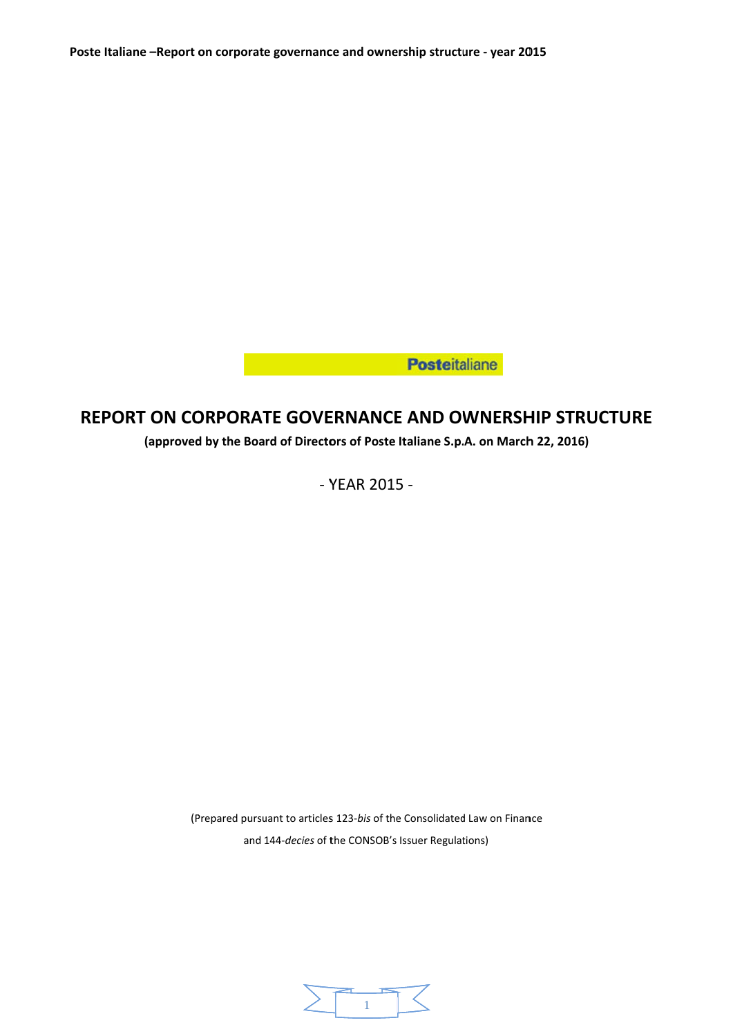**Excessive Contract Department Posteitaliane** 

# **REPORT ON CORPORATE GOVERNANCE AND OWNERSHIP STRUCTURE**

**(approved d by the Boa rd of Directo ors of Poste Italiane S.p. .A. on March h 22, 2016)**

‐ Y YEAR 2015 5 ‐

(Prepared pursuant to articles 123-bis of the Consolidated Law on Finance and 144-decies of the CONSOB's Issuer Regulations)

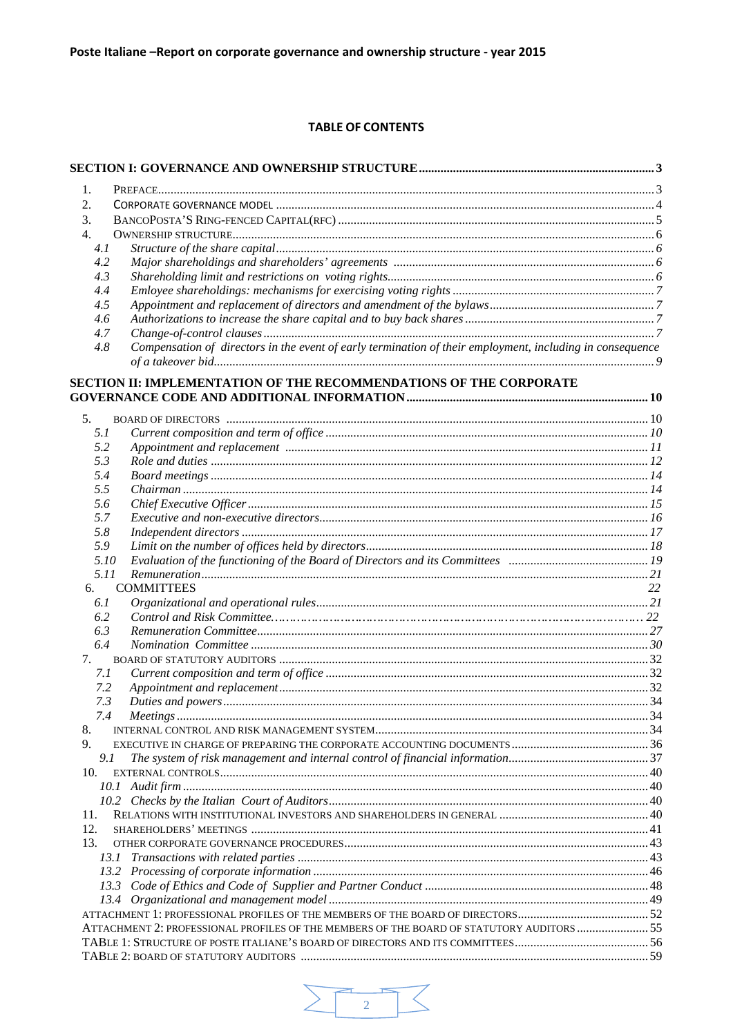# **TABLE OF CONTENTS**

| 1.        |                                                                                                           |    |
|-----------|-----------------------------------------------------------------------------------------------------------|----|
| 2.        |                                                                                                           |    |
| 3.        |                                                                                                           |    |
| 4.        |                                                                                                           |    |
| 4.1       |                                                                                                           |    |
| 4.2       |                                                                                                           |    |
| 4.3       |                                                                                                           |    |
| 4.4       |                                                                                                           |    |
| 4.5       |                                                                                                           |    |
| 4.6       |                                                                                                           |    |
| 4.7       |                                                                                                           |    |
| 4.8       | Compensation of directors in the event of early termination of their employment, including in consequence |    |
|           | SECTION II: IMPLEMENTATION OF THE RECOMMENDATIONS OF THE CORPORATE                                        |    |
|           |                                                                                                           |    |
| 5.<br>5.1 |                                                                                                           |    |
| 5.2       |                                                                                                           |    |
| 5.3       |                                                                                                           |    |
| 5.4       |                                                                                                           |    |
| 5.5       |                                                                                                           |    |
| 5.6       |                                                                                                           |    |
| 5.7       |                                                                                                           |    |
| 5.8       |                                                                                                           |    |
| 5.9       |                                                                                                           |    |
| 5.10      |                                                                                                           |    |
| 5.11      |                                                                                                           |    |
| 6.        | <b>COMMITTEES</b>                                                                                         | 22 |
| 6.1       |                                                                                                           |    |
| 6.2       |                                                                                                           |    |
| 6.3       |                                                                                                           |    |
| 6.4       |                                                                                                           |    |
| 7.        |                                                                                                           |    |
| 7.1       |                                                                                                           |    |
| 7.2       |                                                                                                           |    |
| 7.3       |                                                                                                           |    |
| 7.4<br>8. |                                                                                                           |    |
| 9.        |                                                                                                           |    |
| 9.1       |                                                                                                           |    |
| 10.       |                                                                                                           |    |
|           |                                                                                                           |    |
|           |                                                                                                           |    |
| 11.       |                                                                                                           |    |
| 12.       |                                                                                                           |    |
| 13.       |                                                                                                           |    |
|           |                                                                                                           |    |
|           |                                                                                                           |    |
| 13.3      |                                                                                                           |    |
| 13.4      |                                                                                                           |    |
|           |                                                                                                           |    |
|           | ATTACHMENT 2: PROFESSIONAL PROFILES OF THE MEMBERS OF THE BOARD OF STATUTORY AUDITORS  55                 |    |
|           |                                                                                                           |    |
|           |                                                                                                           |    |

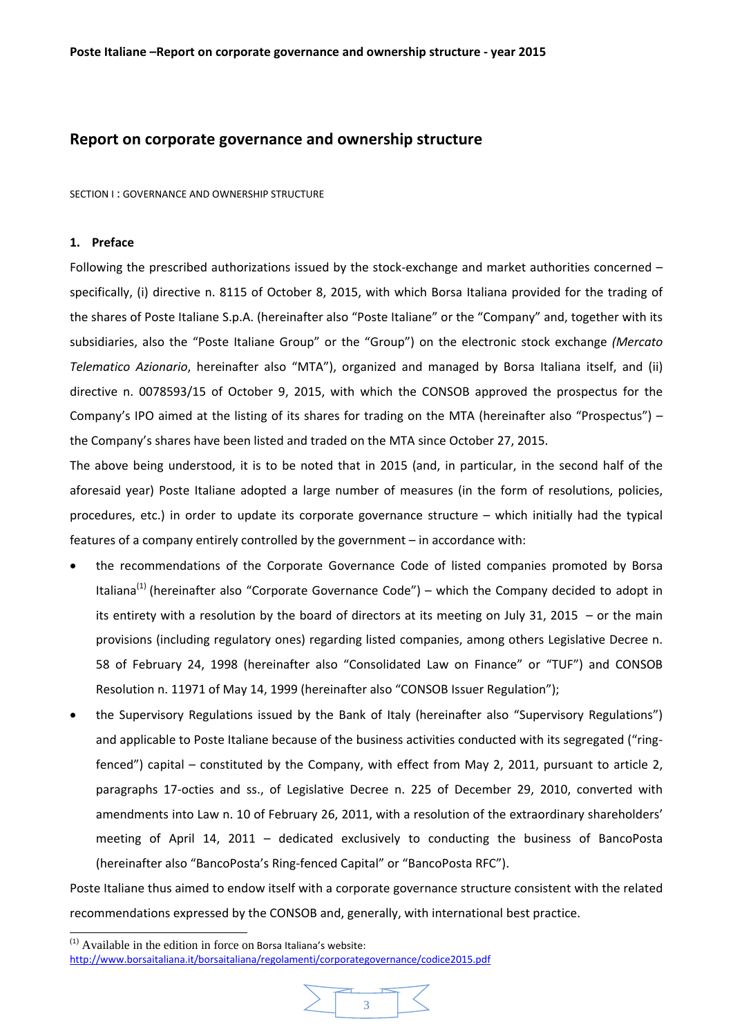# **Report on corporate governance and ownership structure**

SECTION I : GOVERNANCE AND OWNERSHIP STRUCTURE

# **1. Preface**

 $\overline{a}$ 

Following the prescribed authorizations issued by the stock-exchange and market authorities concerned – specifically, (i) directive n. 8115 of October 8, 2015, with which Borsa Italiana provided for the trading of the shares of Poste Italiane S.p.A. (hereinafter also "Poste Italiane" or the "Company" and, together with its subsidiaries, also the "Poste Italiane Group" or the "Group") on the electronic stock exchange *(Mercato Telematico Azionario*, hereinafter also "MTA"), organized and managed by Borsa Italiana itself, and (ii) directive n. 0078593/15 of October 9, 2015, with which the CONSOB approved the prospectus for the Company's IPO aimed at the listing of its shares for trading on the MTA (hereinafter also "Prospectus") – the Company's shares have been listed and traded on the MTA since October 27, 2015.

The above being understood, it is to be noted that in 2015 (and, in particular, in the second half of the aforesaid year) Poste Italiane adopted a large number of measures (in the form of resolutions, policies, procedures, etc.) in order to update its corporate governance structure – which initially had the typical features of a company entirely controlled by the government – in accordance with:

- the recommendations of the Corporate Governance Code of listed companies promoted by Borsa Italiana<sup>(1)</sup> (hereinafter also "Corporate Governance Code") – which the Company decided to adopt in its entirety with a resolution by the board of directors at its meeting on July 31, 2015  $-$  or the main provisions (including regulatory ones) regarding listed companies, among others Legislative Decree n. 58 of February 24, 1998 (hereinafter also "Consolidated Law on Finance" or "TUF") and CONSOB Resolution n. 11971 of May 14, 1999 (hereinafter also "CONSOB Issuer Regulation");
- the Supervisory Regulations issued by the Bank of Italy (hereinafter also "Supervisory Regulations") and applicable to Poste Italiane because of the business activities conducted with its segregated ("ringfenced") capital – constituted by the Company, with effect from May 2, 2011, pursuant to article 2, paragraphs 17‐octies and ss., of Legislative Decree n. 225 of December 29, 2010, converted with amendments into Law n. 10 of February 26, 2011, with a resolution of the extraordinary shareholders' meeting of April 14, 2011 – dedicated exclusively to conducting the business of BancoPosta (hereinafter also "BancoPosta's Ring‐fenced Capital" or "BancoPosta RFC").

Poste Italiane thus aimed to endow itself with a corporate governance structure consistent with the related recommendations expressed by the CONSOB and, generally, with international best practice.

 $<sup>(1)</sup>$  Available in the edition in force on Borsa Italiana's website:</sup> http://www.borsaitaliana.it/borsaitaliana/regolamenti/corporategovernance/codice2015.pdf

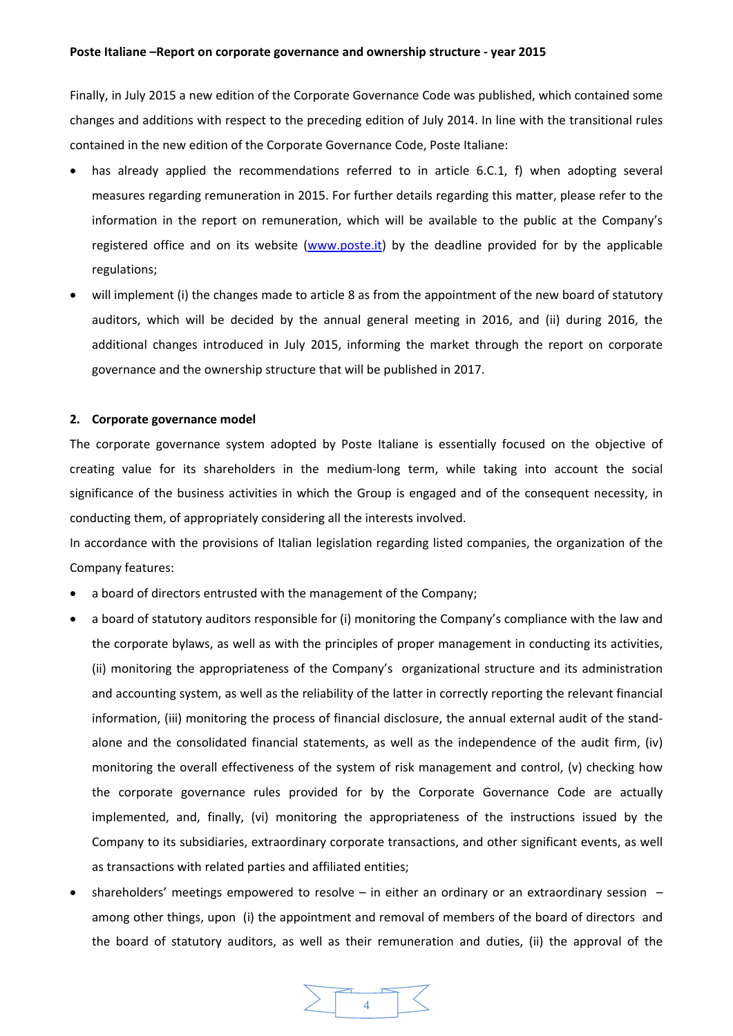Finally, in July 2015 a new edition of the Corporate Governance Code was published, which contained some changes and additions with respect to the preceding edition of July 2014. In line with the transitional rules contained in the new edition of the Corporate Governance Code, Poste Italiane:

- has already applied the recommendations referred to in article 6.C.1, f) when adopting several measures regarding remuneration in 2015. For further details regarding this matter, please refer to the information in the report on remuneration, which will be available to the public at the Company's registered office and on its website (www.poste.it) by the deadline provided for by the applicable regulations;
- will implement (i) the changes made to article 8 as from the appointment of the new board of statutory auditors, which will be decided by the annual general meeting in 2016, and (ii) during 2016, the additional changes introduced in July 2015, informing the market through the report on corporate governance and the ownership structure that will be published in 2017.

## **2. Corporate governance model**

The corporate governance system adopted by Poste Italiane is essentially focused on the objective of creating value for its shareholders in the medium‐long term, while taking into account the social significance of the business activities in which the Group is engaged and of the consequent necessity, in conducting them, of appropriately considering all the interests involved.

In accordance with the provisions of Italian legislation regarding listed companies, the organization of the Company features:

- a board of directors entrusted with the management of the Company;
- a board of statutory auditors responsible for (i) monitoring the Company's compliance with the law and the corporate bylaws, as well as with the principles of proper management in conducting its activities, (ii) monitoring the appropriateness of the Company's organizational structure and its administration and accounting system, as well as the reliability of the latter in correctly reporting the relevant financial information, (iii) monitoring the process of financial disclosure, the annual external audit of the stand‐ alone and the consolidated financial statements, as well as the independence of the audit firm, (iv) monitoring the overall effectiveness of the system of risk management and control, (v) checking how the corporate governance rules provided for by the Corporate Governance Code are actually implemented, and, finally, (vi) monitoring the appropriateness of the instructions issued by the Company to its subsidiaries, extraordinary corporate transactions, and other significant events, as well as transactions with related parties and affiliated entities;
- shareholders' meetings empowered to resolve  $-$  in either an ordinary or an extraordinary session  $$ among other things, upon (i) the appointment and removal of members of the board of directors and the board of statutory auditors, as well as their remuneration and duties, (ii) the approval of the

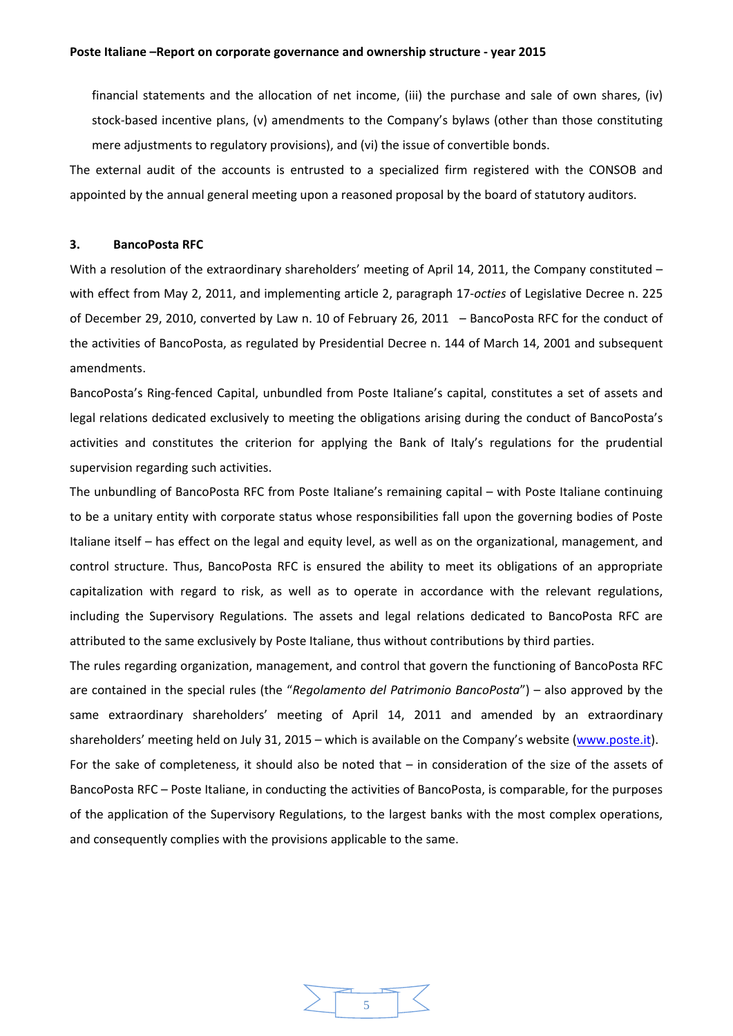financial statements and the allocation of net income, (iii) the purchase and sale of own shares, (iv) stock‐based incentive plans, (v) amendments to the Company's bylaws (other than those constituting mere adjustments to regulatory provisions), and (vi) the issue of convertible bonds.

The external audit of the accounts is entrusted to a specialized firm registered with the CONSOB and appointed by the annual general meeting upon a reasoned proposal by the board of statutory auditors.

#### **3. BancoPosta RFC**

With a resolution of the extraordinary shareholders' meeting of April 14, 2011, the Company constituted – with effect from May 2, 2011, and implementing article 2, paragraph 17‐*octies* of Legislative Decree n. 225 of December 29, 2010, converted by Law n. 10 of February 26, 2011 – BancoPosta RFC for the conduct of the activities of BancoPosta, as regulated by Presidential Decree n. 144 of March 14, 2001 and subsequent amendments.

BancoPosta's Ring‐fenced Capital, unbundled from Poste Italiane's capital, constitutes a set of assets and legal relations dedicated exclusively to meeting the obligations arising during the conduct of BancoPosta's activities and constitutes the criterion for applying the Bank of Italy's regulations for the prudential supervision regarding such activities.

The unbundling of BancoPosta RFC from Poste Italiane's remaining capital – with Poste Italiane continuing to be a unitary entity with corporate status whose responsibilities fall upon the governing bodies of Poste Italiane itself – has effect on the legal and equity level, as well as on the organizational, management, and control structure. Thus, BancoPosta RFC is ensured the ability to meet its obligations of an appropriate capitalization with regard to risk, as well as to operate in accordance with the relevant regulations, including the Supervisory Regulations. The assets and legal relations dedicated to BancoPosta RFC are attributed to the same exclusively by Poste Italiane, thus without contributions by third parties.

The rules regarding organization, management, and control that govern the functioning of BancoPosta RFC are contained in the special rules (the "*Regolamento del Patrimonio BancoPosta*") – also approved by the same extraordinary shareholders' meeting of April 14, 2011 and amended by an extraordinary shareholders' meeting held on July 31, 2015 – which is available on the Company's website (www.poste.it). For the sake of completeness, it should also be noted that – in consideration of the size of the assets of BancoPosta RFC – Poste Italiane, in conducting the activities of BancoPosta, is comparable, for the purposes of the application of the Supervisory Regulations, to the largest banks with the most complex operations, and consequently complies with the provisions applicable to the same.

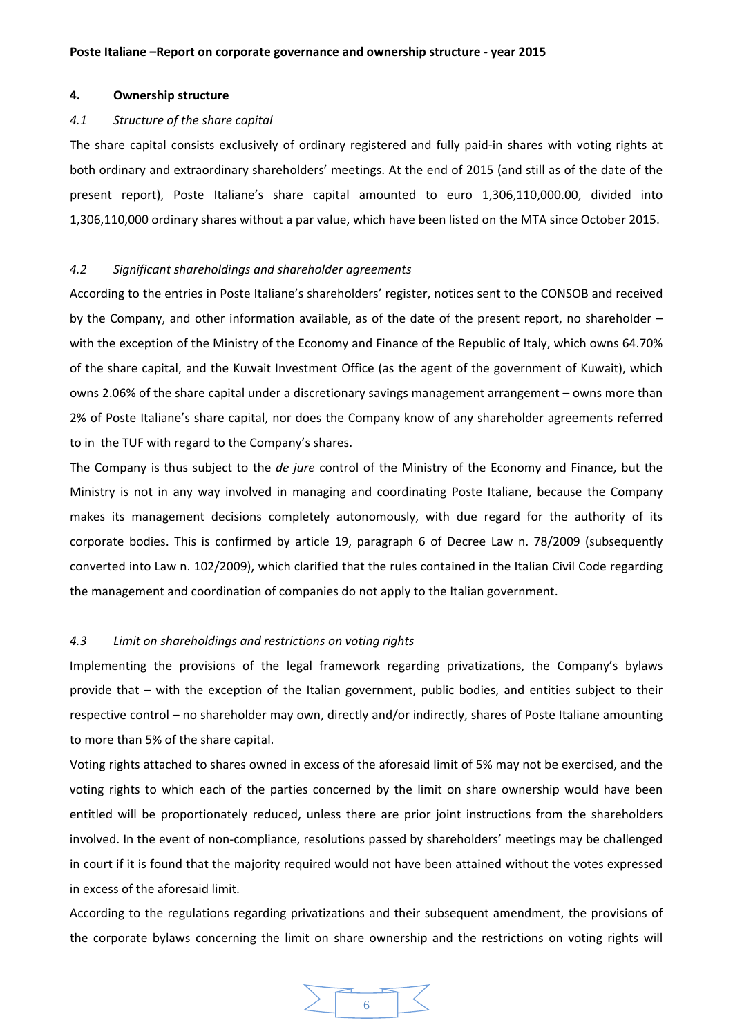#### **4. Ownership structure**

#### *4.1 Structure of the share capital*

The share capital consists exclusively of ordinary registered and fully paid-in shares with voting rights at both ordinary and extraordinary shareholders' meetings. At the end of 2015 (and still as of the date of the present report), Poste Italiane's share capital amounted to euro 1,306,110,000.00, divided into 1,306,110,000 ordinary shares without a par value, which have been listed on the MTA since October 2015.

#### *4.2 Significant shareholdings and shareholder agreements*

According to the entries in Poste Italiane's shareholders' register, notices sent to the CONSOB and received by the Company, and other information available, as of the date of the present report, no shareholder – with the exception of the Ministry of the Economy and Finance of the Republic of Italy, which owns 64.70% of the share capital, and the Kuwait Investment Office (as the agent of the government of Kuwait), which owns 2.06% of the share capital under a discretionary savings management arrangement – owns more than 2% of Poste Italiane's share capital, nor does the Company know of any shareholder agreements referred to in the TUF with regard to the Company's shares.

The Company is thus subject to the *de jure* control of the Ministry of the Economy and Finance, but the Ministry is not in any way involved in managing and coordinating Poste Italiane, because the Company makes its management decisions completely autonomously, with due regard for the authority of its corporate bodies. This is confirmed by article 19, paragraph 6 of Decree Law n. 78/2009 (subsequently converted into Law n. 102/2009), which clarified that the rules contained in the Italian Civil Code regarding the management and coordination of companies do not apply to the Italian government.

# *4.3 Limit on shareholdings and restrictions on voting rights*

Implementing the provisions of the legal framework regarding privatizations, the Company's bylaws provide that – with the exception of the Italian government, public bodies, and entities subject to their respective control – no shareholder may own, directly and/or indirectly, shares of Poste Italiane amounting to more than 5% of the share capital.

Voting rights attached to shares owned in excess of the aforesaid limit of 5% may not be exercised, and the voting rights to which each of the parties concerned by the limit on share ownership would have been entitled will be proportionately reduced, unless there are prior joint instructions from the shareholders involved. In the event of non‐compliance, resolutions passed by shareholders' meetings may be challenged in court if it is found that the majority required would not have been attained without the votes expressed in excess of the aforesaid limit.

According to the regulations regarding privatizations and their subsequent amendment, the provisions of the corporate bylaws concerning the limit on share ownership and the restrictions on voting rights will

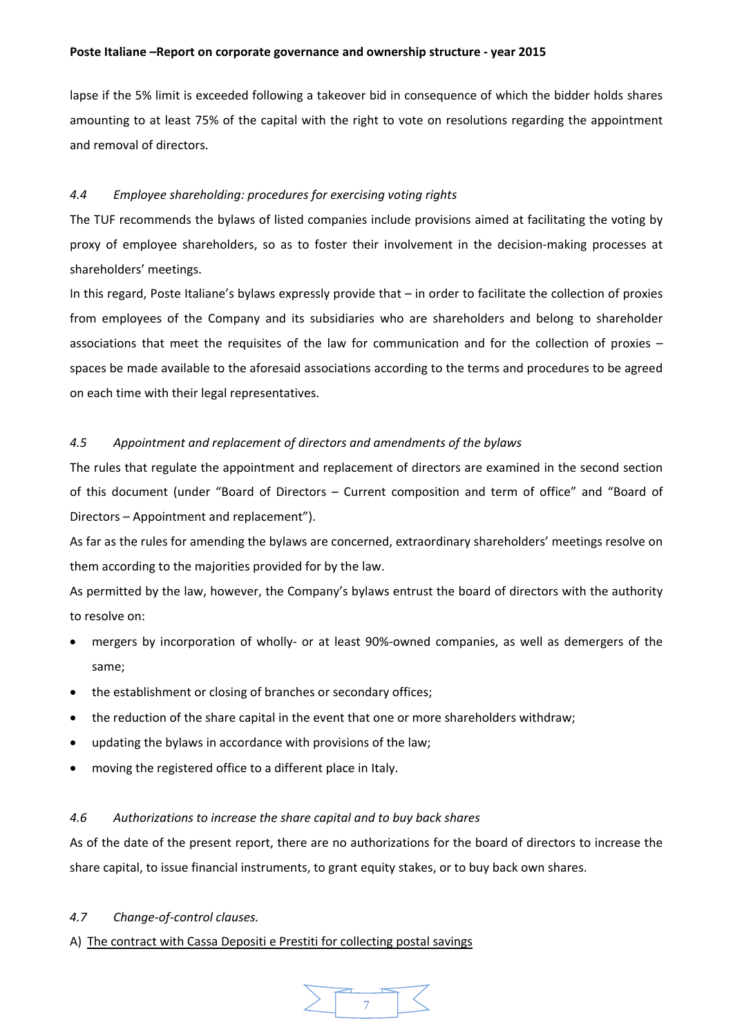lapse if the 5% limit is exceeded following a takeover bid in consequence of which the bidder holds shares amounting to at least 75% of the capital with the right to vote on resolutions regarding the appointment and removal of directors.

# *4.4 Employee shareholding: procedures for exercising voting rights*

The TUF recommends the bylaws of listed companies include provisions aimed at facilitating the voting by proxy of employee shareholders, so as to foster their involvement in the decision‐making processes at shareholders' meetings.

In this regard, Poste Italiane's bylaws expressly provide that – in order to facilitate the collection of proxies from employees of the Company and its subsidiaries who are shareholders and belong to shareholder associations that meet the requisites of the law for communication and for the collection of proxies – spaces be made available to the aforesaid associations according to the terms and procedures to be agreed on each time with their legal representatives.

# *4.5 Appointment and replacement of directors and amendments of the bylaws*

The rules that regulate the appointment and replacement of directors are examined in the second section of this document (under "Board of Directors – Current composition and term of office" and "Board of Directors – Appointment and replacement").

As far as the rules for amending the bylaws are concerned, extraordinary shareholders' meetings resolve on them according to the majorities provided for by the law.

As permitted by the law, however, the Company's bylaws entrust the board of directors with the authority to resolve on:

- mergers by incorporation of wholly- or at least 90%-owned companies, as well as demergers of the same;
- the establishment or closing of branches or secondary offices;
- the reduction of the share capital in the event that one or more shareholders withdraw;
- updating the bylaws in accordance with provisions of the law;
- moving the registered office to a different place in Italy.

## *4.6 Authorizations to increase the share capital and to buy back shares*

As of the date of the present report, there are no authorizations for the board of directors to increase the share capital, to issue financial instruments, to grant equity stakes, or to buy back own shares.

## *4.7 Change‐of‐control clauses.*

## A) The contract with Cassa Depositi e Prestiti for collecting postal savings

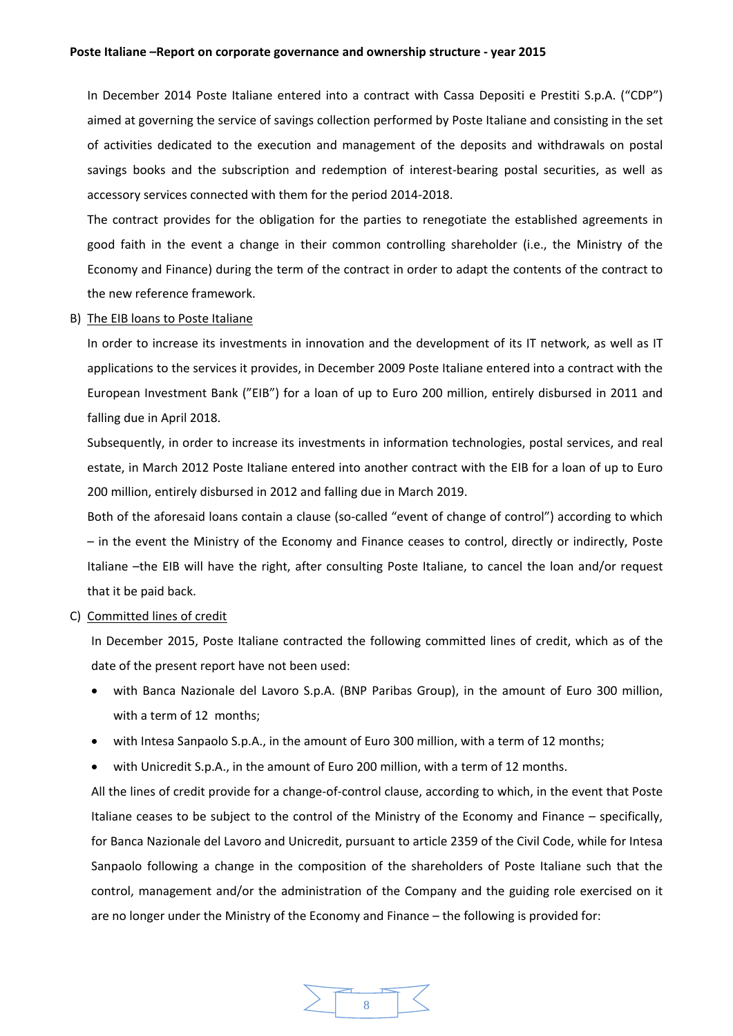In December 2014 Poste Italiane entered into a contract with Cassa Depositi e Prestiti S.p.A. ("CDP") aimed at governing the service of savings collection performed by Poste Italiane and consisting in the set of activities dedicated to the execution and management of the deposits and withdrawals on postal savings books and the subscription and redemption of interest-bearing postal securities, as well as accessory services connected with them for the period 2014‐2018.

The contract provides for the obligation for the parties to renegotiate the established agreements in good faith in the event a change in their common controlling shareholder (i.e., the Ministry of the Economy and Finance) during the term of the contract in order to adapt the contents of the contract to the new reference framework.

B) The EIB loans to Poste Italiane

In order to increase its investments in innovation and the development of its IT network, as well as IT applications to the services it provides, in December 2009 Poste Italiane entered into a contract with the European Investment Bank ("EIB") for a loan of up to Euro 200 million, entirely disbursed in 2011 and falling due in April 2018.

Subsequently, in order to increase its investments in information technologies, postal services, and real estate, in March 2012 Poste Italiane entered into another contract with the EIB for a loan of up to Euro 200 million, entirely disbursed in 2012 and falling due in March 2019.

Both of the aforesaid loans contain a clause (so‐called "event of change of control") according to which – in the event the Ministry of the Economy and Finance ceases to control, directly or indirectly, Poste Italiane –the EIB will have the right, after consulting Poste Italiane, to cancel the loan and/or request that it be paid back.

## C) Committed lines of credit

In December 2015, Poste Italiane contracted the following committed lines of credit, which as of the date of the present report have not been used:

- with Banca Nazionale del Lavoro S.p.A. (BNP Paribas Group), in the amount of Euro 300 million, with a term of 12 months;
- with Intesa Sanpaolo S.p.A., in the amount of Euro 300 million, with a term of 12 months;
- with Unicredit S.p.A., in the amount of Euro 200 million, with a term of 12 months.

All the lines of credit provide for a change‐of‐control clause, according to which, in the event that Poste Italiane ceases to be subject to the control of the Ministry of the Economy and Finance – specifically, for Banca Nazionale del Lavoro and Unicredit, pursuant to article 2359 of the Civil Code, while for Intesa Sanpaolo following a change in the composition of the shareholders of Poste Italiane such that the control, management and/or the administration of the Company and the guiding role exercised on it are no longer under the Ministry of the Economy and Finance – the following is provided for:

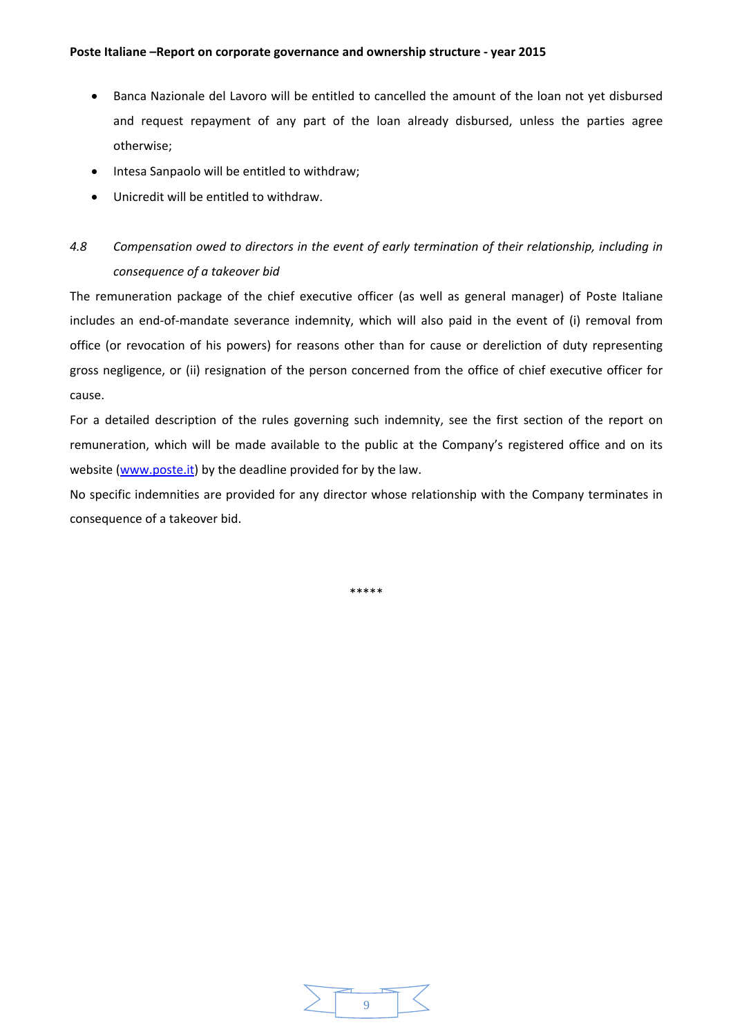- Banca Nazionale del Lavoro will be entitled to cancelled the amount of the loan not yet disbursed and request repayment of any part of the loan already disbursed, unless the parties agree otherwise;
- Intesa Sanpaolo will be entitled to withdraw;
- Unicredit will be entitled to withdraw.

# *4.8 Compensation owed to directors in the event of early termination of their relationship, including in consequence of a takeover bid*

The remuneration package of the chief executive officer (as well as general manager) of Poste Italiane includes an end‐of‐mandate severance indemnity, which will also paid in the event of (i) removal from office (or revocation of his powers) for reasons other than for cause or dereliction of duty representing gross negligence, or (ii) resignation of the person concerned from the office of chief executive officer for cause.

For a detailed description of the rules governing such indemnity, see the first section of the report on remuneration, which will be made available to the public at the Company's registered office and on its website (www.poste.it) by the deadline provided for by the law.

No specific indemnities are provided for any director whose relationship with the Company terminates in consequence of a takeover bid.

\*\*\*\*\*

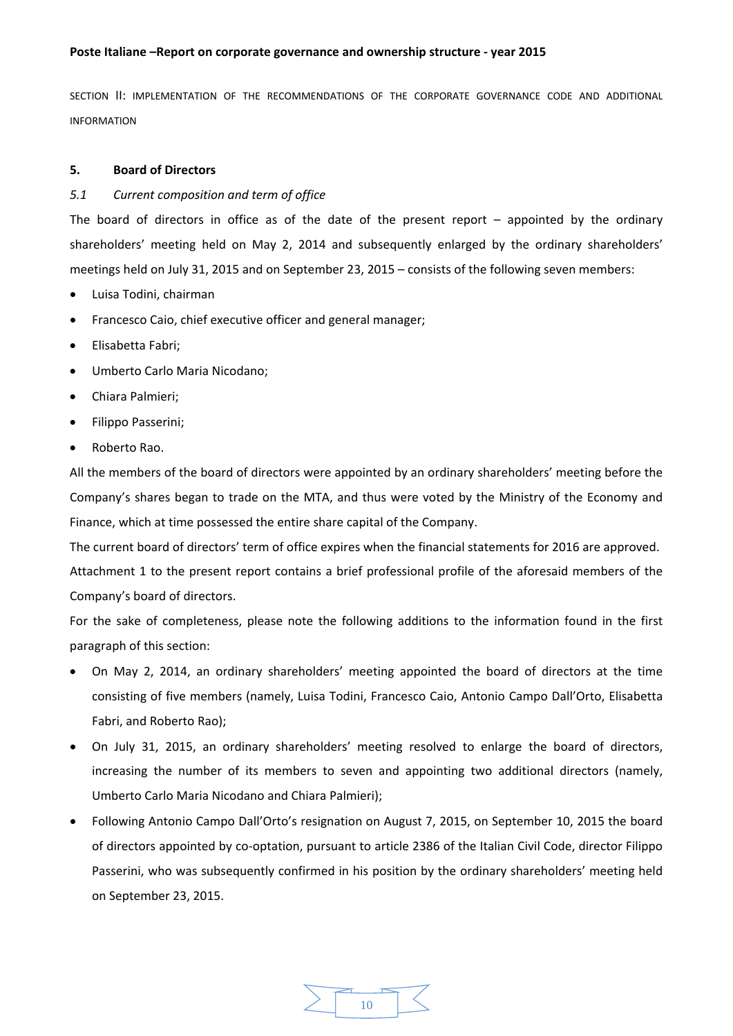SECTION II: IMPLEMENTATION OF THE RECOMMENDATIONS OF THE CORPORATE GOVERNANCE CODE AND ADDITIONAL INFORMATION

# **5. Board of Directors**

# *5.1 Current composition and term of office*

The board of directors in office as of the date of the present report – appointed by the ordinary shareholders' meeting held on May 2, 2014 and subsequently enlarged by the ordinary shareholders' meetings held on July 31, 2015 and on September 23, 2015 – consists of the following seven members:

- Luisa Todini, chairman
- Francesco Caio, chief executive officer and general manager;
- **•** Flisabetta Fabri:
- Umberto Carlo Maria Nicodano;
- Chiara Palmieri;
- Filippo Passerini;
- Roberto Rao.

All the members of the board of directors were appointed by an ordinary shareholders' meeting before the Company's shares began to trade on the MTA, and thus were voted by the Ministry of the Economy and Finance, which at time possessed the entire share capital of the Company.

The current board of directors' term of office expires when the financial statements for 2016 are approved. Attachment 1 to the present report contains a brief professional profile of the aforesaid members of the Company's board of directors.

For the sake of completeness, please note the following additions to the information found in the first paragraph of this section:

- On May 2, 2014, an ordinary shareholders' meeting appointed the board of directors at the time consisting of five members (namely, Luisa Todini, Francesco Caio, Antonio Campo Dall'Orto, Elisabetta Fabri, and Roberto Rao);
- On July 31, 2015, an ordinary shareholders' meeting resolved to enlarge the board of directors, increasing the number of its members to seven and appointing two additional directors (namely, Umberto Carlo Maria Nicodano and Chiara Palmieri);
- Following Antonio Campo Dall'Orto's resignation on August 7, 2015, on September 10, 2015 the board of directors appointed by co‐optation, pursuant to article 2386 of the Italian Civil Code, director Filippo Passerini, who was subsequently confirmed in his position by the ordinary shareholders' meeting held on September 23, 2015.

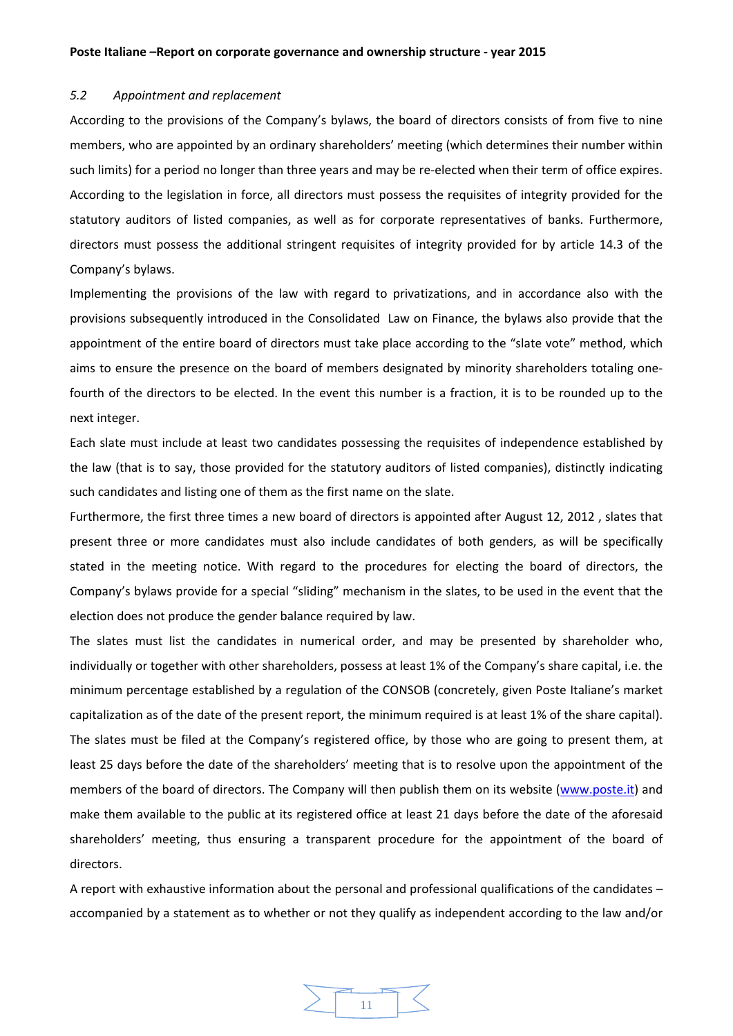#### *5.2 Appointment and replacement*

According to the provisions of the Company's bylaws, the board of directors consists of from five to nine members, who are appointed by an ordinary shareholders' meeting (which determines their number within such limits) for a period no longer than three years and may be re-elected when their term of office expires. According to the legislation in force, all directors must possess the requisites of integrity provided for the statutory auditors of listed companies, as well as for corporate representatives of banks. Furthermore, directors must possess the additional stringent requisites of integrity provided for by article 14.3 of the Company's bylaws.

Implementing the provisions of the law with regard to privatizations, and in accordance also with the provisions subsequently introduced in the Consolidated Law on Finance, the bylaws also provide that the appointment of the entire board of directors must take place according to the "slate vote" method, which aims to ensure the presence on the board of members designated by minority shareholders totaling one‐ fourth of the directors to be elected. In the event this number is a fraction, it is to be rounded up to the next integer.

Each slate must include at least two candidates possessing the requisites of independence established by the law (that is to say, those provided for the statutory auditors of listed companies), distinctly indicating such candidates and listing one of them as the first name on the slate.

Furthermore, the first three times a new board of directors is appointed after August 12, 2012 , slates that present three or more candidates must also include candidates of both genders, as will be specifically stated in the meeting notice. With regard to the procedures for electing the board of directors, the Company's bylaws provide for a special "sliding" mechanism in the slates, to be used in the event that the election does not produce the gender balance required by law.

The slates must list the candidates in numerical order, and may be presented by shareholder who, individually or together with other shareholders, possess at least 1% of the Company's share capital, i.e. the minimum percentage established by a regulation of the CONSOB (concretely, given Poste Italiane's market capitalization as of the date of the present report, the minimum required is at least 1% of the share capital). The slates must be filed at the Company's registered office, by those who are going to present them, at least 25 days before the date of the shareholders' meeting that is to resolve upon the appointment of the members of the board of directors. The Company will then publish them on its website (www.poste.it) and make them available to the public at its registered office at least 21 days before the date of the aforesaid shareholders' meeting, thus ensuring a transparent procedure for the appointment of the board of directors.

A report with exhaustive information about the personal and professional qualifications of the candidates – accompanied by a statement as to whether or not they qualify as independent according to the law and/or

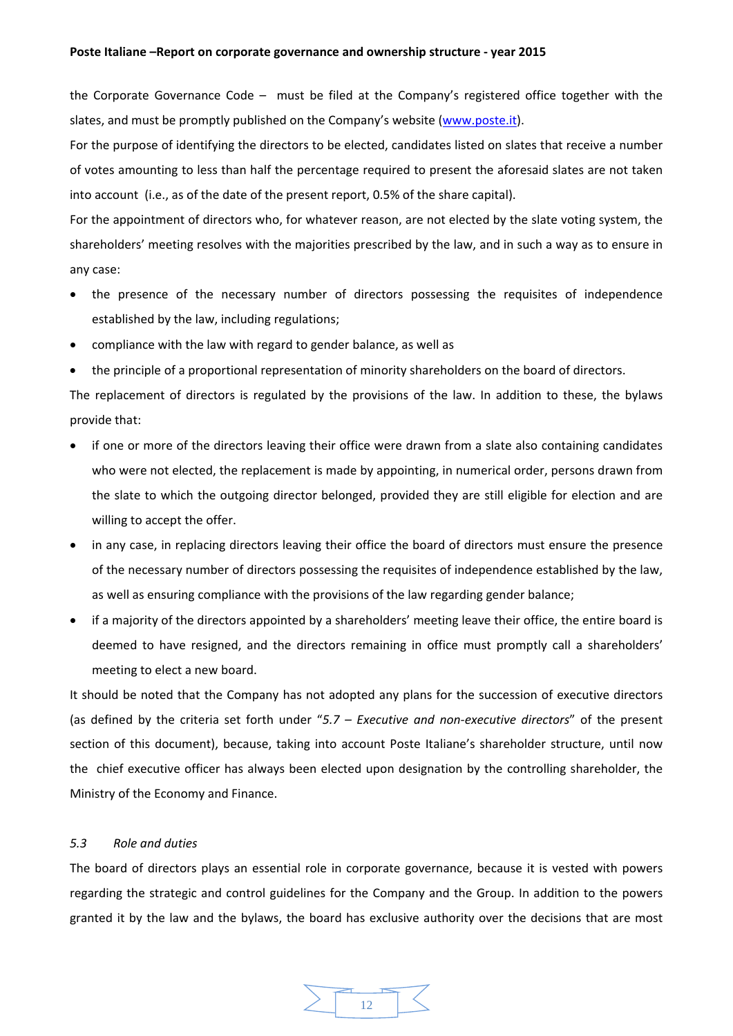the Corporate Governance Code – must be filed at the Company's registered office together with the slates, and must be promptly published on the Company's website (www.poste.it).

For the purpose of identifying the directors to be elected, candidates listed on slates that receive a number of votes amounting to less than half the percentage required to present the aforesaid slates are not taken into account (i.e., as of the date of the present report, 0.5% of the share capital).

For the appointment of directors who, for whatever reason, are not elected by the slate voting system, the shareholders' meeting resolves with the majorities prescribed by the law, and in such a way as to ensure in any case:

- the presence of the necessary number of directors possessing the requisites of independence established by the law, including regulations;
- compliance with the law with regard to gender balance, as well as
- the principle of a proportional representation of minority shareholders on the board of directors.

The replacement of directors is regulated by the provisions of the law. In addition to these, the bylaws provide that:

- if one or more of the directors leaving their office were drawn from a slate also containing candidates who were not elected, the replacement is made by appointing, in numerical order, persons drawn from the slate to which the outgoing director belonged, provided they are still eligible for election and are willing to accept the offer.
- in any case, in replacing directors leaving their office the board of directors must ensure the presence of the necessary number of directors possessing the requisites of independence established by the law, as well as ensuring compliance with the provisions of the law regarding gender balance;
- if a majority of the directors appointed by a shareholders' meeting leave their office, the entire board is deemed to have resigned, and the directors remaining in office must promptly call a shareholders' meeting to elect a new board.

It should be noted that the Company has not adopted any plans for the succession of executive directors (as defined by the criteria set forth under "*5.7 – Executive and non‐executive directors*" of the present section of this document), because, taking into account Poste Italiane's shareholder structure, until now the chief executive officer has always been elected upon designation by the controlling shareholder, the Ministry of the Economy and Finance.

# *5.3 Role and duties*

The board of directors plays an essential role in corporate governance, because it is vested with powers regarding the strategic and control guidelines for the Company and the Group. In addition to the powers granted it by the law and the bylaws, the board has exclusive authority over the decisions that are most

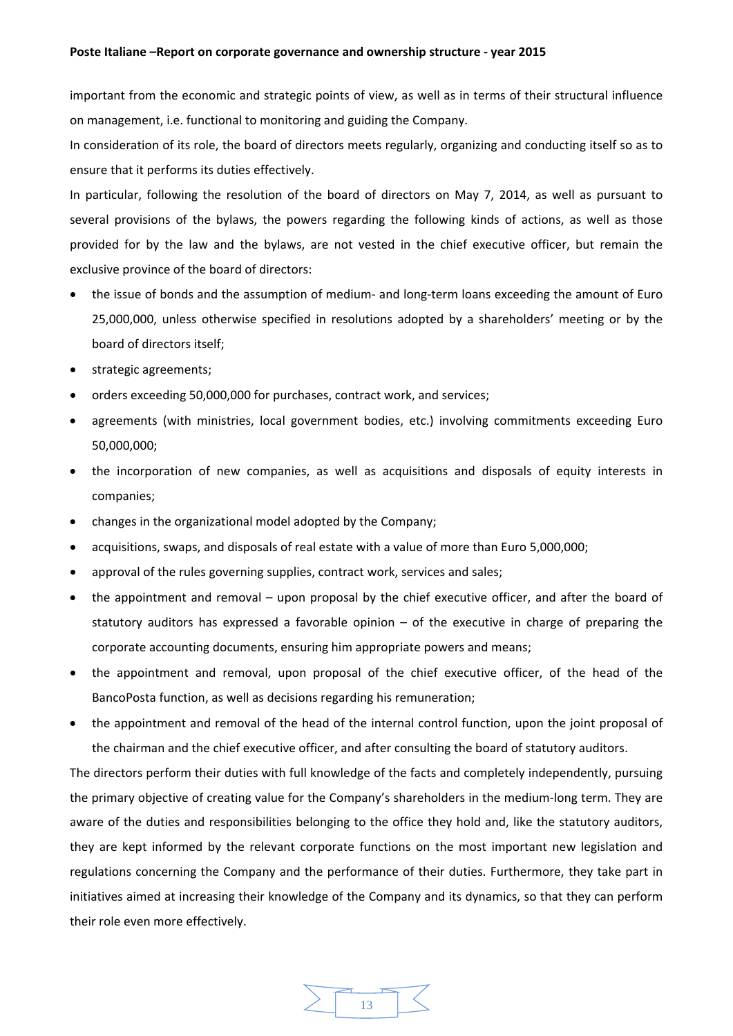important from the economic and strategic points of view, as well as in terms of their structural influence on management, i.e. functional to monitoring and guiding the Company.

In consideration of its role, the board of directors meets regularly, organizing and conducting itself so as to ensure that it performs its duties effectively.

In particular, following the resolution of the board of directors on May 7, 2014, as well as pursuant to several provisions of the bylaws, the powers regarding the following kinds of actions, as well as those provided for by the law and the bylaws, are not vested in the chief executive officer, but remain the exclusive province of the board of directors:

- the issue of bonds and the assumption of medium- and long-term loans exceeding the amount of Euro 25,000,000, unless otherwise specified in resolutions adopted by a shareholders' meeting or by the board of directors itself;
- strategic agreements;
- orders exceeding 50,000,000 for purchases, contract work, and services;
- agreements (with ministries, local government bodies, etc.) involving commitments exceeding Euro 50,000,000;
- the incorporation of new companies, as well as acquisitions and disposals of equity interests in companies;
- changes in the organizational model adopted by the Company;
- acquisitions, swaps, and disposals of real estate with a value of more than Euro 5,000,000;
- approval of the rules governing supplies, contract work, services and sales;
- the appointment and removal upon proposal by the chief executive officer, and after the board of statutory auditors has expressed a favorable opinion – of the executive in charge of preparing the corporate accounting documents, ensuring him appropriate powers and means;
- the appointment and removal, upon proposal of the chief executive officer, of the head of the BancoPosta function, as well as decisions regarding his remuneration;
- the appointment and removal of the head of the internal control function, upon the joint proposal of the chairman and the chief executive officer, and after consulting the board of statutory auditors.

The directors perform their duties with full knowledge of the facts and completely independently, pursuing the primary objective of creating value for the Company's shareholders in the medium‐long term. They are aware of the duties and responsibilities belonging to the office they hold and, like the statutory auditors, they are kept informed by the relevant corporate functions on the most important new legislation and regulations concerning the Company and the performance of their duties. Furthermore, they take part in initiatives aimed at increasing their knowledge of the Company and its dynamics, so that they can perform their role even more effectively.

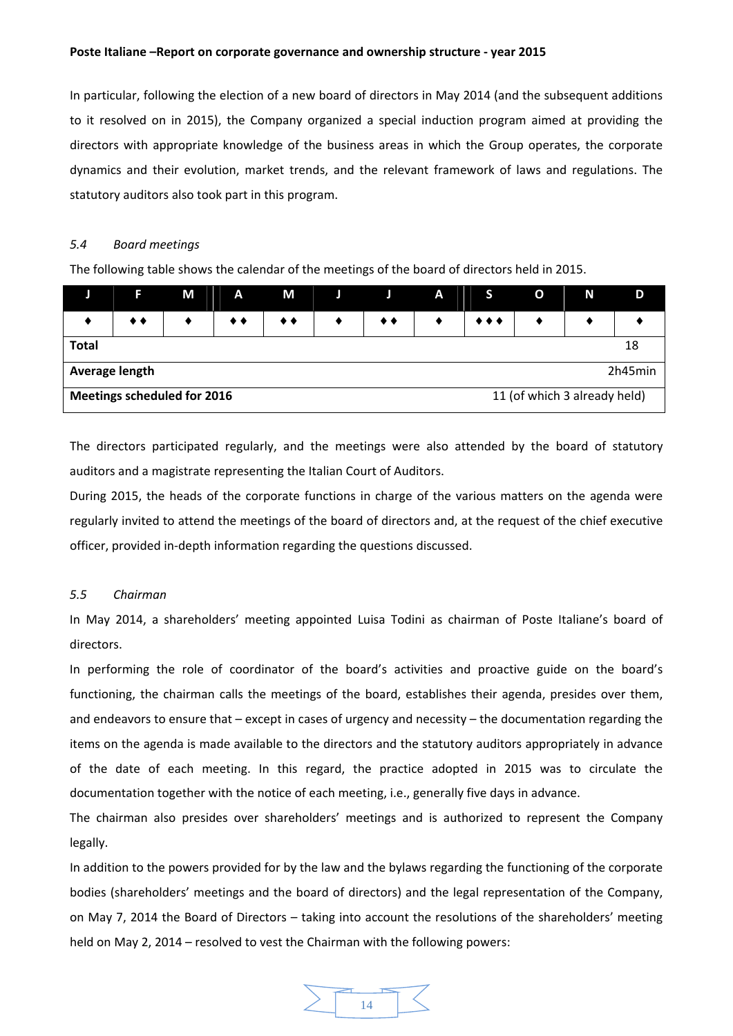In particular, following the election of a new board of directors in May 2014 (and the subsequent additions to it resolved on in 2015), the Company organized a special induction program aimed at providing the directors with appropriate knowledge of the business areas in which the Group operates, the corporate dynamics and their evolution, market trends, and the relevant framework of laws and regulations. The statutory auditors also took part in this program.

#### *5.4 Board meetings*

The following table shows the calendar of the meetings of the board of directors held in 2015.

|                                                             | п                | М | A  | M  |  |  | A |                         | O | N | D |
|-------------------------------------------------------------|------------------|---|----|----|--|--|---|-------------------------|---|---|---|
|                                                             | $\bullet\bullet$ |   | ◆◆ | ◆◆ |  |  |   | $\bullet\bullet\bullet$ |   |   |   |
| <b>Total</b>                                                | 18               |   |    |    |  |  |   |                         |   |   |   |
| 2h45min<br>Average length                                   |                  |   |    |    |  |  |   |                         |   |   |   |
| Meetings scheduled for 2016<br>11 (of which 3 already held) |                  |   |    |    |  |  |   |                         |   |   |   |

The directors participated regularly, and the meetings were also attended by the board of statutory auditors and a magistrate representing the Italian Court of Auditors.

During 2015, the heads of the corporate functions in charge of the various matters on the agenda were regularly invited to attend the meetings of the board of directors and, at the request of the chief executive officer, provided in‐depth information regarding the questions discussed.

## *5.5 Chairman*

In May 2014, a shareholders' meeting appointed Luisa Todini as chairman of Poste Italiane's board of directors.

In performing the role of coordinator of the board's activities and proactive guide on the board's functioning, the chairman calls the meetings of the board, establishes their agenda, presides over them, and endeavors to ensure that – except in cases of urgency and necessity – the documentation regarding the items on the agenda is made available to the directors and the statutory auditors appropriately in advance of the date of each meeting. In this regard, the practice adopted in 2015 was to circulate the documentation together with the notice of each meeting, i.e., generally five days in advance.

The chairman also presides over shareholders' meetings and is authorized to represent the Company legally.

In addition to the powers provided for by the law and the bylaws regarding the functioning of the corporate bodies (shareholders' meetings and the board of directors) and the legal representation of the Company, on May 7, 2014 the Board of Directors – taking into account the resolutions of the shareholders' meeting held on May 2, 2014 – resolved to vest the Chairman with the following powers:

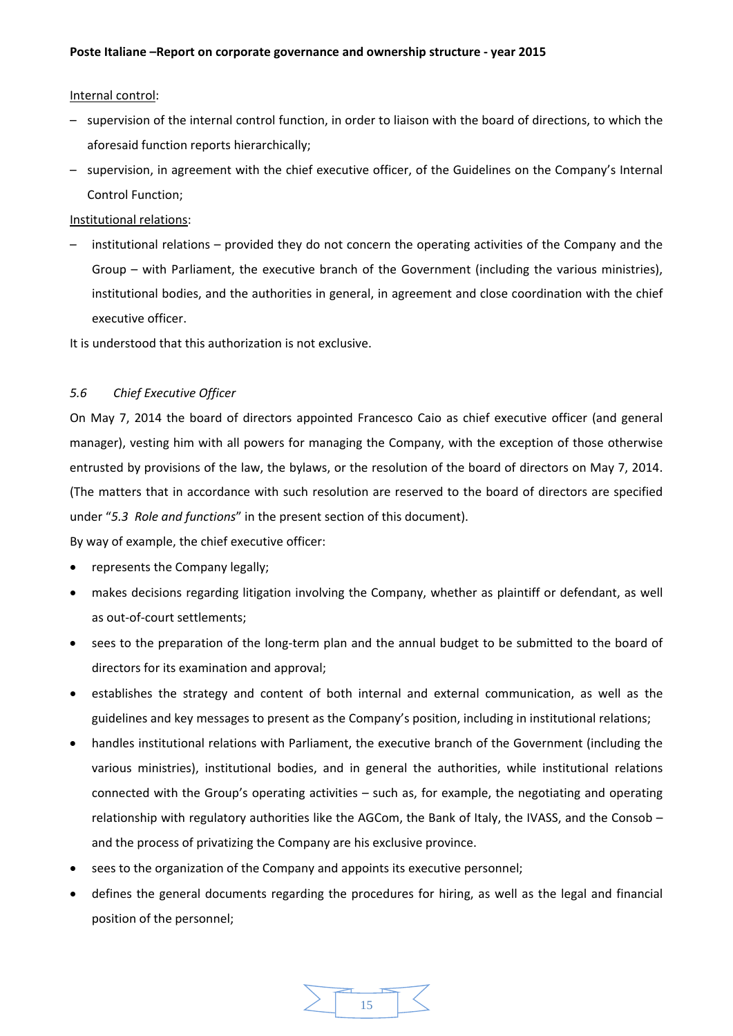# Internal control:

- supervision of the internal control function, in order to liaison with the board of directions, to which the aforesaid function reports hierarchically;
- supervision, in agreement with the chief executive officer, of the Guidelines on the Company's Internal Control Function;

Institutional relations:

– institutional relations – provided they do not concern the operating activities of the Company and the Group – with Parliament, the executive branch of the Government (including the various ministries), institutional bodies, and the authorities in general, in agreement and close coordination with the chief executive officer.

It is understood that this authorization is not exclusive.

# *5.6 Chief Executive Officer*

On May 7, 2014 the board of directors appointed Francesco Caio as chief executive officer (and general manager), vesting him with all powers for managing the Company, with the exception of those otherwise entrusted by provisions of the law, the bylaws, or the resolution of the board of directors on May 7, 2014. (The matters that in accordance with such resolution are reserved to the board of directors are specified under "*5.3 Role and functions*" in the present section of this document).

By way of example, the chief executive officer:

- represents the Company legally;
- makes decisions regarding litigation involving the Company, whether as plaintiff or defendant, as well as out‐of‐court settlements;
- sees to the preparation of the long-term plan and the annual budget to be submitted to the board of directors for its examination and approval;
- establishes the strategy and content of both internal and external communication, as well as the guidelines and key messages to present as the Company's position, including in institutional relations;
- handles institutional relations with Parliament, the executive branch of the Government (including the various ministries), institutional bodies, and in general the authorities, while institutional relations connected with the Group's operating activities – such as, for example, the negotiating and operating relationship with regulatory authorities like the AGCom, the Bank of Italy, the IVASS, and the Consob – and the process of privatizing the Company are his exclusive province.
- sees to the organization of the Company and appoints its executive personnel;
- defines the general documents regarding the procedures for hiring, as well as the legal and financial position of the personnel;

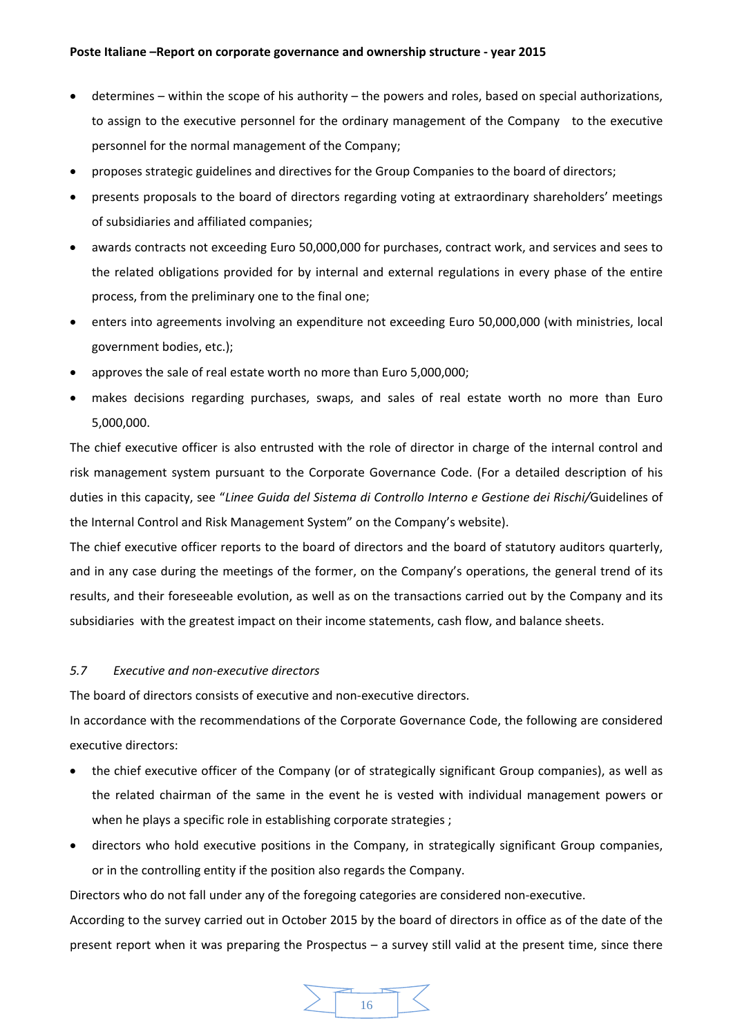- determines within the scope of his authority the powers and roles, based on special authorizations, to assign to the executive personnel for the ordinary management of the Company to the executive personnel for the normal management of the Company;
- proposes strategic guidelines and directives for the Group Companies to the board of directors;
- presents proposals to the board of directors regarding voting at extraordinary shareholders' meetings of subsidiaries and affiliated companies;
- awards contracts not exceeding Euro 50,000,000 for purchases, contract work, and services and sees to the related obligations provided for by internal and external regulations in every phase of the entire process, from the preliminary one to the final one;
- enters into agreements involving an expenditure not exceeding Euro 50,000,000 (with ministries, local government bodies, etc.);
- approves the sale of real estate worth no more than Euro 5,000,000;
- makes decisions regarding purchases, swaps, and sales of real estate worth no more than Euro 5,000,000.

The chief executive officer is also entrusted with the role of director in charge of the internal control and risk management system pursuant to the Corporate Governance Code. (For a detailed description of his duties in this capacity, see "*Linee Guida del Sistema di Controllo Interno e Gestione dei Rischi/*Guidelines of the Internal Control and Risk Management System" on the Company's website).

The chief executive officer reports to the board of directors and the board of statutory auditors quarterly, and in any case during the meetings of the former, on the Company's operations, the general trend of its results, and their foreseeable evolution, as well as on the transactions carried out by the Company and its subsidiaries with the greatest impact on their income statements, cash flow, and balance sheets.

# *5.7 Executive and non‐executive directors*

The board of directors consists of executive and non‐executive directors.

In accordance with the recommendations of the Corporate Governance Code, the following are considered executive directors:

- the chief executive officer of the Company (or of strategically significant Group companies), as well as the related chairman of the same in the event he is vested with individual management powers or when he plays a specific role in establishing corporate strategies ;
- directors who hold executive positions in the Company, in strategically significant Group companies, or in the controlling entity if the position also regards the Company.

Directors who do not fall under any of the foregoing categories are considered non‐executive.

According to the survey carried out in October 2015 by the board of directors in office as of the date of the present report when it was preparing the Prospectus – a survey still valid at the present time, since there

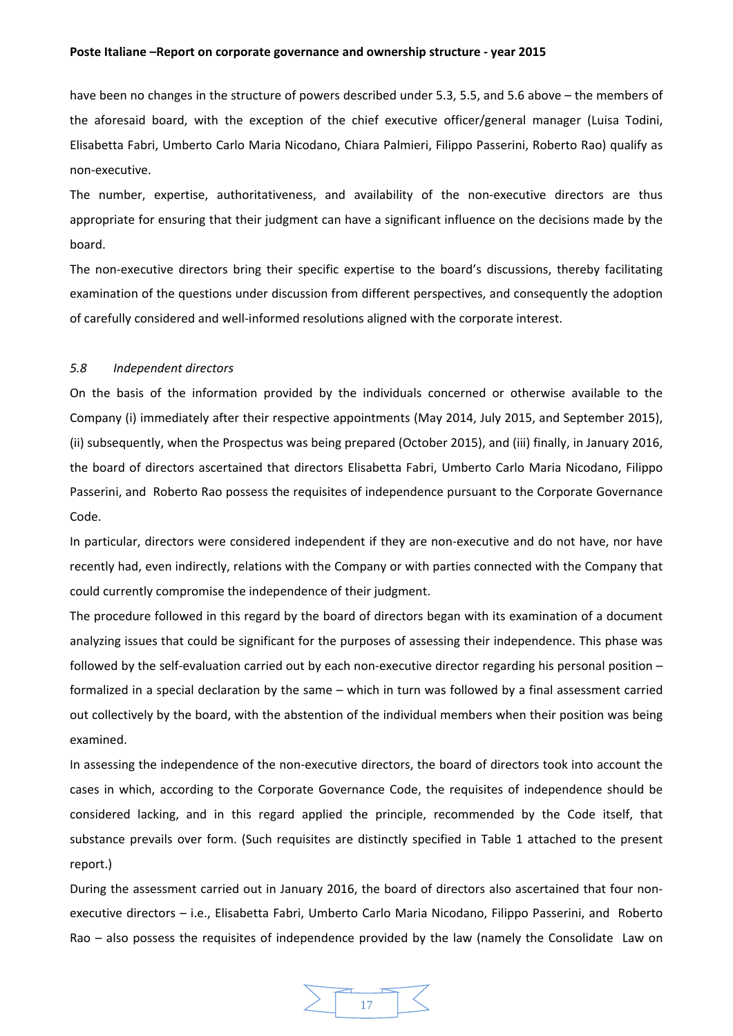have been no changes in the structure of powers described under 5.3, 5.5, and 5.6 above – the members of the aforesaid board, with the exception of the chief executive officer/general manager (Luisa Todini, Elisabetta Fabri, Umberto Carlo Maria Nicodano, Chiara Palmieri, Filippo Passerini, Roberto Rao) qualify as non‐executive.

The number, expertise, authoritativeness, and availability of the non-executive directors are thus appropriate for ensuring that their judgment can have a significant influence on the decisions made by the board.

The non-executive directors bring their specific expertise to the board's discussions, thereby facilitating examination of the questions under discussion from different perspectives, and consequently the adoption of carefully considered and well‐informed resolutions aligned with the corporate interest.

#### *5.8 Independent directors*

On the basis of the information provided by the individuals concerned or otherwise available to the Company (i) immediately after their respective appointments (May 2014, July 2015, and September 2015), (ii) subsequently, when the Prospectus was being prepared (October 2015), and (iii) finally, in January 2016, the board of directors ascertained that directors Elisabetta Fabri, Umberto Carlo Maria Nicodano, Filippo Passerini, and Roberto Rao possess the requisites of independence pursuant to the Corporate Governance Code.

In particular, directors were considered independent if they are non-executive and do not have, nor have recently had, even indirectly, relations with the Company or with parties connected with the Company that could currently compromise the independence of their judgment.

The procedure followed in this regard by the board of directors began with its examination of a document analyzing issues that could be significant for the purposes of assessing their independence. This phase was followed by the self-evaluation carried out by each non-executive director regarding his personal position – formalized in a special declaration by the same – which in turn was followed by a final assessment carried out collectively by the board, with the abstention of the individual members when their position was being examined.

In assessing the independence of the non-executive directors, the board of directors took into account the cases in which, according to the Corporate Governance Code, the requisites of independence should be considered lacking, and in this regard applied the principle, recommended by the Code itself, that substance prevails over form. (Such requisites are distinctly specified in Table 1 attached to the present report.)

During the assessment carried out in January 2016, the board of directors also ascertained that four non‐ executive directors – i.e., Elisabetta Fabri, Umberto Carlo Maria Nicodano, Filippo Passerini, and Roberto Rao – also possess the requisites of independence provided by the law (namely the Consolidate Law on

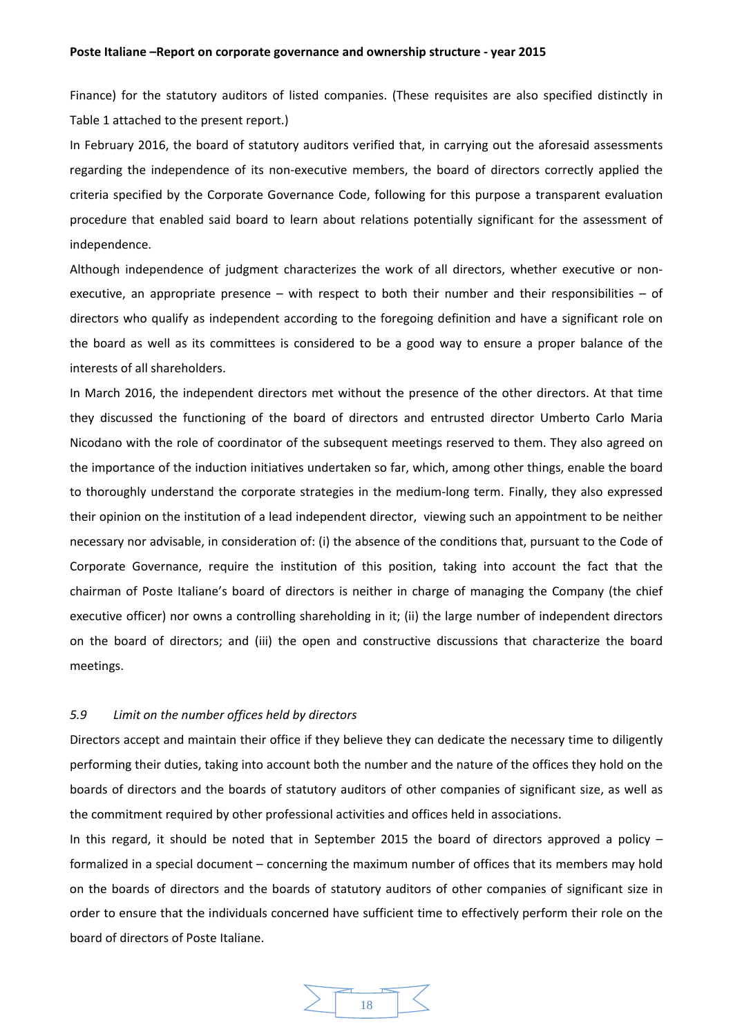Finance) for the statutory auditors of listed companies. (These requisites are also specified distinctly in Table 1 attached to the present report.)

In February 2016, the board of statutory auditors verified that, in carrying out the aforesaid assessments regarding the independence of its non‐executive members, the board of directors correctly applied the criteria specified by the Corporate Governance Code, following for this purpose a transparent evaluation procedure that enabled said board to learn about relations potentially significant for the assessment of independence.

Although independence of judgment characterizes the work of all directors, whether executive or non‐ executive, an appropriate presence – with respect to both their number and their responsibilities – of directors who qualify as independent according to the foregoing definition and have a significant role on the board as well as its committees is considered to be a good way to ensure a proper balance of the interests of all shareholders.

In March 2016, the independent directors met without the presence of the other directors. At that time they discussed the functioning of the board of directors and entrusted director Umberto Carlo Maria Nicodano with the role of coordinator of the subsequent meetings reserved to them. They also agreed on the importance of the induction initiatives undertaken so far, which, among other things, enable the board to thoroughly understand the corporate strategies in the medium‐long term. Finally, they also expressed their opinion on the institution of a lead independent director, viewing such an appointment to be neither necessary nor advisable, in consideration of: (i) the absence of the conditions that, pursuant to the Code of Corporate Governance, require the institution of this position, taking into account the fact that the chairman of Poste Italiane's board of directors is neither in charge of managing the Company (the chief executive officer) nor owns a controlling shareholding in it; (ii) the large number of independent directors on the board of directors; and (iii) the open and constructive discussions that characterize the board meetings.

# *5.9 Limit on the number offices held by directors*

Directors accept and maintain their office if they believe they can dedicate the necessary time to diligently performing their duties, taking into account both the number and the nature of the offices they hold on the boards of directors and the boards of statutory auditors of other companies of significant size, as well as the commitment required by other professional activities and offices held in associations.

In this regard, it should be noted that in September 2015 the board of directors approved a policy – formalized in a special document – concerning the maximum number of offices that its members may hold on the boards of directors and the boards of statutory auditors of other companies of significant size in order to ensure that the individuals concerned have sufficient time to effectively perform their role on the board of directors of Poste Italiane.

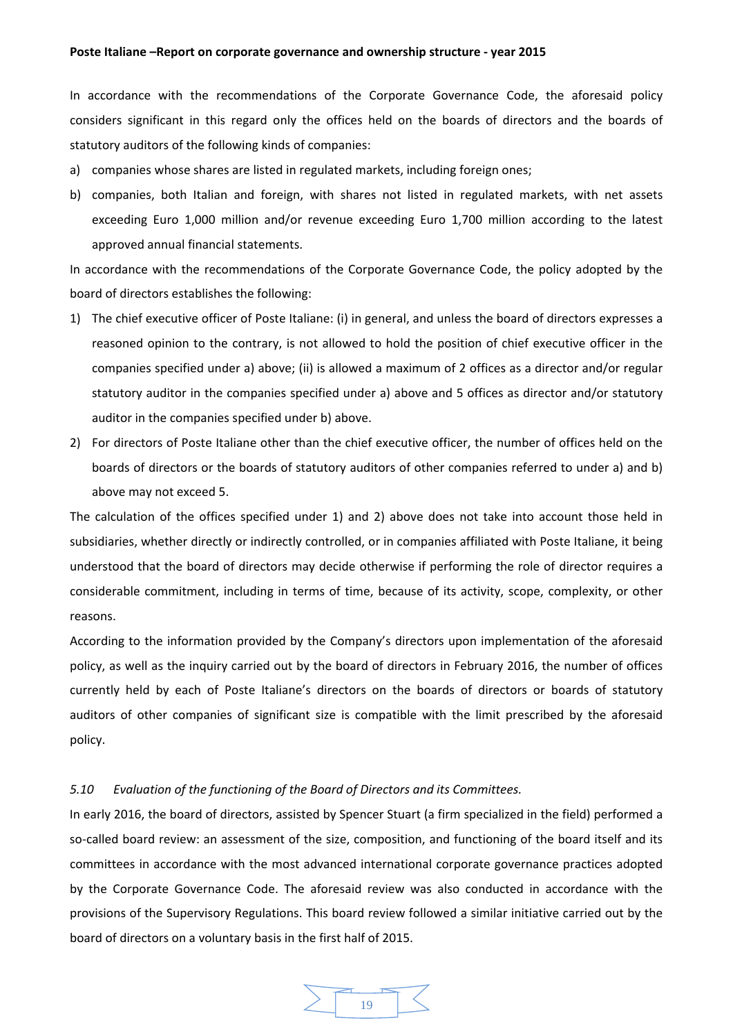In accordance with the recommendations of the Corporate Governance Code, the aforesaid policy considers significant in this regard only the offices held on the boards of directors and the boards of statutory auditors of the following kinds of companies:

- a) companies whose shares are listed in regulated markets, including foreign ones;
- b) companies, both Italian and foreign, with shares not listed in regulated markets, with net assets exceeding Euro 1,000 million and/or revenue exceeding Euro 1,700 million according to the latest approved annual financial statements.

In accordance with the recommendations of the Corporate Governance Code, the policy adopted by the board of directors establishes the following:

- 1) The chief executive officer of Poste Italiane: (i) in general, and unless the board of directors expresses a reasoned opinion to the contrary, is not allowed to hold the position of chief executive officer in the companies specified under a) above; (ii) is allowed a maximum of 2 offices as a director and/or regular statutory auditor in the companies specified under a) above and 5 offices as director and/or statutory auditor in the companies specified under b) above.
- 2) For directors of Poste Italiane other than the chief executive officer, the number of offices held on the boards of directors or the boards of statutory auditors of other companies referred to under a) and b) above may not exceed 5.

The calculation of the offices specified under 1) and 2) above does not take into account those held in subsidiaries, whether directly or indirectly controlled, or in companies affiliated with Poste Italiane, it being understood that the board of directors may decide otherwise if performing the role of director requires a considerable commitment, including in terms of time, because of its activity, scope, complexity, or other reasons.

According to the information provided by the Company's directors upon implementation of the aforesaid policy, as well as the inquiry carried out by the board of directors in February 2016, the number of offices currently held by each of Poste Italiane's directors on the boards of directors or boards of statutory auditors of other companies of significant size is compatible with the limit prescribed by the aforesaid policy.

## *5.10 Evaluation of the functioning of the Board of Directors and its Committees.*

In early 2016, the board of directors, assisted by Spencer Stuart (a firm specialized in the field) performed a so-called board review: an assessment of the size, composition, and functioning of the board itself and its committees in accordance with the most advanced international corporate governance practices adopted by the Corporate Governance Code. The aforesaid review was also conducted in accordance with the provisions of the Supervisory Regulations. This board review followed a similar initiative carried out by the board of directors on a voluntary basis in the first half of 2015.

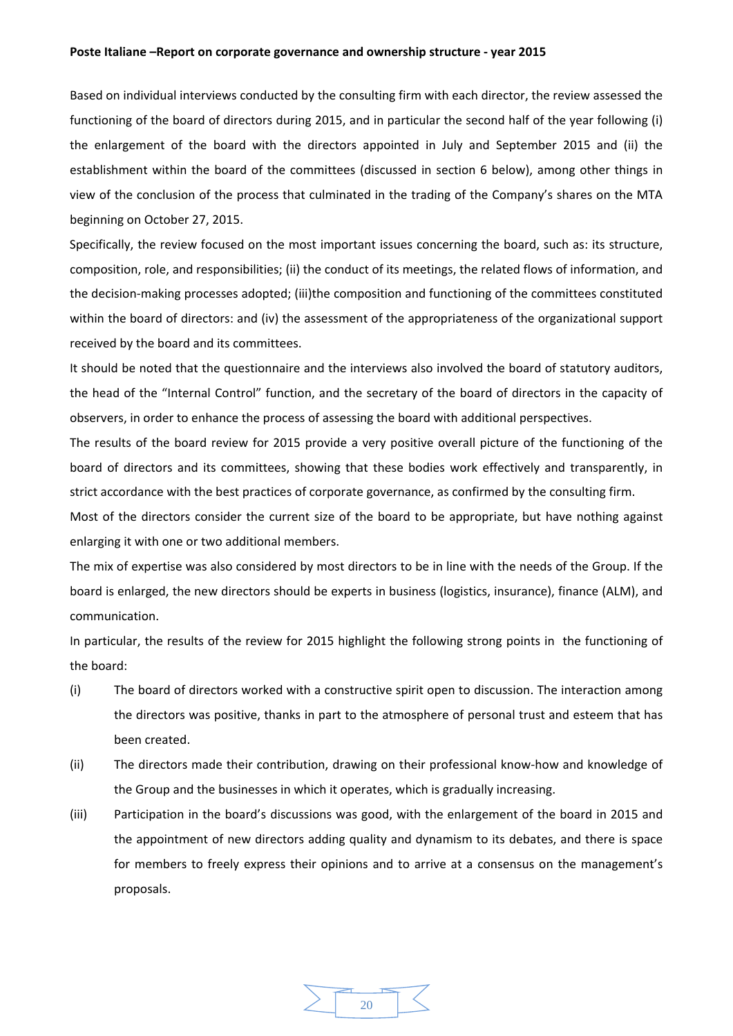Based on individual interviews conducted by the consulting firm with each director, the review assessed the functioning of the board of directors during 2015, and in particular the second half of the year following (i) the enlargement of the board with the directors appointed in July and September 2015 and (ii) the establishment within the board of the committees (discussed in section 6 below), among other things in view of the conclusion of the process that culminated in the trading of the Company's shares on the MTA beginning on October 27, 2015.

Specifically, the review focused on the most important issues concerning the board, such as: its structure, composition, role, and responsibilities; (ii) the conduct of its meetings, the related flows of information, and the decision‐making processes adopted; (iii)the composition and functioning of the committees constituted within the board of directors: and (iv) the assessment of the appropriateness of the organizational support received by the board and its committees.

It should be noted that the questionnaire and the interviews also involved the board of statutory auditors, the head of the "Internal Control" function, and the secretary of the board of directors in the capacity of observers, in order to enhance the process of assessing the board with additional perspectives.

The results of the board review for 2015 provide a very positive overall picture of the functioning of the board of directors and its committees, showing that these bodies work effectively and transparently, in strict accordance with the best practices of corporate governance, as confirmed by the consulting firm.

Most of the directors consider the current size of the board to be appropriate, but have nothing against enlarging it with one or two additional members.

The mix of expertise was also considered by most directors to be in line with the needs of the Group. If the board is enlarged, the new directors should be experts in business (logistics, insurance), finance (ALM), and communication.

In particular, the results of the review for 2015 highlight the following strong points in the functioning of the board:

- (i) The board of directors worked with a constructive spirit open to discussion. The interaction among the directors was positive, thanks in part to the atmosphere of personal trust and esteem that has been created.
- (ii) The directors made their contribution, drawing on their professional know‐how and knowledge of the Group and the businesses in which it operates, which is gradually increasing.
- (iii) Participation in the board's discussions was good, with the enlargement of the board in 2015 and the appointment of new directors adding quality and dynamism to its debates, and there is space for members to freely express their opinions and to arrive at a consensus on the management's proposals.

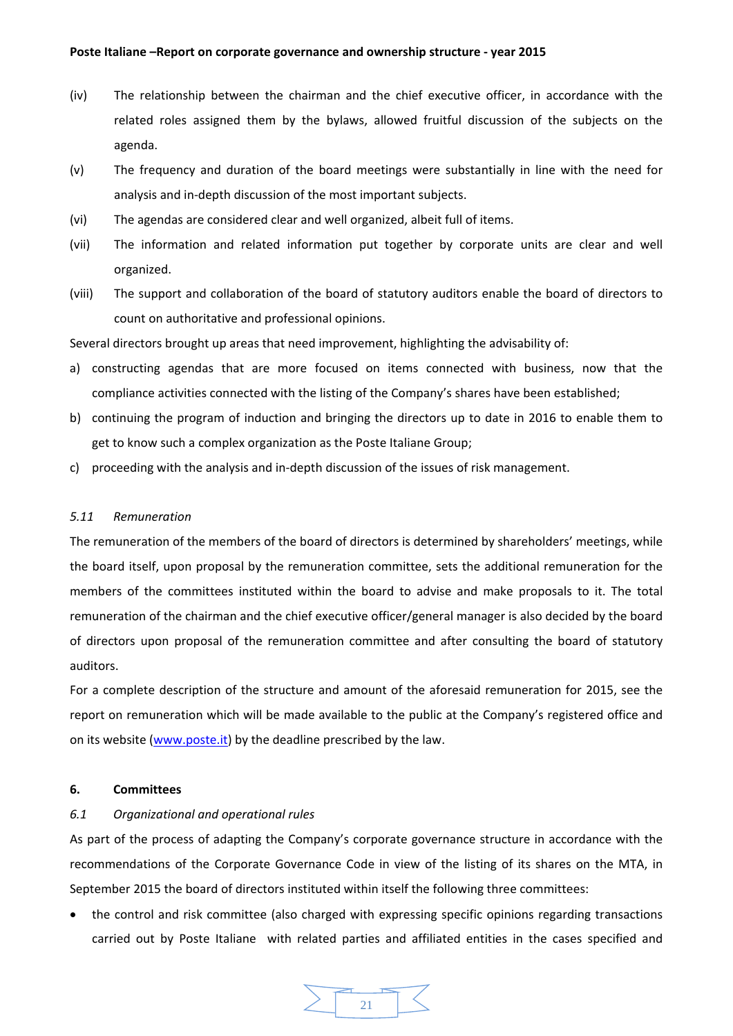- (iv) The relationship between the chairman and the chief executive officer, in accordance with the related roles assigned them by the bylaws, allowed fruitful discussion of the subjects on the agenda.
- (v) The frequency and duration of the board meetings were substantially in line with the need for analysis and in‐depth discussion of the most important subjects.
- (vi) The agendas are considered clear and well organized, albeit full of items.
- (vii) The information and related information put together by corporate units are clear and well organized.
- (viii) The support and collaboration of the board of statutory auditors enable the board of directors to count on authoritative and professional opinions.

Several directors brought up areas that need improvement, highlighting the advisability of:

- a) constructing agendas that are more focused on items connected with business, now that the compliance activities connected with the listing of the Company's shares have been established;
- b) continuing the program of induction and bringing the directors up to date in 2016 to enable them to get to know such a complex organization as the Poste Italiane Group;
- c) proceeding with the analysis and in‐depth discussion of the issues of risk management.

## *5.11 Remuneration*

The remuneration of the members of the board of directors is determined by shareholders' meetings, while the board itself, upon proposal by the remuneration committee, sets the additional remuneration for the members of the committees instituted within the board to advise and make proposals to it. The total remuneration of the chairman and the chief executive officer/general manager is also decided by the board of directors upon proposal of the remuneration committee and after consulting the board of statutory auditors.

For a complete description of the structure and amount of the aforesaid remuneration for 2015, see the report on remuneration which will be made available to the public at the Company's registered office and on its website (www.poste.it) by the deadline prescribed by the law.

## **6. Committees**

# *6.1 Organizational and operational rules*

As part of the process of adapting the Company's corporate governance structure in accordance with the recommendations of the Corporate Governance Code in view of the listing of its shares on the MTA, in September 2015 the board of directors instituted within itself the following three committees:

 the control and risk committee (also charged with expressing specific opinions regarding transactions carried out by Poste Italiane with related parties and affiliated entities in the cases specified and

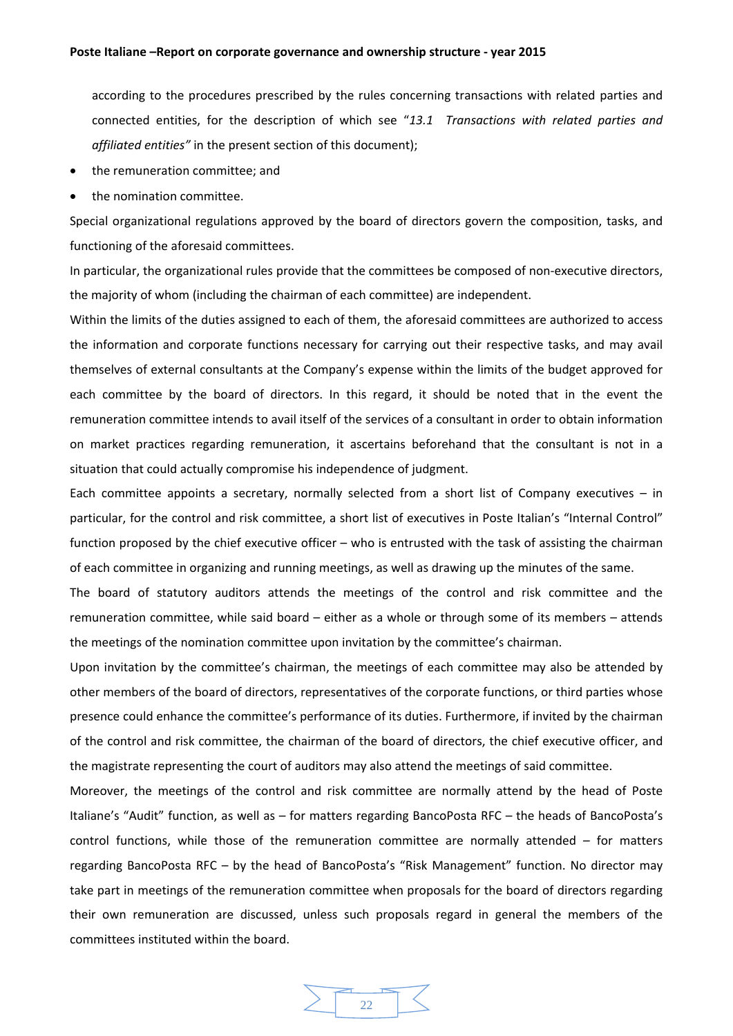according to the procedures prescribed by the rules concerning transactions with related parties and connected entities, for the description of which see "*13.1 Transactions with related parties and affiliated entities"* in the present section of this document);

- the remuneration committee; and
- the nomination committee.

Special organizational regulations approved by the board of directors govern the composition, tasks, and functioning of the aforesaid committees.

In particular, the organizational rules provide that the committees be composed of non-executive directors, the majority of whom (including the chairman of each committee) are independent.

Within the limits of the duties assigned to each of them, the aforesaid committees are authorized to access the information and corporate functions necessary for carrying out their respective tasks, and may avail themselves of external consultants at the Company's expense within the limits of the budget approved for each committee by the board of directors. In this regard, it should be noted that in the event the remuneration committee intends to avail itself of the services of a consultant in order to obtain information on market practices regarding remuneration, it ascertains beforehand that the consultant is not in a situation that could actually compromise his independence of judgment.

Each committee appoints a secretary, normally selected from a short list of Company executives – in particular, for the control and risk committee, a short list of executives in Poste Italian's "Internal Control" function proposed by the chief executive officer – who is entrusted with the task of assisting the chairman of each committee in organizing and running meetings, as well as drawing up the minutes of the same.

The board of statutory auditors attends the meetings of the control and risk committee and the remuneration committee, while said board – either as a whole or through some of its members – attends the meetings of the nomination committee upon invitation by the committee's chairman.

Upon invitation by the committee's chairman, the meetings of each committee may also be attended by other members of the board of directors, representatives of the corporate functions, or third parties whose presence could enhance the committee's performance of its duties. Furthermore, if invited by the chairman of the control and risk committee, the chairman of the board of directors, the chief executive officer, and the magistrate representing the court of auditors may also attend the meetings of said committee.

Moreover, the meetings of the control and risk committee are normally attend by the head of Poste Italiane's "Audit" function, as well as – for matters regarding BancoPosta RFC – the heads of BancoPosta's control functions, while those of the remuneration committee are normally attended – for matters regarding BancoPosta RFC – by the head of BancoPosta's "Risk Management" function. No director may take part in meetings of the remuneration committee when proposals for the board of directors regarding their own remuneration are discussed, unless such proposals regard in general the members of the committees instituted within the board.

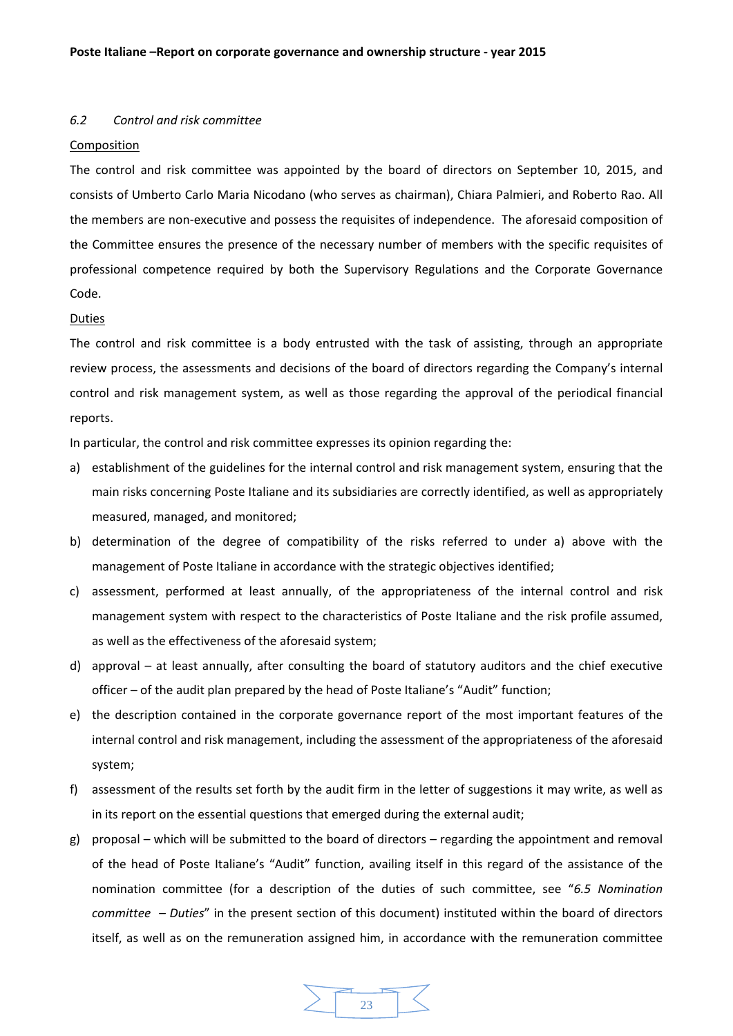#### *6.2 Control and risk committee*

## Composition

The control and risk committee was appointed by the board of directors on September 10, 2015, and consists of Umberto Carlo Maria Nicodano (who serves as chairman), Chiara Palmieri, and Roberto Rao. All the members are non‐executive and possess the requisites of independence. The aforesaid composition of the Committee ensures the presence of the necessary number of members with the specific requisites of professional competence required by both the Supervisory Regulations and the Corporate Governance Code.

#### Duties

The control and risk committee is a body entrusted with the task of assisting, through an appropriate review process, the assessments and decisions of the board of directors regarding the Company's internal control and risk management system, as well as those regarding the approval of the periodical financial reports.

In particular, the control and risk committee expresses its opinion regarding the:

- a) establishment of the guidelines for the internal control and risk management system, ensuring that the main risks concerning Poste Italiane and its subsidiaries are correctly identified, as well as appropriately measured, managed, and monitored;
- b) determination of the degree of compatibility of the risks referred to under a) above with the management of Poste Italiane in accordance with the strategic objectives identified;
- c) assessment, performed at least annually, of the appropriateness of the internal control and risk management system with respect to the characteristics of Poste Italiane and the risk profile assumed, as well as the effectiveness of the aforesaid system;
- d) approval at least annually, after consulting the board of statutory auditors and the chief executive officer – of the audit plan prepared by the head of Poste Italiane's "Audit" function;
- e) the description contained in the corporate governance report of the most important features of the internal control and risk management, including the assessment of the appropriateness of the aforesaid system;
- f) assessment of the results set forth by the audit firm in the letter of suggestions it may write, as well as in its report on the essential questions that emerged during the external audit;
- g) proposal which will be submitted to the board of directors regarding the appointment and removal of the head of Poste Italiane's "Audit" function, availing itself in this regard of the assistance of the nomination committee (for a description of the duties of such committee, see "*6.5 Nomination committee* – *Duties*" in the present section of this document) instituted within the board of directors itself, as well as on the remuneration assigned him, in accordance with the remuneration committee

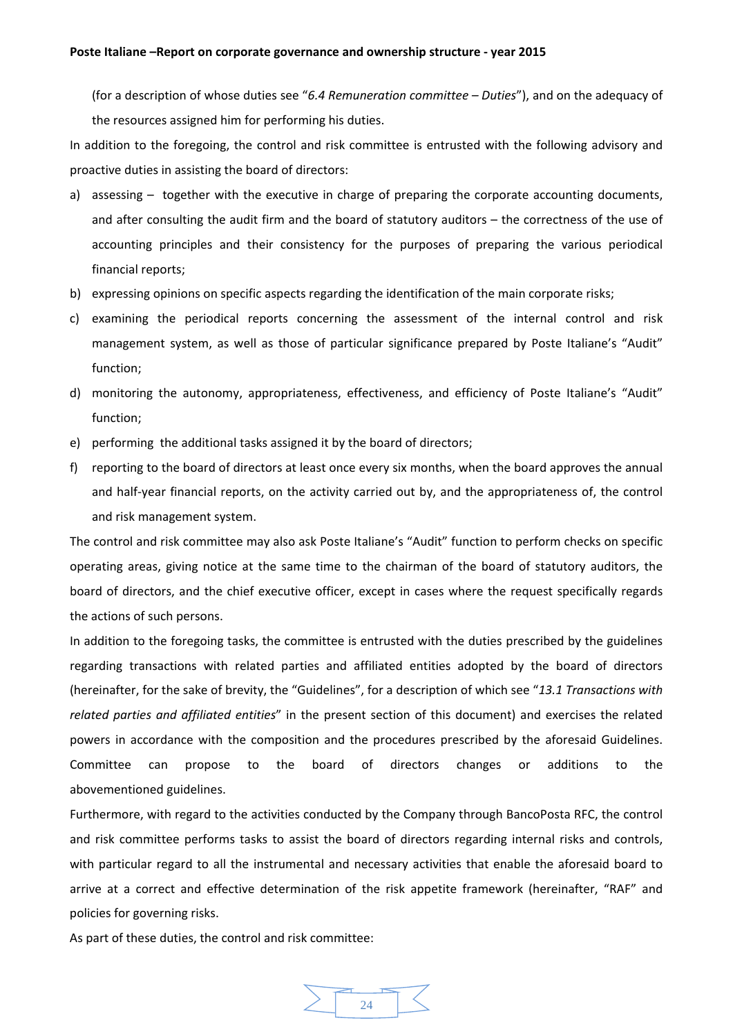(for a description of whose duties see "*6.4 Remuneration committee – Duties*"), and on the adequacy of the resources assigned him for performing his duties.

In addition to the foregoing, the control and risk committee is entrusted with the following advisory and proactive duties in assisting the board of directors:

- a) assessing together with the executive in charge of preparing the corporate accounting documents, and after consulting the audit firm and the board of statutory auditors – the correctness of the use of accounting principles and their consistency for the purposes of preparing the various periodical financial reports;
- b) expressing opinions on specific aspects regarding the identification of the main corporate risks;
- c) examining the periodical reports concerning the assessment of the internal control and risk management system, as well as those of particular significance prepared by Poste Italiane's "Audit" function;
- d) monitoring the autonomy, appropriateness, effectiveness, and efficiency of Poste Italiane's "Audit" function;
- e) performing the additional tasks assigned it by the board of directors;
- f) reporting to the board of directors at least once every six months, when the board approves the annual and half-year financial reports, on the activity carried out by, and the appropriateness of, the control and risk management system.

The control and risk committee may also ask Poste Italiane's "Audit" function to perform checks on specific operating areas, giving notice at the same time to the chairman of the board of statutory auditors, the board of directors, and the chief executive officer, except in cases where the request specifically regards the actions of such persons.

In addition to the foregoing tasks, the committee is entrusted with the duties prescribed by the guidelines regarding transactions with related parties and affiliated entities adopted by the board of directors (hereinafter, for the sake of brevity, the "Guidelines", for a description of which see "*13.1 Transactions with related parties and affiliated entities*" in the present section of this document) and exercises the related powers in accordance with the composition and the procedures prescribed by the aforesaid Guidelines. Committee can propose to the board of directors changes or additions to the abovementioned guidelines.

Furthermore, with regard to the activities conducted by the Company through BancoPosta RFC, the control and risk committee performs tasks to assist the board of directors regarding internal risks and controls, with particular regard to all the instrumental and necessary activities that enable the aforesaid board to arrive at a correct and effective determination of the risk appetite framework (hereinafter, "RAF" and policies for governing risks.

As part of these duties, the control and risk committee:

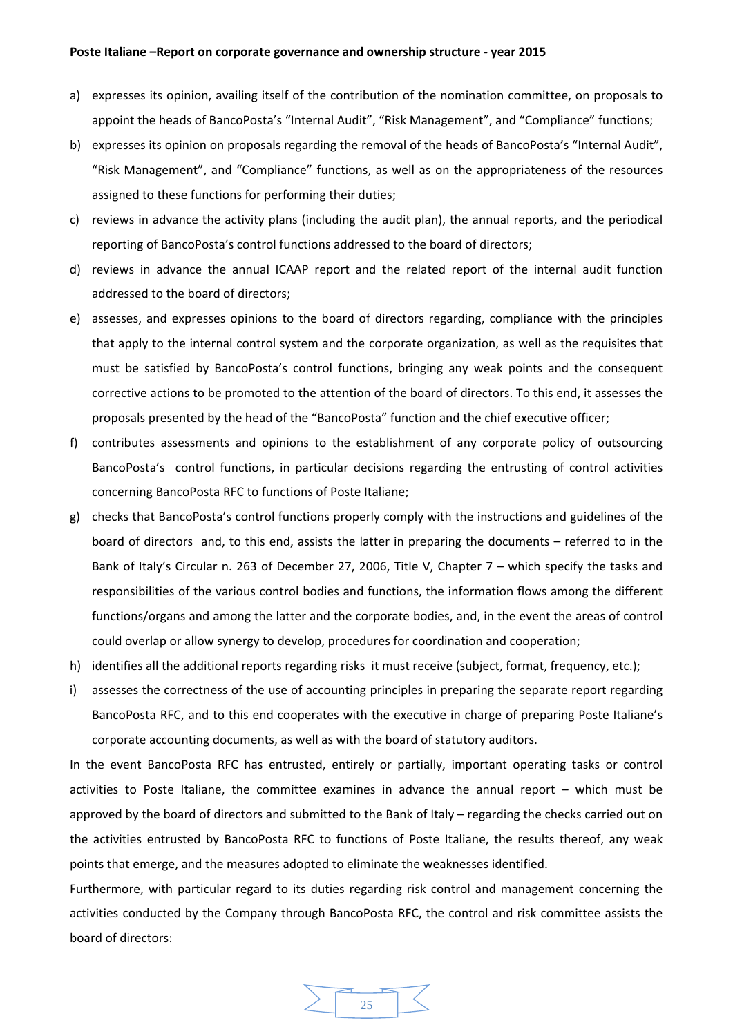- a) expresses its opinion, availing itself of the contribution of the nomination committee, on proposals to appoint the heads of BancoPosta's "Internal Audit", "Risk Management", and "Compliance" functions;
- b) expresses its opinion on proposals regarding the removal of the heads of BancoPosta's "Internal Audit", "Risk Management", and "Compliance" functions, as well as on the appropriateness of the resources assigned to these functions for performing their duties;
- c) reviews in advance the activity plans (including the audit plan), the annual reports, and the periodical reporting of BancoPosta's control functions addressed to the board of directors;
- d) reviews in advance the annual ICAAP report and the related report of the internal audit function addressed to the board of directors;
- e) assesses, and expresses opinions to the board of directors regarding, compliance with the principles that apply to the internal control system and the corporate organization, as well as the requisites that must be satisfied by BancoPosta's control functions, bringing any weak points and the consequent corrective actions to be promoted to the attention of the board of directors. To this end, it assesses the proposals presented by the head of the "BancoPosta" function and the chief executive officer;
- f) contributes assessments and opinions to the establishment of any corporate policy of outsourcing BancoPosta's control functions, in particular decisions regarding the entrusting of control activities concerning BancoPosta RFC to functions of Poste Italiane;
- g) checks that BancoPosta's control functions properly comply with the instructions and guidelines of the board of directors and, to this end, assists the latter in preparing the documents – referred to in the Bank of Italy's Circular n. 263 of December 27, 2006, Title V, Chapter 7 – which specify the tasks and responsibilities of the various control bodies and functions, the information flows among the different functions/organs and among the latter and the corporate bodies, and, in the event the areas of control could overlap or allow synergy to develop, procedures for coordination and cooperation;
- h) identifies all the additional reports regarding risks it must receive (subject, format, frequency, etc.);
- i) assesses the correctness of the use of accounting principles in preparing the separate report regarding BancoPosta RFC, and to this end cooperates with the executive in charge of preparing Poste Italiane's corporate accounting documents, as well as with the board of statutory auditors.

In the event BancoPosta RFC has entrusted, entirely or partially, important operating tasks or control activities to Poste Italiane, the committee examines in advance the annual report – which must be approved by the board of directors and submitted to the Bank of Italy – regarding the checks carried out on the activities entrusted by BancoPosta RFC to functions of Poste Italiane, the results thereof, any weak points that emerge, and the measures adopted to eliminate the weaknesses identified.

Furthermore, with particular regard to its duties regarding risk control and management concerning the activities conducted by the Company through BancoPosta RFC, the control and risk committee assists the board of directors:

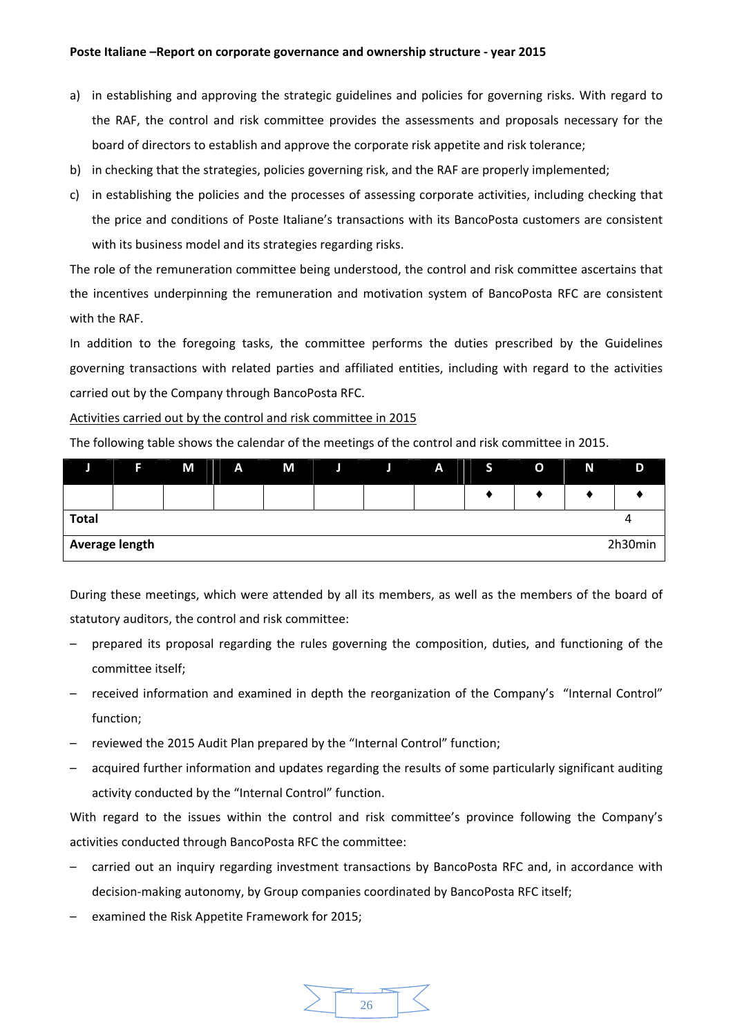- a) in establishing and approving the strategic guidelines and policies for governing risks. With regard to the RAF, the control and risk committee provides the assessments and proposals necessary for the board of directors to establish and approve the corporate risk appetite and risk tolerance;
- b) in checking that the strategies, policies governing risk, and the RAF are properly implemented;
- c) in establishing the policies and the processes of assessing corporate activities, including checking that the price and conditions of Poste Italiane's transactions with its BancoPosta customers are consistent with its business model and its strategies regarding risks.

The role of the remuneration committee being understood, the control and risk committee ascertains that the incentives underpinning the remuneration and motivation system of BancoPosta RFC are consistent with the RAF.

In addition to the foregoing tasks, the committee performs the duties prescribed by the Guidelines governing transactions with related parties and affiliated entities, including with regard to the activities carried out by the Company through BancoPosta RFC.

Activities carried out by the control and risk committee in 2015

The following table shows the calendar of the meetings of the control and risk committee in 2015.

|                | F | M | A | M | Л | Л | A | ь | $\mathbf{o}$ | N | D       |
|----------------|---|---|---|---|---|---|---|---|--------------|---|---------|
|                |   |   |   |   |   |   |   |   |              |   |         |
| <b>Total</b>   |   |   |   |   |   |   |   |   |              |   |         |
| Average length |   |   |   |   |   |   |   |   |              |   | 2h30min |

During these meetings, which were attended by all its members, as well as the members of the board of statutory auditors, the control and risk committee:

- prepared its proposal regarding the rules governing the composition, duties, and functioning of the committee itself;
- received information and examined in depth the reorganization of the Company's "Internal Control" function;
- reviewed the 2015 Audit Plan prepared by the "Internal Control" function;
- acquired further information and updates regarding the results of some particularly significant auditing activity conducted by the "Internal Control" function.

With regard to the issues within the control and risk committee's province following the Company's activities conducted through BancoPosta RFC the committee:

- carried out an inquiry regarding investment transactions by BancoPosta RFC and, in accordance with decision‐making autonomy, by Group companies coordinated by BancoPosta RFC itself;
- examined the Risk Appetite Framework for 2015;

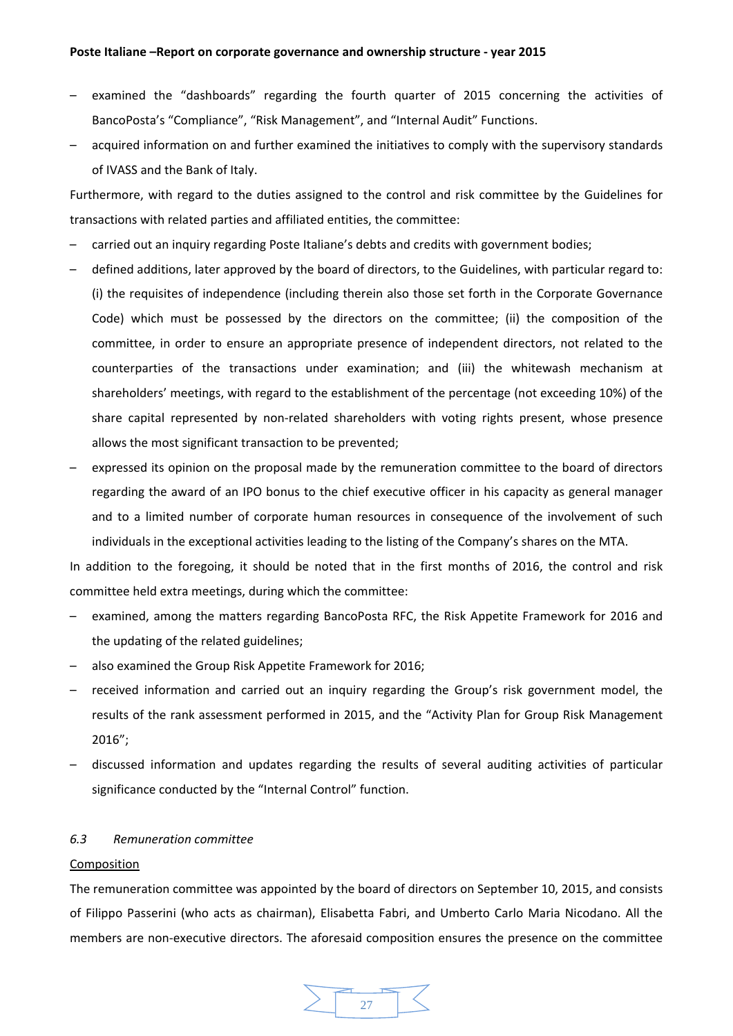- examined the "dashboards" regarding the fourth quarter of 2015 concerning the activities of BancoPosta's "Compliance", "Risk Management", and "Internal Audit" Functions.
- acquired information on and further examined the initiatives to comply with the supervisory standards of IVASS and the Bank of Italy.

Furthermore, with regard to the duties assigned to the control and risk committee by the Guidelines for transactions with related parties and affiliated entities, the committee:

- carried out an inquiry regarding Poste Italiane's debts and credits with government bodies;
- defined additions, later approved by the board of directors, to the Guidelines, with particular regard to: (i) the requisites of independence (including therein also those set forth in the Corporate Governance Code) which must be possessed by the directors on the committee; (ii) the composition of the committee, in order to ensure an appropriate presence of independent directors, not related to the counterparties of the transactions under examination; and (iii) the whitewash mechanism at shareholders' meetings, with regard to the establishment of the percentage (not exceeding 10%) of the share capital represented by non-related shareholders with voting rights present, whose presence allows the most significant transaction to be prevented;
- expressed its opinion on the proposal made by the remuneration committee to the board of directors regarding the award of an IPO bonus to the chief executive officer in his capacity as general manager and to a limited number of corporate human resources in consequence of the involvement of such individuals in the exceptional activities leading to the listing of the Company's shares on the MTA.

In addition to the foregoing, it should be noted that in the first months of 2016, the control and risk committee held extra meetings, during which the committee:

- examined, among the matters regarding BancoPosta RFC, the Risk Appetite Framework for 2016 and the updating of the related guidelines;
- also examined the Group Risk Appetite Framework for 2016;
- received information and carried out an inquiry regarding the Group's risk government model, the results of the rank assessment performed in 2015, and the "Activity Plan for Group Risk Management 2016";
- discussed information and updates regarding the results of several auditing activities of particular significance conducted by the "Internal Control" function.

#### *6.3 Remuneration committee*

#### Composition

The remuneration committee was appointed by the board of directors on September 10, 2015, and consists of Filippo Passerini (who acts as chairman), Elisabetta Fabri, and Umberto Carlo Maria Nicodano. All the members are non‐executive directors. The aforesaid composition ensures the presence on the committee

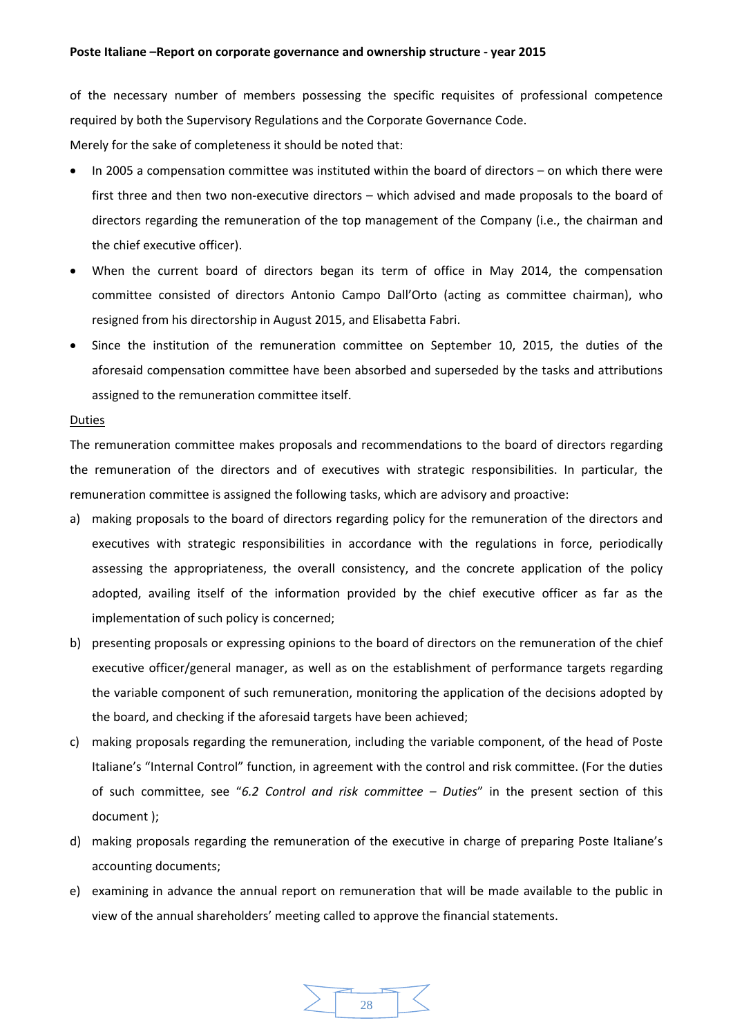of the necessary number of members possessing the specific requisites of professional competence required by both the Supervisory Regulations and the Corporate Governance Code.

Merely for the sake of completeness it should be noted that:

- In 2005 a compensation committee was instituted within the board of directors on which there were first three and then two non-executive directors – which advised and made proposals to the board of directors regarding the remuneration of the top management of the Company (i.e., the chairman and the chief executive officer).
- When the current board of directors began its term of office in May 2014, the compensation committee consisted of directors Antonio Campo Dall'Orto (acting as committee chairman), who resigned from his directorship in August 2015, and Elisabetta Fabri.
- Since the institution of the remuneration committee on September 10, 2015, the duties of the aforesaid compensation committee have been absorbed and superseded by the tasks and attributions assigned to the remuneration committee itself.

#### Duties

The remuneration committee makes proposals and recommendations to the board of directors regarding the remuneration of the directors and of executives with strategic responsibilities. In particular, the remuneration committee is assigned the following tasks, which are advisory and proactive:

- a) making proposals to the board of directors regarding policy for the remuneration of the directors and executives with strategic responsibilities in accordance with the regulations in force, periodically assessing the appropriateness, the overall consistency, and the concrete application of the policy adopted, availing itself of the information provided by the chief executive officer as far as the implementation of such policy is concerned;
- b) presenting proposals or expressing opinions to the board of directors on the remuneration of the chief executive officer/general manager, as well as on the establishment of performance targets regarding the variable component of such remuneration, monitoring the application of the decisions adopted by the board, and checking if the aforesaid targets have been achieved;
- c) making proposals regarding the remuneration, including the variable component, of the head of Poste Italiane's "Internal Control" function, in agreement with the control and risk committee. (For the duties of such committee, see "*6.2 Control and risk committee – Duties*" in the present section of this document );
- d) making proposals regarding the remuneration of the executive in charge of preparing Poste Italiane's accounting documents;
- e) examining in advance the annual report on remuneration that will be made available to the public in view of the annual shareholders' meeting called to approve the financial statements.

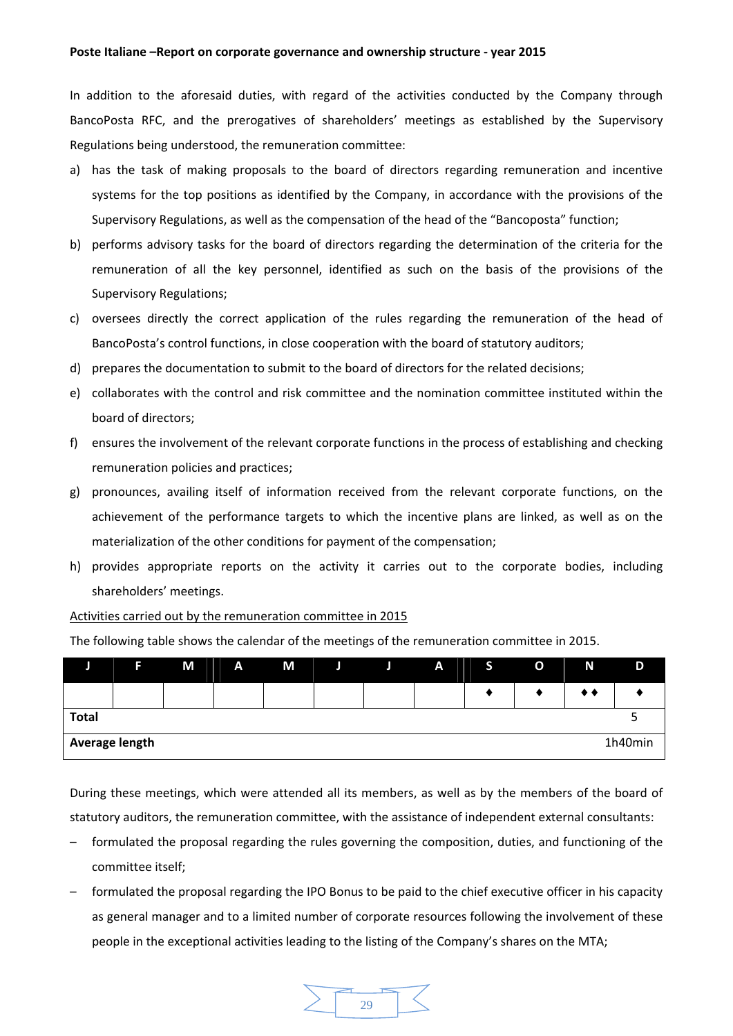In addition to the aforesaid duties, with regard of the activities conducted by the Company through BancoPosta RFC, and the prerogatives of shareholders' meetings as established by the Supervisory Regulations being understood, the remuneration committee:

- a) has the task of making proposals to the board of directors regarding remuneration and incentive systems for the top positions as identified by the Company, in accordance with the provisions of the Supervisory Regulations, as well as the compensation of the head of the "Bancoposta" function;
- b) performs advisory tasks for the board of directors regarding the determination of the criteria for the remuneration of all the key personnel, identified as such on the basis of the provisions of the Supervisory Regulations;
- c) oversees directly the correct application of the rules regarding the remuneration of the head of BancoPosta's control functions, in close cooperation with the board of statutory auditors;
- d) prepares the documentation to submit to the board of directors for the related decisions;
- e) collaborates with the control and risk committee and the nomination committee instituted within the board of directors;
- f) ensures the involvement of the relevant corporate functions in the process of establishing and checking remuneration policies and practices;
- g) pronounces, availing itself of information received from the relevant corporate functions, on the achievement of the performance targets to which the incentive plans are linked, as well as on the materialization of the other conditions for payment of the compensation;
- h) provides appropriate reports on the activity it carries out to the corporate bodies, including shareholders' meetings.

## Activities carried out by the remuneration committee in 2015

The following table shows the calendar of the meetings of the remuneration committee in 2015.

|                | Е | M | A | M | P. | A | $\mathcal{L}$ | O | N | D       |
|----------------|---|---|---|---|----|---|---------------|---|---|---------|
|                |   |   |   |   |    |   |               |   |   |         |
| <b>Total</b>   |   |   |   |   |    |   |               |   |   |         |
| Average length |   |   |   |   |    |   |               |   |   | 1h40min |

During these meetings, which were attended all its members, as well as by the members of the board of statutory auditors, the remuneration committee, with the assistance of independent external consultants:

- formulated the proposal regarding the rules governing the composition, duties, and functioning of the committee itself;
- formulated the proposal regarding the IPO Bonus to be paid to the chief executive officer in his capacity as general manager and to a limited number of corporate resources following the involvement of these people in the exceptional activities leading to the listing of the Company's shares on the MTA;

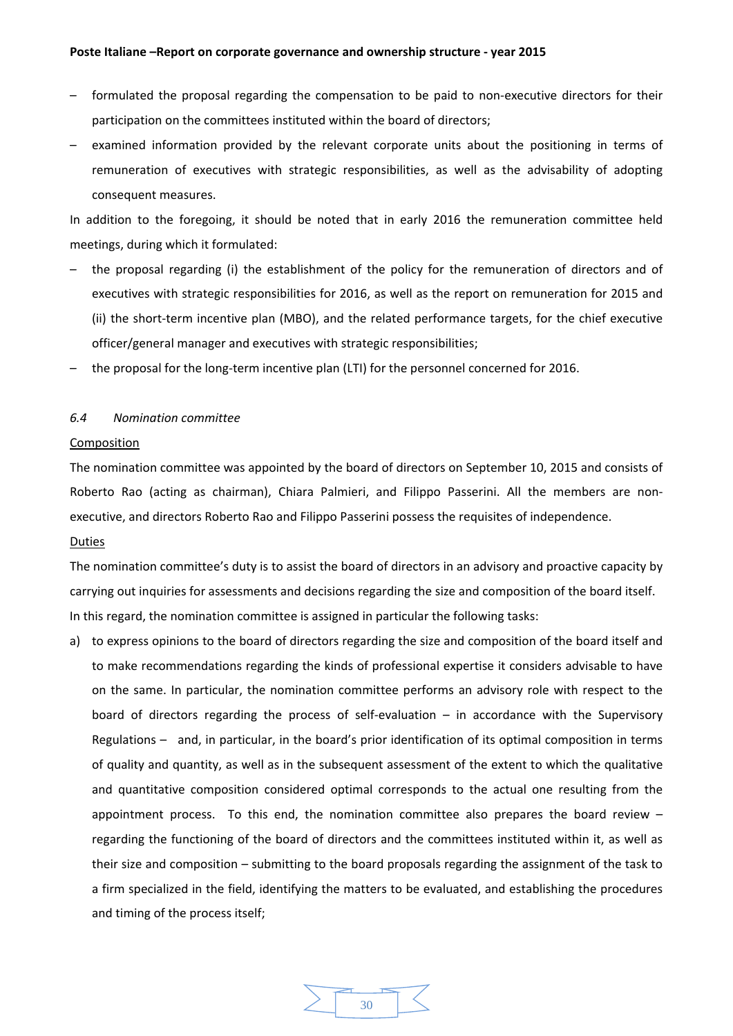- formulated the proposal regarding the compensation to be paid to non-executive directors for their participation on the committees instituted within the board of directors;
- examined information provided by the relevant corporate units about the positioning in terms of remuneration of executives with strategic responsibilities, as well as the advisability of adopting consequent measures.

In addition to the foregoing, it should be noted that in early 2016 the remuneration committee held meetings, during which it formulated:

- the proposal regarding (i) the establishment of the policy for the remuneration of directors and of executives with strategic responsibilities for 2016, as well as the report on remuneration for 2015 and (ii) the short‐term incentive plan (MBO), and the related performance targets, for the chief executive officer/general manager and executives with strategic responsibilities;
- the proposal for the long-term incentive plan (LTI) for the personnel concerned for 2016.

#### *6.4 Nomination committee*

#### **Composition**

The nomination committee was appointed by the board of directors on September 10, 2015 and consists of Roberto Rao (acting as chairman), Chiara Palmieri, and Filippo Passerini. All the members are non‐ executive, and directors Roberto Rao and Filippo Passerini possess the requisites of independence.

## Duties

The nomination committee's duty is to assist the board of directors in an advisory and proactive capacity by carrying out inquiries for assessments and decisions regarding the size and composition of the board itself. In this regard, the nomination committee is assigned in particular the following tasks:

a) to express opinions to the board of directors regarding the size and composition of the board itself and to make recommendations regarding the kinds of professional expertise it considers advisable to have on the same. In particular, the nomination committee performs an advisory role with respect to the board of directors regarding the process of self-evaluation  $-$  in accordance with the Supervisory Regulations – and, in particular, in the board's prior identification of its optimal composition in terms of quality and quantity, as well as in the subsequent assessment of the extent to which the qualitative and quantitative composition considered optimal corresponds to the actual one resulting from the appointment process. To this end, the nomination committee also prepares the board review  $$ regarding the functioning of the board of directors and the committees instituted within it, as well as their size and composition – submitting to the board proposals regarding the assignment of the task to a firm specialized in the field, identifying the matters to be evaluated, and establishing the procedures and timing of the process itself;

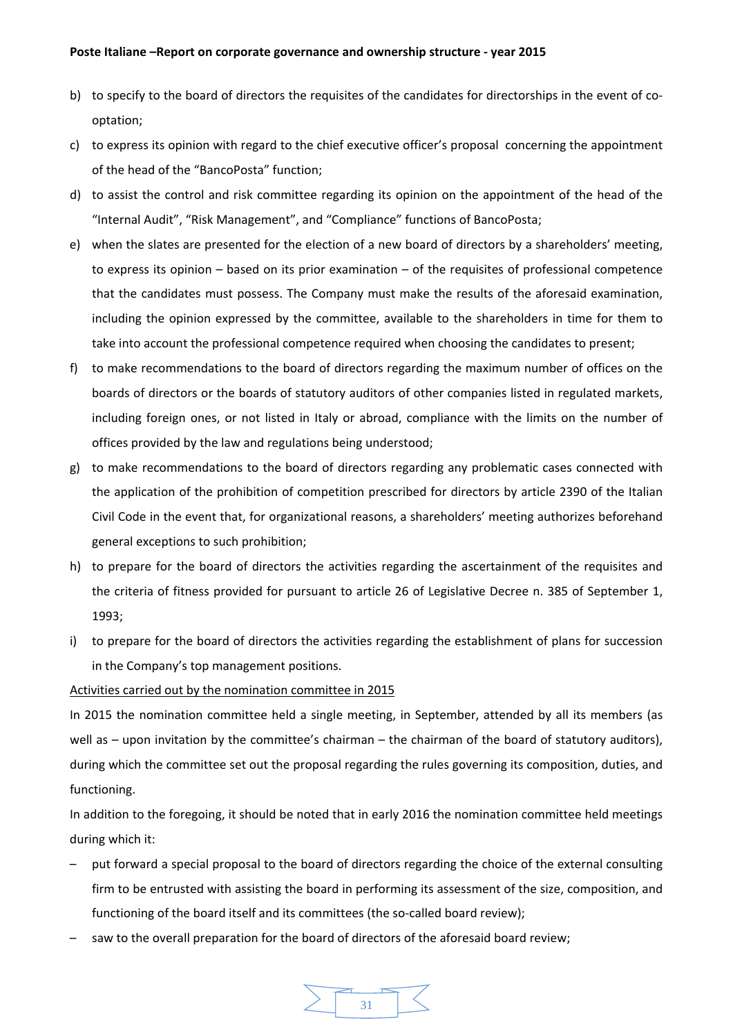- b) to specify to the board of directors the requisites of the candidates for directorships in the event of cooptation;
- c) to express its opinion with regard to the chief executive officer's proposal concerning the appointment of the head of the "BancoPosta" function;
- d) to assist the control and risk committee regarding its opinion on the appointment of the head of the "Internal Audit", "Risk Management", and "Compliance" functions of BancoPosta;
- e) when the slates are presented for the election of a new board of directors by a shareholders' meeting, to express its opinion – based on its prior examination – of the requisites of professional competence that the candidates must possess. The Company must make the results of the aforesaid examination, including the opinion expressed by the committee, available to the shareholders in time for them to take into account the professional competence required when choosing the candidates to present;
- f) to make recommendations to the board of directors regarding the maximum number of offices on the boards of directors or the boards of statutory auditors of other companies listed in regulated markets, including foreign ones, or not listed in Italy or abroad, compliance with the limits on the number of offices provided by the law and regulations being understood;
- g) to make recommendations to the board of directors regarding any problematic cases connected with the application of the prohibition of competition prescribed for directors by article 2390 of the Italian Civil Code in the event that, for organizational reasons, a shareholders' meeting authorizes beforehand general exceptions to such prohibition;
- h) to prepare for the board of directors the activities regarding the ascertainment of the requisites and the criteria of fitness provided for pursuant to article 26 of Legislative Decree n. 385 of September 1, 1993;
- i) to prepare for the board of directors the activities regarding the establishment of plans for succession in the Company's top management positions.

# Activities carried out by the nomination committee in 2015

In 2015 the nomination committee held a single meeting, in September, attended by all its members (as well as – upon invitation by the committee's chairman – the chairman of the board of statutory auditors), during which the committee set out the proposal regarding the rules governing its composition, duties, and functioning.

In addition to the foregoing, it should be noted that in early 2016 the nomination committee held meetings during which it:

- put forward a special proposal to the board of directors regarding the choice of the external consulting firm to be entrusted with assisting the board in performing its assessment of the size, composition, and functioning of the board itself and its committees (the so-called board review);
- saw to the overall preparation for the board of directors of the aforesaid board review;

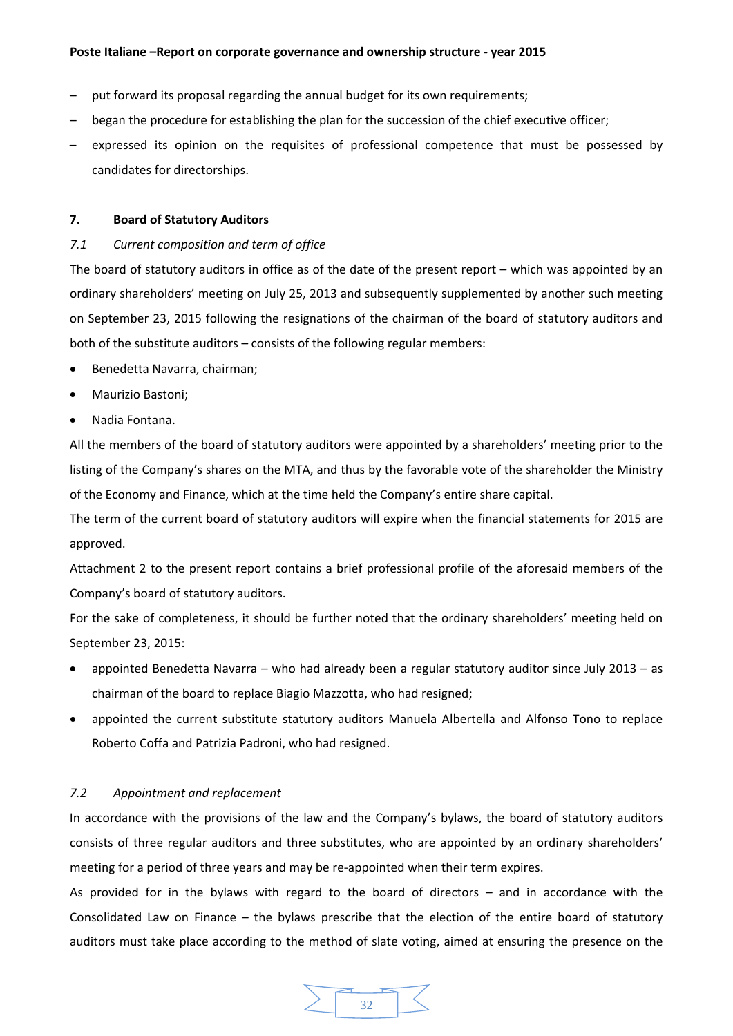- put forward its proposal regarding the annual budget for its own requirements;
- began the procedure for establishing the plan for the succession of the chief executive officer;
- expressed its opinion on the requisites of professional competence that must be possessed by candidates for directorships.

## **7. Board of Statutory Auditors**

## *7.1 Current composition and term of office*

The board of statutory auditors in office as of the date of the present report – which was appointed by an ordinary shareholders' meeting on July 25, 2013 and subsequently supplemented by another such meeting on September 23, 2015 following the resignations of the chairman of the board of statutory auditors and both of the substitute auditors – consists of the following regular members:

- Benedetta Navarra, chairman;
- Maurizio Bastoni;
- Nadia Fontana.

All the members of the board of statutory auditors were appointed by a shareholders' meeting prior to the listing of the Company's shares on the MTA, and thus by the favorable vote of the shareholder the Ministry of the Economy and Finance, which at the time held the Company's entire share capital.

The term of the current board of statutory auditors will expire when the financial statements for 2015 are approved.

Attachment 2 to the present report contains a brief professional profile of the aforesaid members of the Company's board of statutory auditors.

For the sake of completeness, it should be further noted that the ordinary shareholders' meeting held on September 23, 2015:

- appointed Benedetta Navarra who had already been a regular statutory auditor since July 2013 as chairman of the board to replace Biagio Mazzotta, who had resigned;
- appointed the current substitute statutory auditors Manuela Albertella and Alfonso Tono to replace Roberto Coffa and Patrizia Padroni, who had resigned.

## *7.2 Appointment and replacement*

In accordance with the provisions of the law and the Company's bylaws, the board of statutory auditors consists of three regular auditors and three substitutes, who are appointed by an ordinary shareholders' meeting for a period of three years and may be re‐appointed when their term expires.

As provided for in the bylaws with regard to the board of directors – and in accordance with the Consolidated Law on Finance – the bylaws prescribe that the election of the entire board of statutory auditors must take place according to the method of slate voting, aimed at ensuring the presence on the

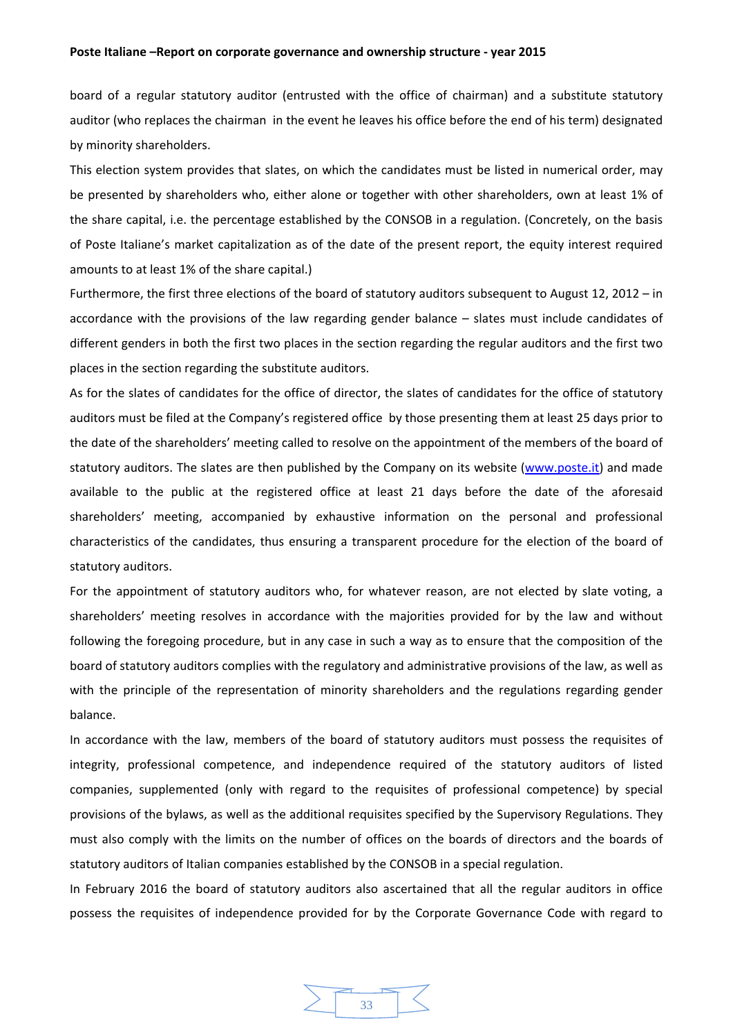board of a regular statutory auditor (entrusted with the office of chairman) and a substitute statutory auditor (who replaces the chairman in the event he leaves his office before the end of his term) designated by minority shareholders.

This election system provides that slates, on which the candidates must be listed in numerical order, may be presented by shareholders who, either alone or together with other shareholders, own at least 1% of the share capital, i.e. the percentage established by the CONSOB in a regulation. (Concretely, on the basis of Poste Italiane's market capitalization as of the date of the present report, the equity interest required amounts to at least 1% of the share capital.)

Furthermore, the first three elections of the board of statutory auditors subsequent to August 12, 2012 – in accordance with the provisions of the law regarding gender balance – slates must include candidates of different genders in both the first two places in the section regarding the regular auditors and the first two places in the section regarding the substitute auditors.

As for the slates of candidates for the office of director, the slates of candidates for the office of statutory auditors must be filed at the Company's registered office by those presenting them at least 25 days prior to the date of the shareholders' meeting called to resolve on the appointment of the members of the board of statutory auditors. The slates are then published by the Company on its website (www.poste.it) and made available to the public at the registered office at least 21 days before the date of the aforesaid shareholders' meeting, accompanied by exhaustive information on the personal and professional characteristics of the candidates, thus ensuring a transparent procedure for the election of the board of statutory auditors.

For the appointment of statutory auditors who, for whatever reason, are not elected by slate voting, a shareholders' meeting resolves in accordance with the majorities provided for by the law and without following the foregoing procedure, but in any case in such a way as to ensure that the composition of the board of statutory auditors complies with the regulatory and administrative provisions of the law, as well as with the principle of the representation of minority shareholders and the regulations regarding gender balance.

In accordance with the law, members of the board of statutory auditors must possess the requisites of integrity, professional competence, and independence required of the statutory auditors of listed companies, supplemented (only with regard to the requisites of professional competence) by special provisions of the bylaws, as well as the additional requisites specified by the Supervisory Regulations. They must also comply with the limits on the number of offices on the boards of directors and the boards of statutory auditors of Italian companies established by the CONSOB in a special regulation.

In February 2016 the board of statutory auditors also ascertained that all the regular auditors in office possess the requisites of independence provided for by the Corporate Governance Code with regard to

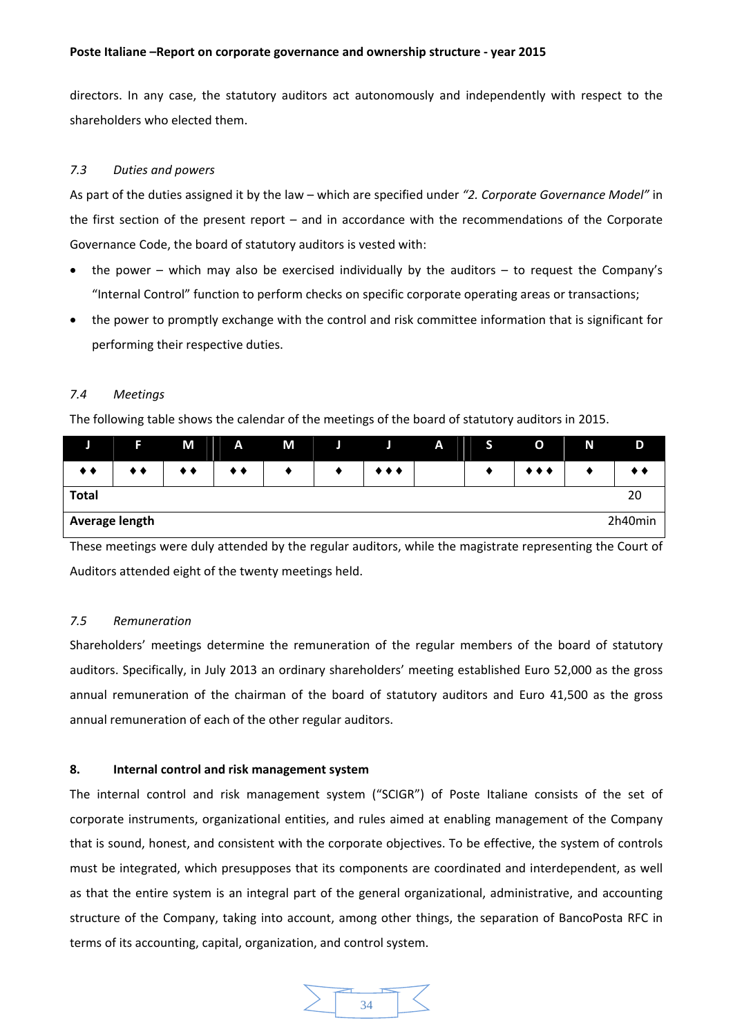directors. In any case, the statutory auditors act autonomously and independently with respect to the shareholders who elected them.

# *7.3 Duties and powers*

As part of the duties assigned it by the law – which are specified under *"2. Corporate Governance Model"* in the first section of the present report – and in accordance with the recommendations of the Corporate Governance Code, the board of statutory auditors is vested with:

- the power which may also be exercised individually by the auditors to request the Company's "Internal Control" function to perform checks on specific corporate operating areas or transactions;
- the power to promptly exchange with the control and risk committee information that is significant for performing their respective duties.

# *7.4 Meetings*

The following table shows the calendar of the meetings of the board of statutory auditors in 2015.

|                           | F  | M | A                | M |  | Л.                      | $\mathbf{A}$ | D. | O                       | N | D  |
|---------------------------|----|---|------------------|---|--|-------------------------|--------------|----|-------------------------|---|----|
| $\bullet\bullet$          | ◆◆ |   | $\bullet\bullet$ |   |  | $\bullet\bullet\bullet$ |              |    | $\bullet\bullet\bullet$ |   |    |
| <b>Total</b>              |    |   |                  |   |  |                         |              |    |                         |   | 20 |
| Average length<br>2h40min |    |   |                  |   |  |                         |              |    |                         |   |    |

These meetings were duly attended by the regular auditors, while the magistrate representing the Court of Auditors attended eight of the twenty meetings held.

# *7.5 Remuneration*

Shareholders' meetings determine the remuneration of the regular members of the board of statutory auditors. Specifically, in July 2013 an ordinary shareholders' meeting established Euro 52,000 as the gross annual remuneration of the chairman of the board of statutory auditors and Euro 41,500 as the gross annual remuneration of each of the other regular auditors.

# **8. Internal control and risk management system**

The internal control and risk management system ("SCIGR") of Poste Italiane consists of the set of corporate instruments, organizational entities, and rules aimed at enabling management of the Company that is sound, honest, and consistent with the corporate objectives. To be effective, the system of controls must be integrated, which presupposes that its components are coordinated and interdependent, as well as that the entire system is an integral part of the general organizational, administrative, and accounting structure of the Company, taking into account, among other things, the separation of BancoPosta RFC in terms of its accounting, capital, organization, and control system.

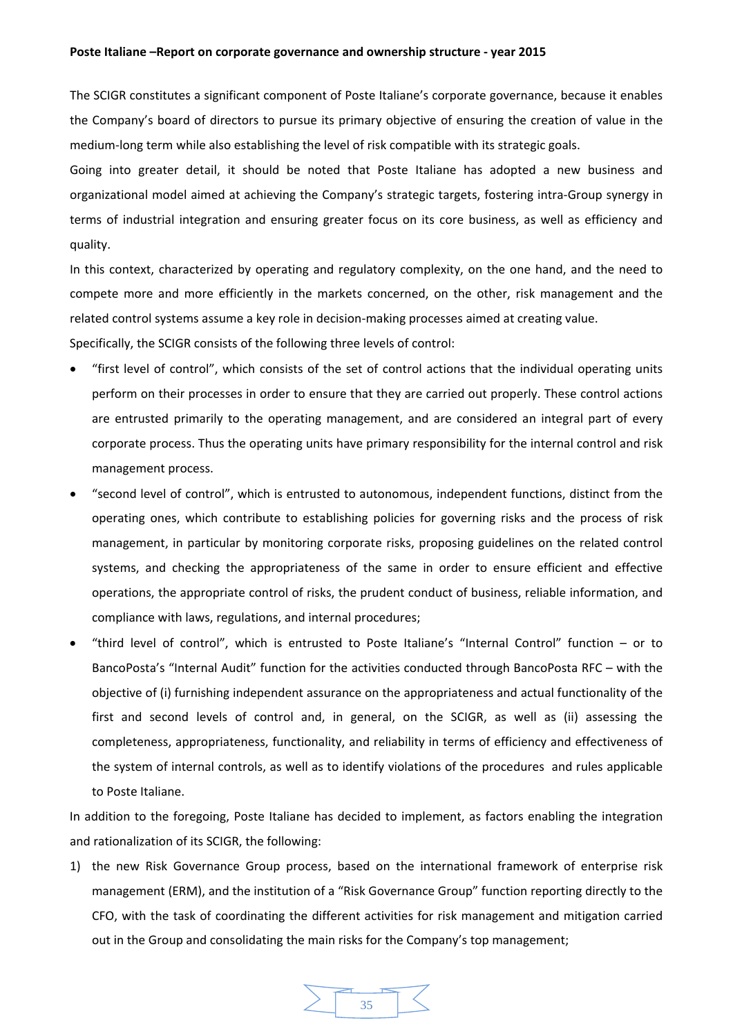The SCIGR constitutes a significant component of Poste Italiane's corporate governance, because it enables the Company's board of directors to pursue its primary objective of ensuring the creation of value in the medium‐long term while also establishing the level of risk compatible with its strategic goals.

Going into greater detail, it should be noted that Poste Italiane has adopted a new business and organizational model aimed at achieving the Company's strategic targets, fostering intra‐Group synergy in terms of industrial integration and ensuring greater focus on its core business, as well as efficiency and quality.

In this context, characterized by operating and regulatory complexity, on the one hand, and the need to compete more and more efficiently in the markets concerned, on the other, risk management and the related control systems assume a key role in decision‐making processes aimed at creating value.

Specifically, the SCIGR consists of the following three levels of control:

- "first level of control", which consists of the set of control actions that the individual operating units perform on their processes in order to ensure that they are carried out properly. These control actions are entrusted primarily to the operating management, and are considered an integral part of every corporate process. Thus the operating units have primary responsibility for the internal control and risk management process.
- "second level of control", which is entrusted to autonomous, independent functions, distinct from the operating ones, which contribute to establishing policies for governing risks and the process of risk management, in particular by monitoring corporate risks, proposing guidelines on the related control systems, and checking the appropriateness of the same in order to ensure efficient and effective operations, the appropriate control of risks, the prudent conduct of business, reliable information, and compliance with laws, regulations, and internal procedures;
- "third level of control", which is entrusted to Poste Italiane's "Internal Control" function or to BancoPosta's "Internal Audit" function for the activities conducted through BancoPosta RFC – with the objective of (i) furnishing independent assurance on the appropriateness and actual functionality of the first and second levels of control and, in general, on the SCIGR, as well as (ii) assessing the completeness, appropriateness, functionality, and reliability in terms of efficiency and effectiveness of the system of internal controls, as well as to identify violations of the procedures and rules applicable to Poste Italiane.

In addition to the foregoing, Poste Italiane has decided to implement, as factors enabling the integration and rationalization of its SCIGR, the following:

1) the new Risk Governance Group process, based on the international framework of enterprise risk management (ERM), and the institution of a "Risk Governance Group" function reporting directly to the CFO, with the task of coordinating the different activities for risk management and mitigation carried out in the Group and consolidating the main risks for the Company's top management;

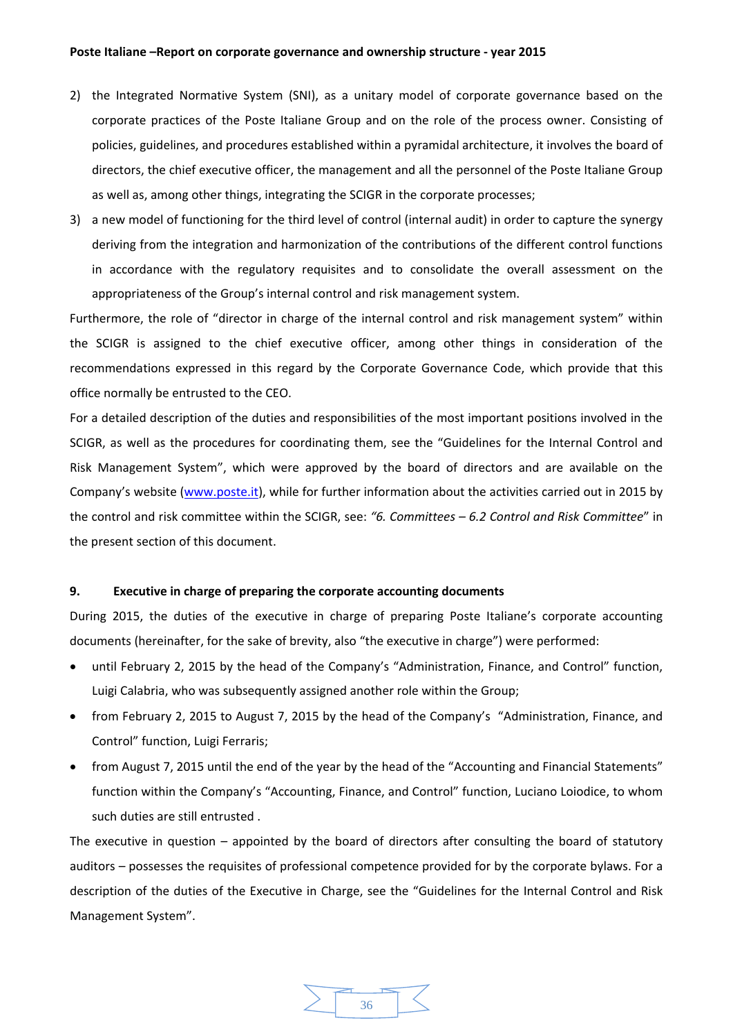- 2) the Integrated Normative System (SNI), as a unitary model of corporate governance based on the corporate practices of the Poste Italiane Group and on the role of the process owner. Consisting of policies, guidelines, and procedures established within a pyramidal architecture, it involves the board of directors, the chief executive officer, the management and all the personnel of the Poste Italiane Group as well as, among other things, integrating the SCIGR in the corporate processes;
- 3) a new model of functioning for the third level of control (internal audit) in order to capture the synergy deriving from the integration and harmonization of the contributions of the different control functions in accordance with the regulatory requisites and to consolidate the overall assessment on the appropriateness of the Group's internal control and risk management system.

Furthermore, the role of "director in charge of the internal control and risk management system" within the SCIGR is assigned to the chief executive officer, among other things in consideration of the recommendations expressed in this regard by the Corporate Governance Code, which provide that this office normally be entrusted to the CEO.

For a detailed description of the duties and responsibilities of the most important positions involved in the SCIGR, as well as the procedures for coordinating them, see the "Guidelines for the Internal Control and Risk Management System", which were approved by the board of directors and are available on the Company's website (www.poste.it), while for further information about the activities carried out in 2015 by the control and risk committee within the SCIGR, see: *"6. Committees – 6.2 Control and Risk Committee*" in the present section of this document.

## **9. Executive in charge of preparing the corporate accounting documents**

During 2015, the duties of the executive in charge of preparing Poste Italiane's corporate accounting documents (hereinafter, for the sake of brevity, also "the executive in charge") were performed:

- until February 2, 2015 by the head of the Company's "Administration, Finance, and Control" function, Luigi Calabria, who was subsequently assigned another role within the Group;
- from February 2, 2015 to August 7, 2015 by the head of the Company's "Administration, Finance, and Control" function, Luigi Ferraris;
- from August 7, 2015 until the end of the year by the head of the "Accounting and Financial Statements" function within the Company's "Accounting, Finance, and Control" function, Luciano Loiodice, to whom such duties are still entrusted .

The executive in question  $-$  appointed by the board of directors after consulting the board of statutory auditors – possesses the requisites of professional competence provided for by the corporate bylaws. For a description of the duties of the Executive in Charge, see the "Guidelines for the Internal Control and Risk Management System".

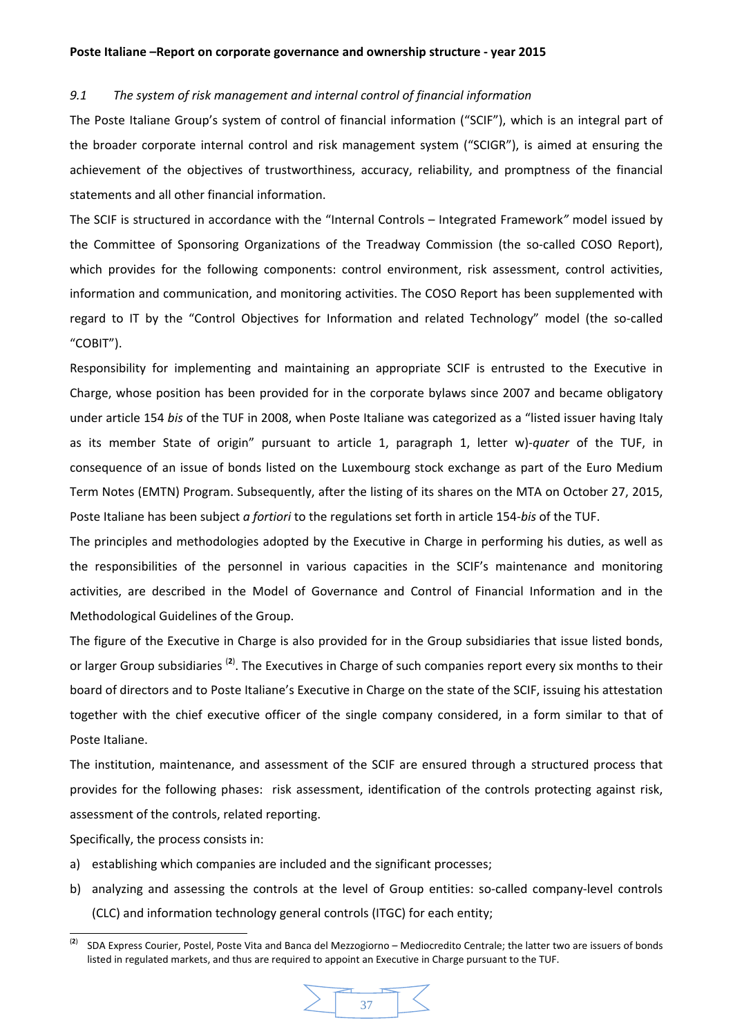#### *9.1 The system of risk management and internal control of financial information*

The Poste Italiane Group's system of control of financial information ("SCIF"), which is an integral part of the broader corporate internal control and risk management system ("SCIGR"), is aimed at ensuring the achievement of the objectives of trustworthiness, accuracy, reliability, and promptness of the financial statements and all other financial information.

The SCIF is structured in accordance with the "Internal Controls – Integrated Framework*"* model issued by the Committee of Sponsoring Organizations of the Treadway Commission (the so-called COSO Report), which provides for the following components: control environment, risk assessment, control activities, information and communication, and monitoring activities. The COSO Report has been supplemented with regard to IT by the "Control Objectives for Information and related Technology" model (the so-called "COBIT").

Responsibility for implementing and maintaining an appropriate SCIF is entrusted to the Executive in Charge, whose position has been provided for in the corporate bylaws since 2007 and became obligatory under article 154 *bis* of the TUF in 2008, when Poste Italiane was categorized as a "listed issuer having Italy as its member State of origin" pursuant to article 1, paragraph 1, letter w)‐*quater* of the TUF, in consequence of an issue of bonds listed on the Luxembourg stock exchange as part of the Euro Medium Term Notes (EMTN) Program. Subsequently, after the listing of its shares on the MTA on October 27, 2015, Poste Italiane has been subject *a fortiori* to the regulations set forth in article 154‐*bis* of the TUF.

The principles and methodologies adopted by the Executive in Charge in performing his duties, as well as the responsibilities of the personnel in various capacities in the SCIF's maintenance and monitoring activities, are described in the Model of Governance and Control of Financial Information and in the Methodological Guidelines of the Group.

The figure of the Executive in Charge is also provided for in the Group subsidiaries that issue listed bonds, or larger Group subsidiaries <sup>(2)</sup>. The Executives in Charge of such companies report every six months to their board of directors and to Poste Italiane's Executive in Charge on the state of the SCIF, issuing his attestation together with the chief executive officer of the single company considered, in a form similar to that of Poste Italiane.

The institution, maintenance, and assessment of the SCIF are ensured through a structured process that provides for the following phases: risk assessment, identification of the controls protecting against risk, assessment of the controls, related reporting.

Specifically, the process consists in:

- a) establishing which companies are included and the significant processes;
- b) analyzing and assessing the controls at the level of Group entities: so-called company-level controls (CLC) and information technology general controls (ITGC) for each entity;

 (**2**) SDA Express Courier, Postel, Poste Vita and Banca del Mezzogiorno – Mediocredito Centrale; the latter two are issuers of bonds listed in regulated markets, and thus are required to appoint an Executive in Charge pursuant to the TUF.

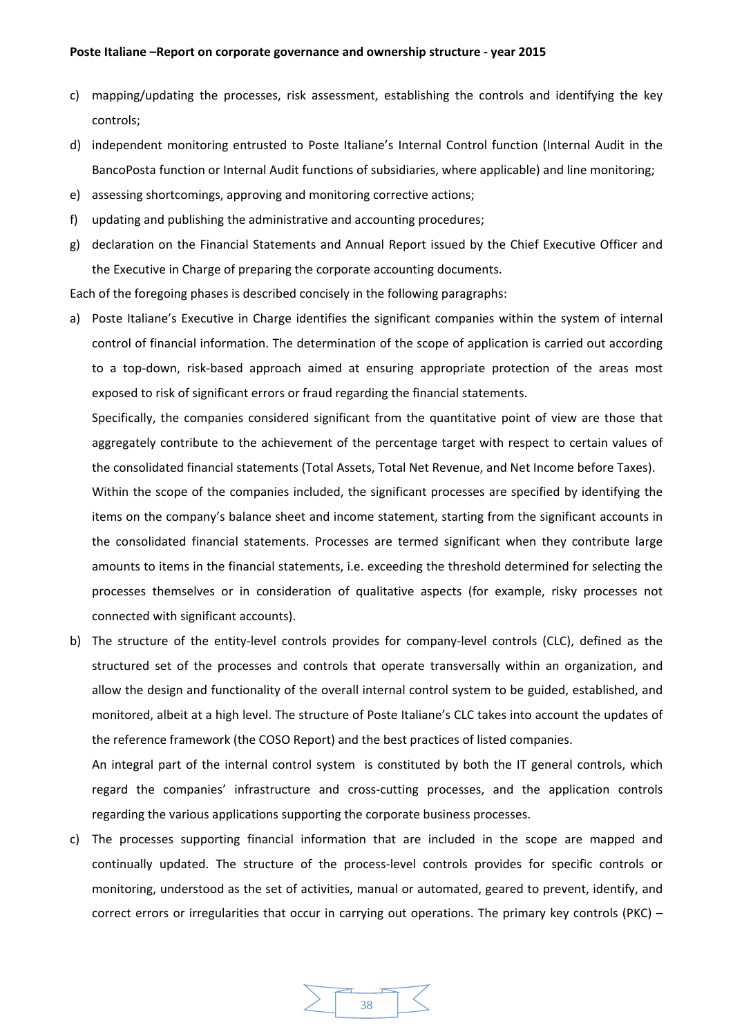- c) mapping/updating the processes, risk assessment, establishing the controls and identifying the key controls;
- d) independent monitoring entrusted to Poste Italiane's Internal Control function (Internal Audit in the BancoPosta function or Internal Audit functions of subsidiaries, where applicable) and line monitoring;
- e) assessing shortcomings, approving and monitoring corrective actions;
- f) updating and publishing the administrative and accounting procedures;
- g) declaration on the Financial Statements and Annual Report issued by the Chief Executive Officer and the Executive in Charge of preparing the corporate accounting documents.

Each of the foregoing phases is described concisely in the following paragraphs:

a) Poste Italiane's Executive in Charge identifies the significant companies within the system of internal control of financial information. The determination of the scope of application is carried out according to a top-down, risk-based approach aimed at ensuring appropriate protection of the areas most exposed to risk of significant errors or fraud regarding the financial statements.

Specifically, the companies considered significant from the quantitative point of view are those that aggregately contribute to the achievement of the percentage target with respect to certain values of the consolidated financial statements (Total Assets, Total Net Revenue, and Net Income before Taxes).

Within the scope of the companies included, the significant processes are specified by identifying the items on the company's balance sheet and income statement, starting from the significant accounts in the consolidated financial statements. Processes are termed significant when they contribute large amounts to items in the financial statements, i.e. exceeding the threshold determined for selecting the processes themselves or in consideration of qualitative aspects (for example, risky processes not connected with significant accounts).

b) The structure of the entity-level controls provides for company-level controls (CLC), defined as the structured set of the processes and controls that operate transversally within an organization, and allow the design and functionality of the overall internal control system to be guided, established, and monitored, albeit at a high level. The structure of Poste Italiane's CLC takes into account the updates of the reference framework (the COSO Report) and the best practices of listed companies.

An integral part of the internal control system is constituted by both the IT general controls, which regard the companies' infrastructure and cross-cutting processes, and the application controls regarding the various applications supporting the corporate business processes.

c) The processes supporting financial information that are included in the scope are mapped and continually updated. The structure of the process-level controls provides for specific controls or monitoring, understood as the set of activities, manual or automated, geared to prevent, identify, and correct errors or irregularities that occur in carrying out operations. The primary key controls (PKC) –

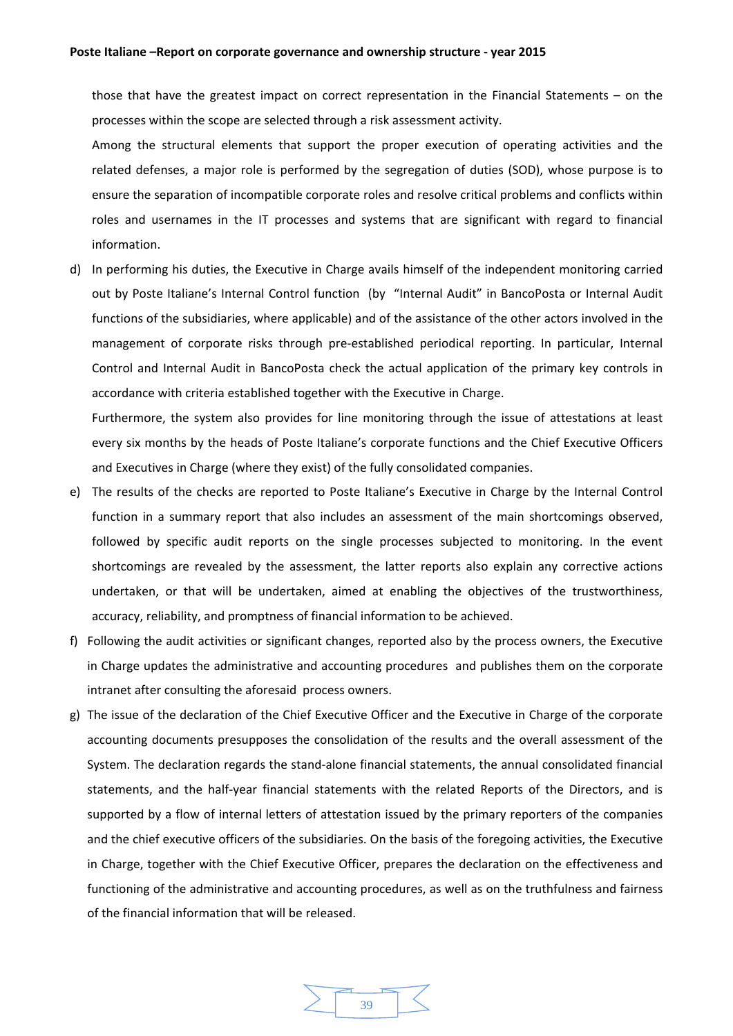those that have the greatest impact on correct representation in the Financial Statements – on the processes within the scope are selected through a risk assessment activity.

Among the structural elements that support the proper execution of operating activities and the related defenses, a major role is performed by the segregation of duties (SOD), whose purpose is to ensure the separation of incompatible corporate roles and resolve critical problems and conflicts within roles and usernames in the IT processes and systems that are significant with regard to financial information.

d) In performing his duties, the Executive in Charge avails himself of the independent monitoring carried out by Poste Italiane's Internal Control function (by "Internal Audit" in BancoPosta or Internal Audit functions of the subsidiaries, where applicable) and of the assistance of the other actors involved in the management of corporate risks through pre‐established periodical reporting. In particular, Internal Control and Internal Audit in BancoPosta check the actual application of the primary key controls in accordance with criteria established together with the Executive in Charge.

Furthermore, the system also provides for line monitoring through the issue of attestations at least every six months by the heads of Poste Italiane's corporate functions and the Chief Executive Officers and Executives in Charge (where they exist) of the fully consolidated companies.

- e) The results of the checks are reported to Poste Italiane's Executive in Charge by the Internal Control function in a summary report that also includes an assessment of the main shortcomings observed, followed by specific audit reports on the single processes subjected to monitoring. In the event shortcomings are revealed by the assessment, the latter reports also explain any corrective actions undertaken, or that will be undertaken, aimed at enabling the objectives of the trustworthiness, accuracy, reliability, and promptness of financial information to be achieved.
- f) Following the audit activities or significant changes, reported also by the process owners, the Executive in Charge updates the administrative and accounting procedures and publishes them on the corporate intranet after consulting the aforesaid process owners.
- g) The issue of the declaration of the Chief Executive Officer and the Executive in Charge of the corporate accounting documents presupposes the consolidation of the results and the overall assessment of the System. The declaration regards the stand‐alone financial statements, the annual consolidated financial statements, and the half-year financial statements with the related Reports of the Directors, and is supported by a flow of internal letters of attestation issued by the primary reporters of the companies and the chief executive officers of the subsidiaries. On the basis of the foregoing activities, the Executive in Charge, together with the Chief Executive Officer, prepares the declaration on the effectiveness and functioning of the administrative and accounting procedures, as well as on the truthfulness and fairness of the financial information that will be released.

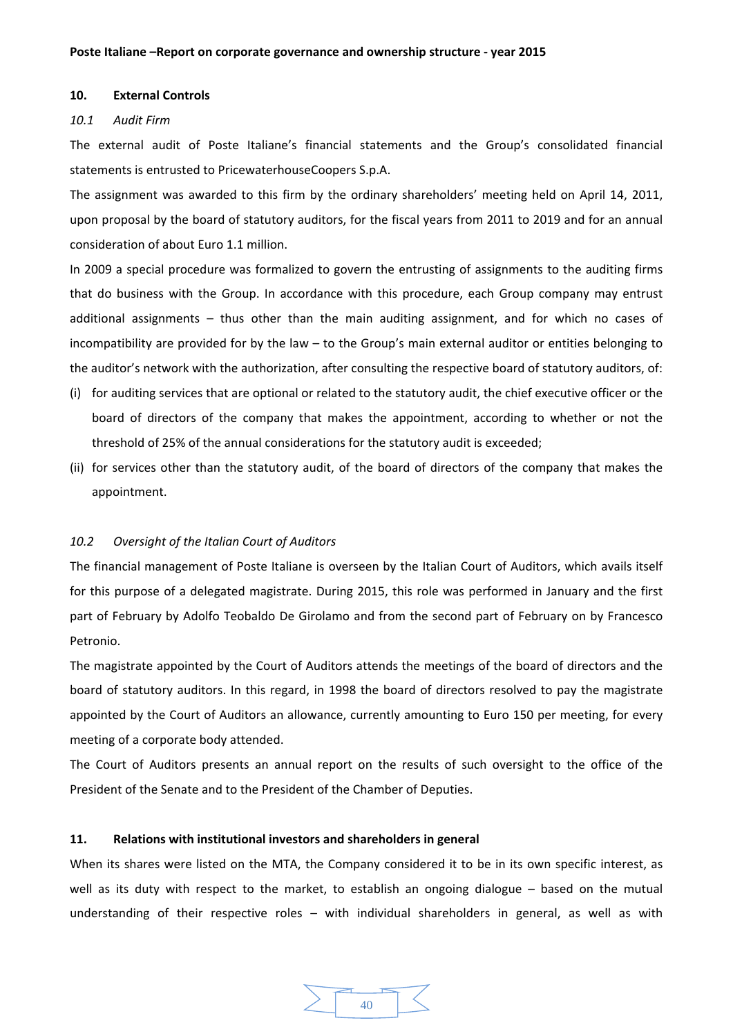#### **10. External Controls**

#### *10.1 Audit Firm*

The external audit of Poste Italiane's financial statements and the Group's consolidated financial statements is entrusted to PricewaterhouseCoopers S.p.A.

The assignment was awarded to this firm by the ordinary shareholders' meeting held on April 14, 2011, upon proposal by the board of statutory auditors, for the fiscal years from 2011 to 2019 and for an annual consideration of about Euro 1.1 million.

In 2009 a special procedure was formalized to govern the entrusting of assignments to the auditing firms that do business with the Group. In accordance with this procedure, each Group company may entrust additional assignments – thus other than the main auditing assignment, and for which no cases of incompatibility are provided for by the law – to the Group's main external auditor or entities belonging to the auditor's network with the authorization, after consulting the respective board of statutory auditors, of:

- (i) for auditing services that are optional or related to the statutory audit, the chief executive officer or the board of directors of the company that makes the appointment, according to whether or not the threshold of 25% of the annual considerations for the statutory audit is exceeded;
- (ii) for services other than the statutory audit, of the board of directors of the company that makes the appointment.

#### *10.2 Oversight of the Italian Court of Auditors*

The financial management of Poste Italiane is overseen by the Italian Court of Auditors, which avails itself for this purpose of a delegated magistrate. During 2015, this role was performed in January and the first part of February by Adolfo Teobaldo De Girolamo and from the second part of February on by Francesco Petronio.

The magistrate appointed by the Court of Auditors attends the meetings of the board of directors and the board of statutory auditors. In this regard, in 1998 the board of directors resolved to pay the magistrate appointed by the Court of Auditors an allowance, currently amounting to Euro 150 per meeting, for every meeting of a corporate body attended.

The Court of Auditors presents an annual report on the results of such oversight to the office of the President of the Senate and to the President of the Chamber of Deputies.

#### **11. Relations with institutional investors and shareholders in general**

When its shares were listed on the MTA, the Company considered it to be in its own specific interest, as well as its duty with respect to the market, to establish an ongoing dialogue – based on the mutual understanding of their respective roles – with individual shareholders in general, as well as with

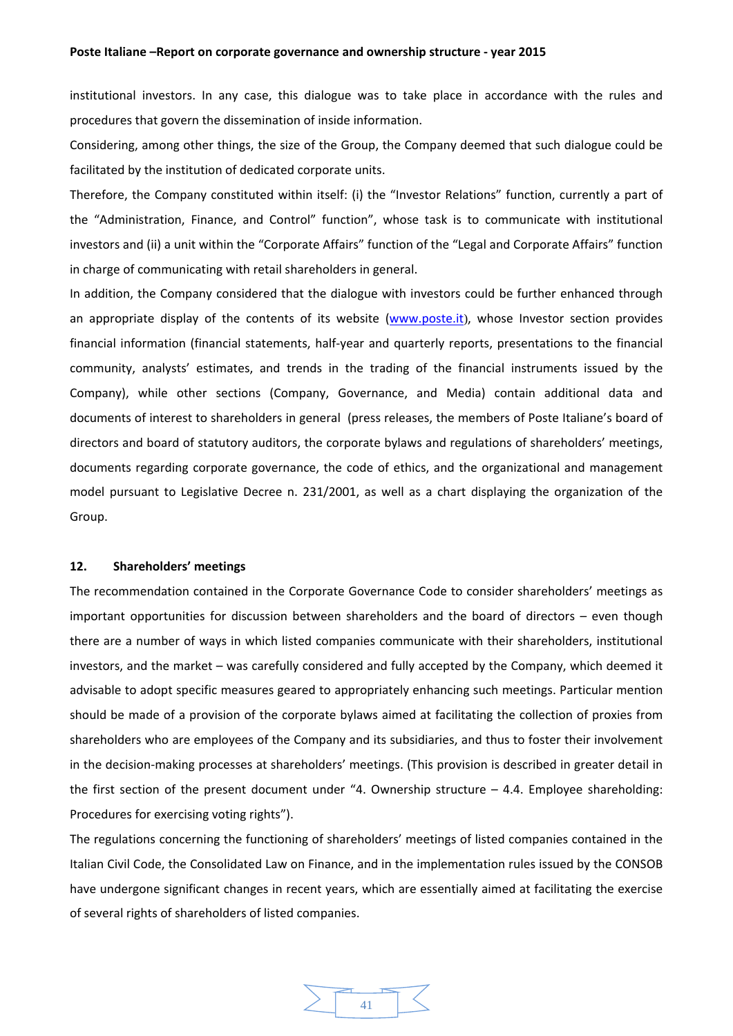institutional investors. In any case, this dialogue was to take place in accordance with the rules and procedures that govern the dissemination of inside information.

Considering, among other things, the size of the Group, the Company deemed that such dialogue could be facilitated by the institution of dedicated corporate units.

Therefore, the Company constituted within itself: (i) the "Investor Relations" function, currently a part of the "Administration, Finance, and Control" function", whose task is to communicate with institutional investors and (ii) a unit within the "Corporate Affairs" function of the "Legal and Corporate Affairs" function in charge of communicating with retail shareholders in general.

In addition, the Company considered that the dialogue with investors could be further enhanced through an appropriate display of the contents of its website (www.poste.it), whose Investor section provides financial information (financial statements, half-year and quarterly reports, presentations to the financial community, analysts' estimates, and trends in the trading of the financial instruments issued by the Company), while other sections (Company, Governance, and Media) contain additional data and documents of interest to shareholders in general (press releases, the members of Poste Italiane's board of directors and board of statutory auditors, the corporate bylaws and regulations of shareholders' meetings, documents regarding corporate governance, the code of ethics, and the organizational and management model pursuant to Legislative Decree n. 231/2001, as well as a chart displaying the organization of the Group.

## **12. Shareholders' meetings**

The recommendation contained in the Corporate Governance Code to consider shareholders' meetings as important opportunities for discussion between shareholders and the board of directors – even though there are a number of ways in which listed companies communicate with their shareholders, institutional investors, and the market – was carefully considered and fully accepted by the Company, which deemed it advisable to adopt specific measures geared to appropriately enhancing such meetings. Particular mention should be made of a provision of the corporate bylaws aimed at facilitating the collection of proxies from shareholders who are employees of the Company and its subsidiaries, and thus to foster their involvement in the decision‐making processes at shareholders' meetings. (This provision is described in greater detail in the first section of the present document under "4. Ownership structure  $-$  4.4. Employee shareholding: Procedures for exercising voting rights").

The regulations concerning the functioning of shareholders' meetings of listed companies contained in the Italian Civil Code, the Consolidated Law on Finance, and in the implementation rules issued by the CONSOB have undergone significant changes in recent years, which are essentially aimed at facilitating the exercise of several rights of shareholders of listed companies.

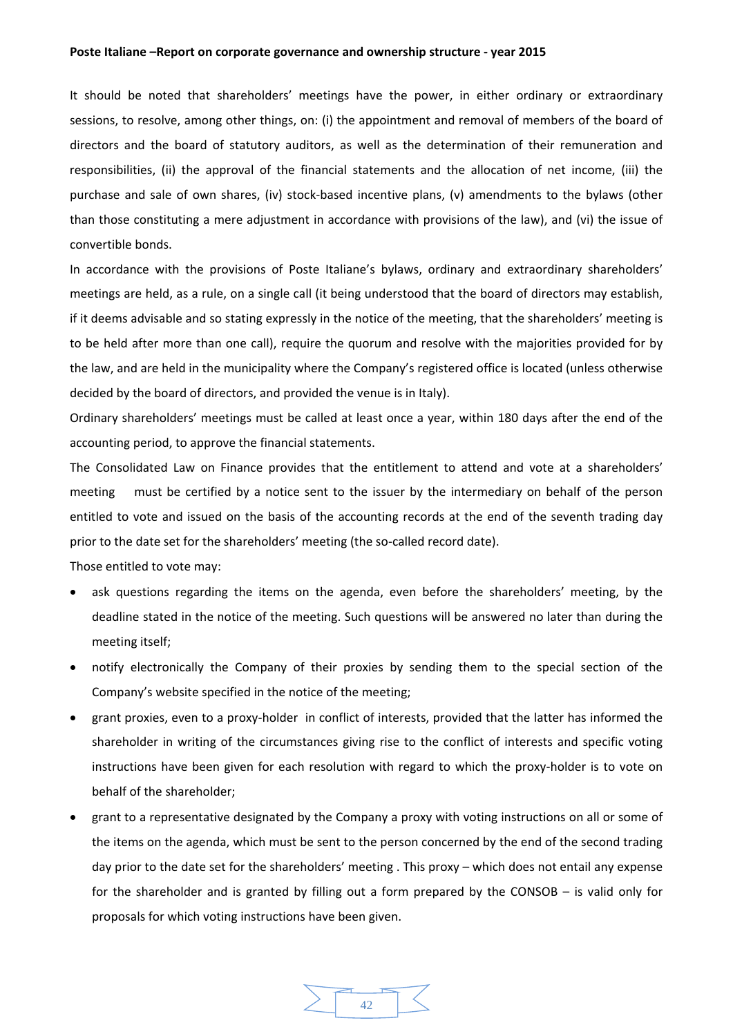It should be noted that shareholders' meetings have the power, in either ordinary or extraordinary sessions, to resolve, among other things, on: (i) the appointment and removal of members of the board of directors and the board of statutory auditors, as well as the determination of their remuneration and responsibilities, (ii) the approval of the financial statements and the allocation of net income, (iii) the purchase and sale of own shares, (iv) stock‐based incentive plans, (v) amendments to the bylaws (other than those constituting a mere adjustment in accordance with provisions of the law), and (vi) the issue of convertible bonds.

In accordance with the provisions of Poste Italiane's bylaws, ordinary and extraordinary shareholders' meetings are held, as a rule, on a single call (it being understood that the board of directors may establish, if it deems advisable and so stating expressly in the notice of the meeting, that the shareholders' meeting is to be held after more than one call), require the quorum and resolve with the majorities provided for by the law, and are held in the municipality where the Company's registered office is located (unless otherwise decided by the board of directors, and provided the venue is in Italy).

Ordinary shareholders' meetings must be called at least once a year, within 180 days after the end of the accounting period, to approve the financial statements.

The Consolidated Law on Finance provides that the entitlement to attend and vote at a shareholders' meeting must be certified by a notice sent to the issuer by the intermediary on behalf of the person entitled to vote and issued on the basis of the accounting records at the end of the seventh trading day prior to the date set for the shareholders' meeting (the so-called record date).

Those entitled to vote may:

- ask questions regarding the items on the agenda, even before the shareholders' meeting, by the deadline stated in the notice of the meeting. Such questions will be answered no later than during the meeting itself;
- notify electronically the Company of their proxies by sending them to the special section of the Company's website specified in the notice of the meeting;
- grant proxies, even to a proxy‐holder in conflict of interests, provided that the latter has informed the shareholder in writing of the circumstances giving rise to the conflict of interests and specific voting instructions have been given for each resolution with regard to which the proxy-holder is to vote on behalf of the shareholder;
- grant to a representative designated by the Company a proxy with voting instructions on all or some of the items on the agenda, which must be sent to the person concerned by the end of the second trading day prior to the date set for the shareholders' meeting . This proxy – which does not entail any expense for the shareholder and is granted by filling out a form prepared by the CONSOB – is valid only for proposals for which voting instructions have been given.

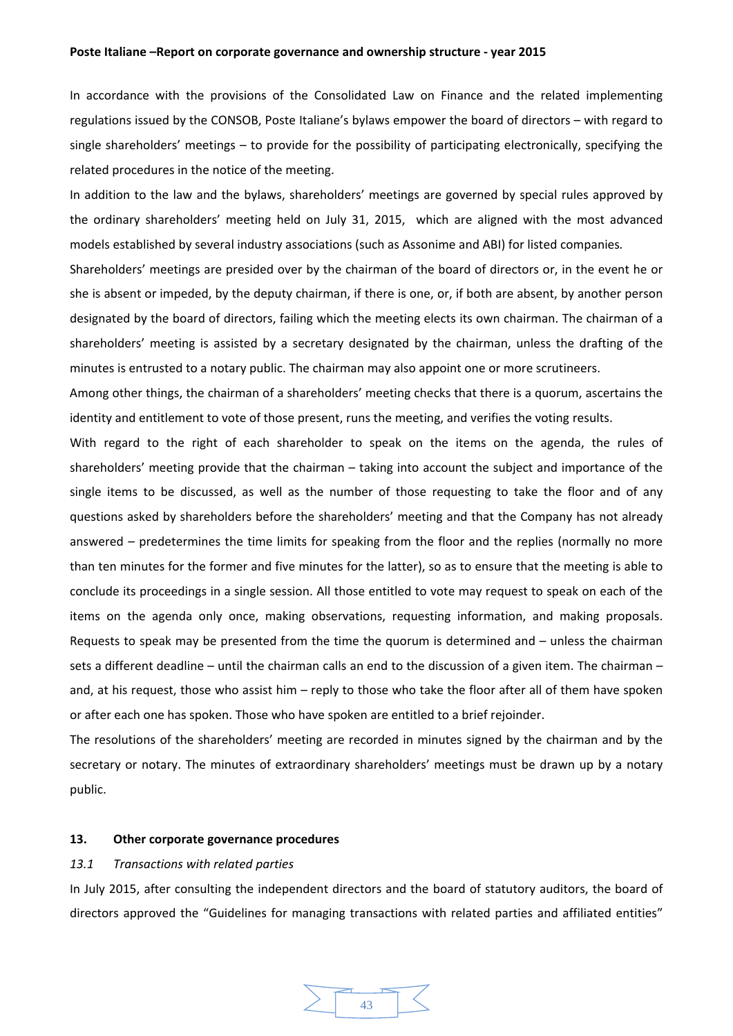In accordance with the provisions of the Consolidated Law on Finance and the related implementing regulations issued by the CONSOB, Poste Italiane's bylaws empower the board of directors – with regard to single shareholders' meetings – to provide for the possibility of participating electronically, specifying the related procedures in the notice of the meeting.

In addition to the law and the bylaws, shareholders' meetings are governed by special rules approved by the ordinary shareholders' meeting held on July 31, 2015, which are aligned with the most advanced models established by several industry associations (such as Assonime and ABI) for listed companies*.* 

Shareholders' meetings are presided over by the chairman of the board of directors or, in the event he or she is absent or impeded, by the deputy chairman, if there is one, or, if both are absent, by another person designated by the board of directors, failing which the meeting elects its own chairman. The chairman of a shareholders' meeting is assisted by a secretary designated by the chairman, unless the drafting of the minutes is entrusted to a notary public. The chairman may also appoint one or more scrutineers.

Among other things, the chairman of a shareholders' meeting checks that there is a quorum, ascertains the identity and entitlement to vote of those present, runs the meeting, and verifies the voting results.

With regard to the right of each shareholder to speak on the items on the agenda, the rules of shareholders' meeting provide that the chairman – taking into account the subject and importance of the single items to be discussed, as well as the number of those requesting to take the floor and of any questions asked by shareholders before the shareholders' meeting and that the Company has not already answered – predetermines the time limits for speaking from the floor and the replies (normally no more than ten minutes for the former and five minutes for the latter), so as to ensure that the meeting is able to conclude its proceedings in a single session. All those entitled to vote may request to speak on each of the items on the agenda only once, making observations, requesting information, and making proposals. Requests to speak may be presented from the time the quorum is determined and – unless the chairman sets a different deadline – until the chairman calls an end to the discussion of a given item. The chairman – and, at his request, those who assist him – reply to those who take the floor after all of them have spoken or after each one has spoken. Those who have spoken are entitled to a brief rejoinder.

The resolutions of the shareholders' meeting are recorded in minutes signed by the chairman and by the secretary or notary. The minutes of extraordinary shareholders' meetings must be drawn up by a notary public.

#### **13. Other corporate governance procedures**

## *13.1 Transactions with related parties*

In July 2015, after consulting the independent directors and the board of statutory auditors, the board of directors approved the "Guidelines for managing transactions with related parties and affiliated entities"

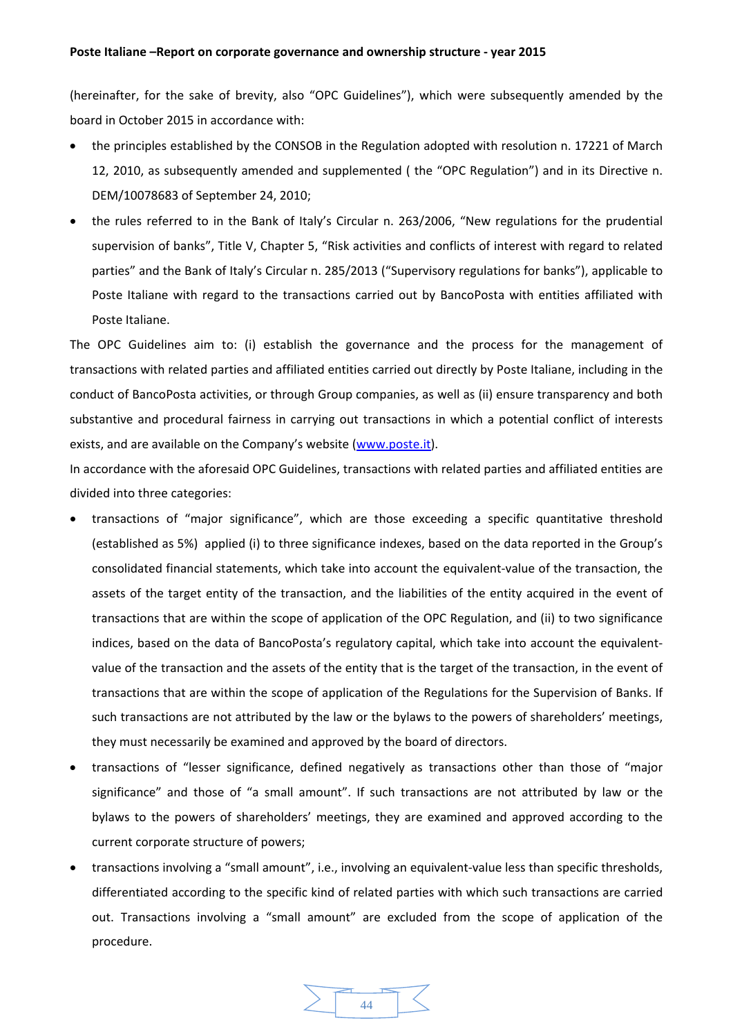(hereinafter, for the sake of brevity, also "OPC Guidelines"), which were subsequently amended by the board in October 2015 in accordance with:

- the principles established by the CONSOB in the Regulation adopted with resolution n. 17221 of March 12, 2010, as subsequently amended and supplemented ( the "OPC Regulation") and in its Directive n. DEM/10078683 of September 24, 2010;
- the rules referred to in the Bank of Italy's Circular n. 263/2006, "New regulations for the prudential supervision of banks", Title V, Chapter 5, "Risk activities and conflicts of interest with regard to related parties" and the Bank of Italy's Circular n. 285/2013 ("Supervisory regulations for banks"), applicable to Poste Italiane with regard to the transactions carried out by BancoPosta with entities affiliated with Poste Italiane.

The OPC Guidelines aim to: (i) establish the governance and the process for the management of transactions with related parties and affiliated entities carried out directly by Poste Italiane, including in the conduct of BancoPosta activities, or through Group companies, as well as (ii) ensure transparency and both substantive and procedural fairness in carrying out transactions in which a potential conflict of interests exists, and are available on the Company's website (www.poste.it).

In accordance with the aforesaid OPC Guidelines, transactions with related parties and affiliated entities are divided into three categories:

- transactions of "major significance", which are those exceeding a specific quantitative threshold (established as 5%) applied (i) to three significance indexes, based on the data reported in the Group's consolidated financial statements, which take into account the equivalent‐value of the transaction, the assets of the target entity of the transaction, and the liabilities of the entity acquired in the event of transactions that are within the scope of application of the OPC Regulation, and (ii) to two significance indices, based on the data of BancoPosta's regulatory capital, which take into account the equivalent‐ value of the transaction and the assets of the entity that is the target of the transaction, in the event of transactions that are within the scope of application of the Regulations for the Supervision of Banks. If such transactions are not attributed by the law or the bylaws to the powers of shareholders' meetings, they must necessarily be examined and approved by the board of directors.
- transactions of "lesser significance, defined negatively as transactions other than those of "major significance" and those of "a small amount". If such transactions are not attributed by law or the bylaws to the powers of shareholders' meetings, they are examined and approved according to the current corporate structure of powers;
- transactions involving a "small amount", i.e., involving an equivalent‐value less than specific thresholds, differentiated according to the specific kind of related parties with which such transactions are carried out. Transactions involving a "small amount" are excluded from the scope of application of the procedure.

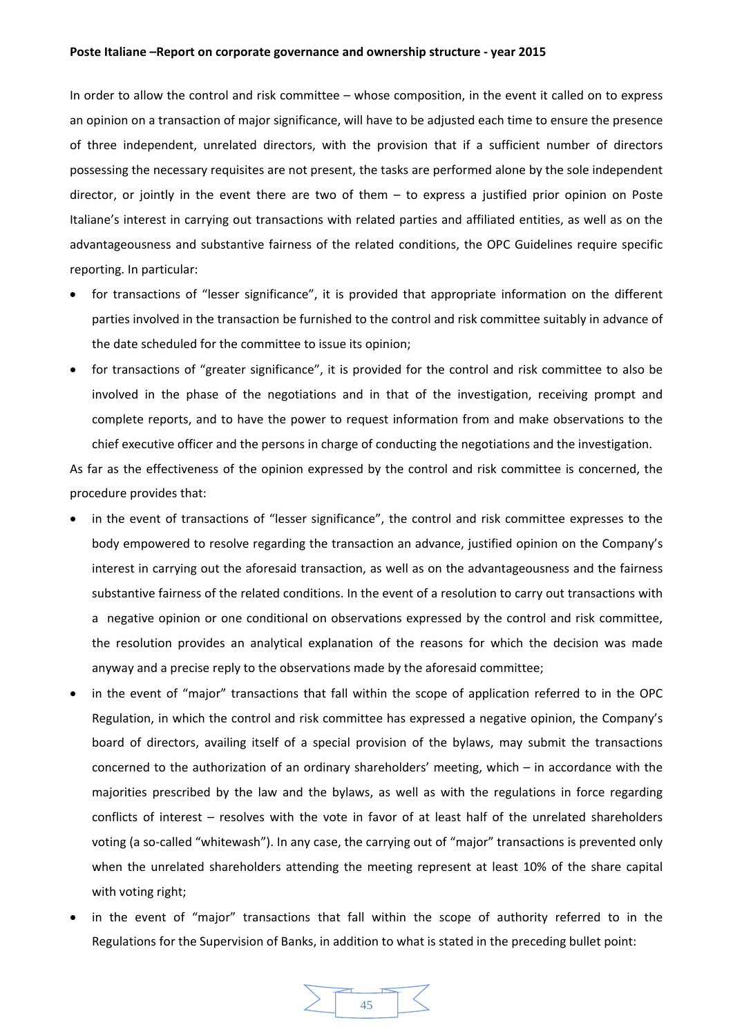In order to allow the control and risk committee – whose composition, in the event it called on to express an opinion on a transaction of major significance, will have to be adjusted each time to ensure the presence of three independent, unrelated directors, with the provision that if a sufficient number of directors possessing the necessary requisites are not present, the tasks are performed alone by the sole independent director, or jointly in the event there are two of them – to express a justified prior opinion on Poste Italiane's interest in carrying out transactions with related parties and affiliated entities, as well as on the advantageousness and substantive fairness of the related conditions, the OPC Guidelines require specific reporting. In particular:

- for transactions of "lesser significance", it is provided that appropriate information on the different parties involved in the transaction be furnished to the control and risk committee suitably in advance of the date scheduled for the committee to issue its opinion;
- for transactions of "greater significance", it is provided for the control and risk committee to also be involved in the phase of the negotiations and in that of the investigation, receiving prompt and complete reports, and to have the power to request information from and make observations to the chief executive officer and the persons in charge of conducting the negotiations and the investigation.

As far as the effectiveness of the opinion expressed by the control and risk committee is concerned, the procedure provides that:

- in the event of transactions of "lesser significance", the control and risk committee expresses to the body empowered to resolve regarding the transaction an advance, justified opinion on the Company's interest in carrying out the aforesaid transaction, as well as on the advantageousness and the fairness substantive fairness of the related conditions. In the event of a resolution to carry out transactions with a negative opinion or one conditional on observations expressed by the control and risk committee, the resolution provides an analytical explanation of the reasons for which the decision was made anyway and a precise reply to the observations made by the aforesaid committee;
- in the event of "major" transactions that fall within the scope of application referred to in the OPC Regulation, in which the control and risk committee has expressed a negative opinion, the Company's board of directors, availing itself of a special provision of the bylaws, may submit the transactions concerned to the authorization of an ordinary shareholders' meeting, which – in accordance with the majorities prescribed by the law and the bylaws, as well as with the regulations in force regarding conflicts of interest – resolves with the vote in favor of at least half of the unrelated shareholders voting (a so-called "whitewash"). In any case, the carrying out of "major" transactions is prevented only when the unrelated shareholders attending the meeting represent at least 10% of the share capital with voting right;
- in the event of "major" transactions that fall within the scope of authority referred to in the Regulations for the Supervision of Banks, in addition to what is stated in the preceding bullet point:

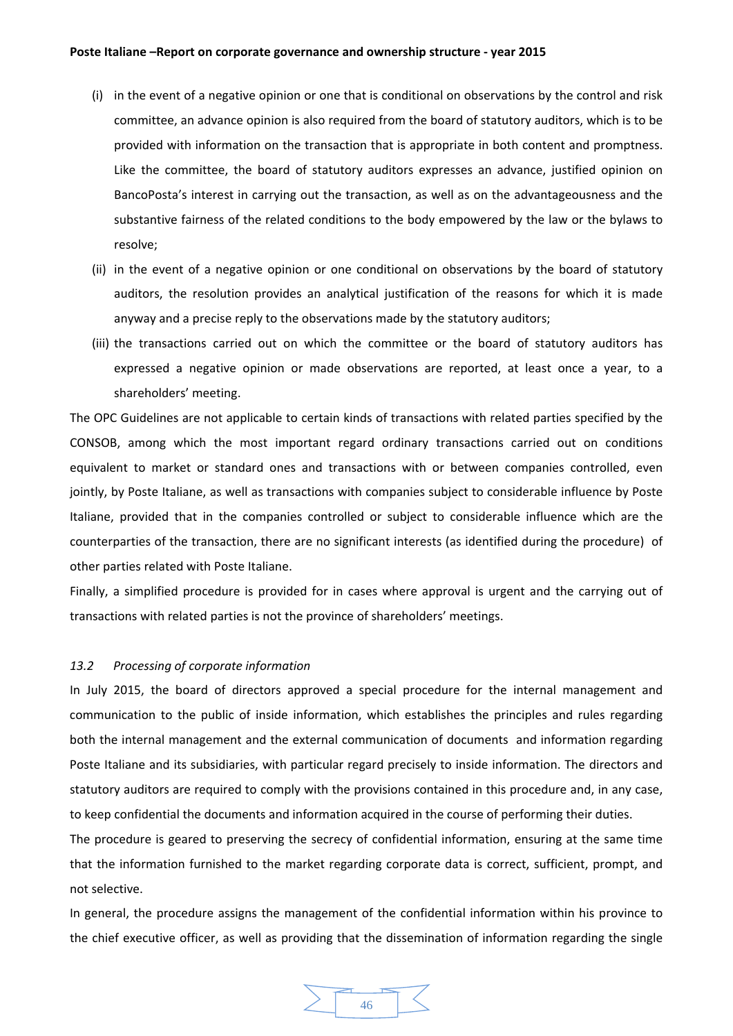- (i) in the event of a negative opinion or one that is conditional on observations by the control and risk committee, an advance opinion is also required from the board of statutory auditors, which is to be provided with information on the transaction that is appropriate in both content and promptness. Like the committee, the board of statutory auditors expresses an advance, justified opinion on BancoPosta's interest in carrying out the transaction, as well as on the advantageousness and the substantive fairness of the related conditions to the body empowered by the law or the bylaws to resolve;
- (ii) in the event of a negative opinion or one conditional on observations by the board of statutory auditors, the resolution provides an analytical justification of the reasons for which it is made anyway and a precise reply to the observations made by the statutory auditors;
- (iii) the transactions carried out on which the committee or the board of statutory auditors has expressed a negative opinion or made observations are reported, at least once a year, to a shareholders' meeting.

The OPC Guidelines are not applicable to certain kinds of transactions with related parties specified by the CONSOB, among which the most important regard ordinary transactions carried out on conditions equivalent to market or standard ones and transactions with or between companies controlled, even jointly, by Poste Italiane, as well as transactions with companies subject to considerable influence by Poste Italiane, provided that in the companies controlled or subject to considerable influence which are the counterparties of the transaction, there are no significant interests (as identified during the procedure) of other parties related with Poste Italiane.

Finally, a simplified procedure is provided for in cases where approval is urgent and the carrying out of transactions with related parties is not the province of shareholders' meetings.

## *13.2 Processing of corporate information*

In July 2015, the board of directors approved a special procedure for the internal management and communication to the public of inside information, which establishes the principles and rules regarding both the internal management and the external communication of documents and information regarding Poste Italiane and its subsidiaries, with particular regard precisely to inside information. The directors and statutory auditors are required to comply with the provisions contained in this procedure and, in any case, to keep confidential the documents and information acquired in the course of performing their duties.

The procedure is geared to preserving the secrecy of confidential information, ensuring at the same time that the information furnished to the market regarding corporate data is correct, sufficient, prompt, and not selective.

In general, the procedure assigns the management of the confidential information within his province to the chief executive officer, as well as providing that the dissemination of information regarding the single

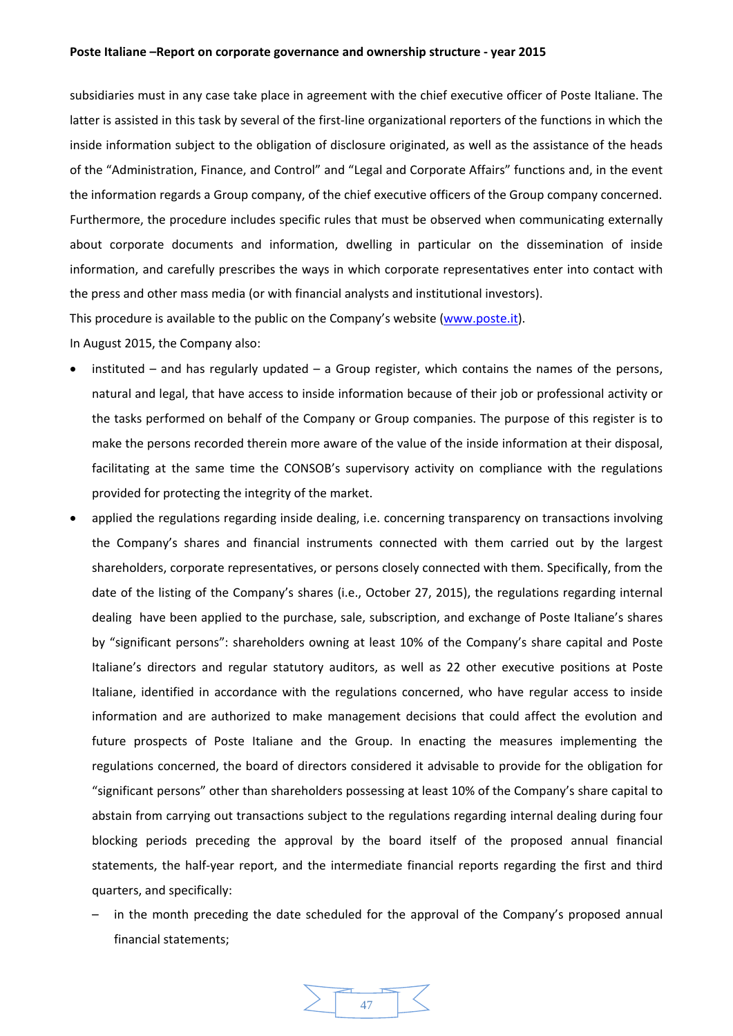subsidiaries must in any case take place in agreement with the chief executive officer of Poste Italiane. The latter is assisted in this task by several of the first-line organizational reporters of the functions in which the inside information subject to the obligation of disclosure originated, as well as the assistance of the heads of the "Administration, Finance, and Control" and "Legal and Corporate Affairs" functions and, in the event the information regards a Group company, of the chief executive officers of the Group company concerned. Furthermore, the procedure includes specific rules that must be observed when communicating externally about corporate documents and information, dwelling in particular on the dissemination of inside information, and carefully prescribes the ways in which corporate representatives enter into contact with the press and other mass media (or with financial analysts and institutional investors).

This procedure is available to the public on the Company's website (www.poste.it).

In August 2015, the Company also:

- instituted and has regularly updated a Group register, which contains the names of the persons, natural and legal, that have access to inside information because of their job or professional activity or the tasks performed on behalf of the Company or Group companies. The purpose of this register is to make the persons recorded therein more aware of the value of the inside information at their disposal, facilitating at the same time the CONSOB's supervisory activity on compliance with the regulations provided for protecting the integrity of the market.
- applied the regulations regarding inside dealing, i.e. concerning transparency on transactions involving the Company's shares and financial instruments connected with them carried out by the largest shareholders, corporate representatives, or persons closely connected with them. Specifically, from the date of the listing of the Company's shares (i.e., October 27, 2015), the regulations regarding internal dealing have been applied to the purchase, sale, subscription, and exchange of Poste Italiane's shares by "significant persons": shareholders owning at least 10% of the Company's share capital and Poste Italiane's directors and regular statutory auditors, as well as 22 other executive positions at Poste Italiane, identified in accordance with the regulations concerned, who have regular access to inside information and are authorized to make management decisions that could affect the evolution and future prospects of Poste Italiane and the Group. In enacting the measures implementing the regulations concerned, the board of directors considered it advisable to provide for the obligation for "significant persons" other than shareholders possessing at least 10% of the Company's share capital to abstain from carrying out transactions subject to the regulations regarding internal dealing during four blocking periods preceding the approval by the board itself of the proposed annual financial statements, the half-year report, and the intermediate financial reports regarding the first and third quarters, and specifically:
	- in the month preceding the date scheduled for the approval of the Company's proposed annual financial statements;

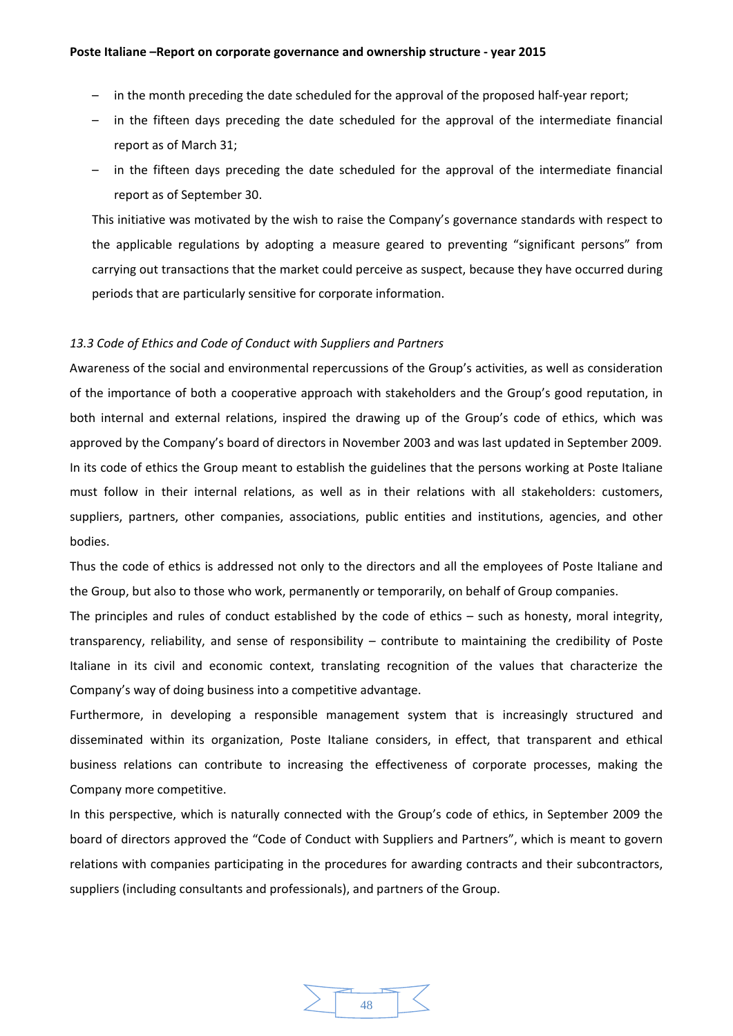- in the month preceding the date scheduled for the approval of the proposed half-year report;
- in the fifteen days preceding the date scheduled for the approval of the intermediate financial report as of March 31;
- in the fifteen days preceding the date scheduled for the approval of the intermediate financial report as of September 30.

This initiative was motivated by the wish to raise the Company's governance standards with respect to the applicable regulations by adopting a measure geared to preventing "significant persons" from carrying out transactions that the market could perceive as suspect, because they have occurred during periods that are particularly sensitive for corporate information.

# *13.3 Code of Ethics and Code of Conduct with Suppliers and Partners*

Awareness of the social and environmental repercussions of the Group's activities, as well as consideration of the importance of both a cooperative approach with stakeholders and the Group's good reputation, in both internal and external relations, inspired the drawing up of the Group's code of ethics, which was approved by the Company's board of directors in November 2003 and was last updated in September 2009. In its code of ethics the Group meant to establish the guidelines that the persons working at Poste Italiane must follow in their internal relations, as well as in their relations with all stakeholders: customers, suppliers, partners, other companies, associations, public entities and institutions, agencies, and other bodies.

Thus the code of ethics is addressed not only to the directors and all the employees of Poste Italiane and the Group, but also to those who work, permanently or temporarily, on behalf of Group companies.

The principles and rules of conduct established by the code of ethics – such as honesty, moral integrity, transparency, reliability, and sense of responsibility – contribute to maintaining the credibility of Poste Italiane in its civil and economic context, translating recognition of the values that characterize the Company's way of doing business into a competitive advantage.

Furthermore, in developing a responsible management system that is increasingly structured and disseminated within its organization, Poste Italiane considers, in effect, that transparent and ethical business relations can contribute to increasing the effectiveness of corporate processes, making the Company more competitive.

In this perspective, which is naturally connected with the Group's code of ethics, in September 2009 the board of directors approved the "Code of Conduct with Suppliers and Partners", which is meant to govern relations with companies participating in the procedures for awarding contracts and their subcontractors, suppliers (including consultants and professionals), and partners of the Group.

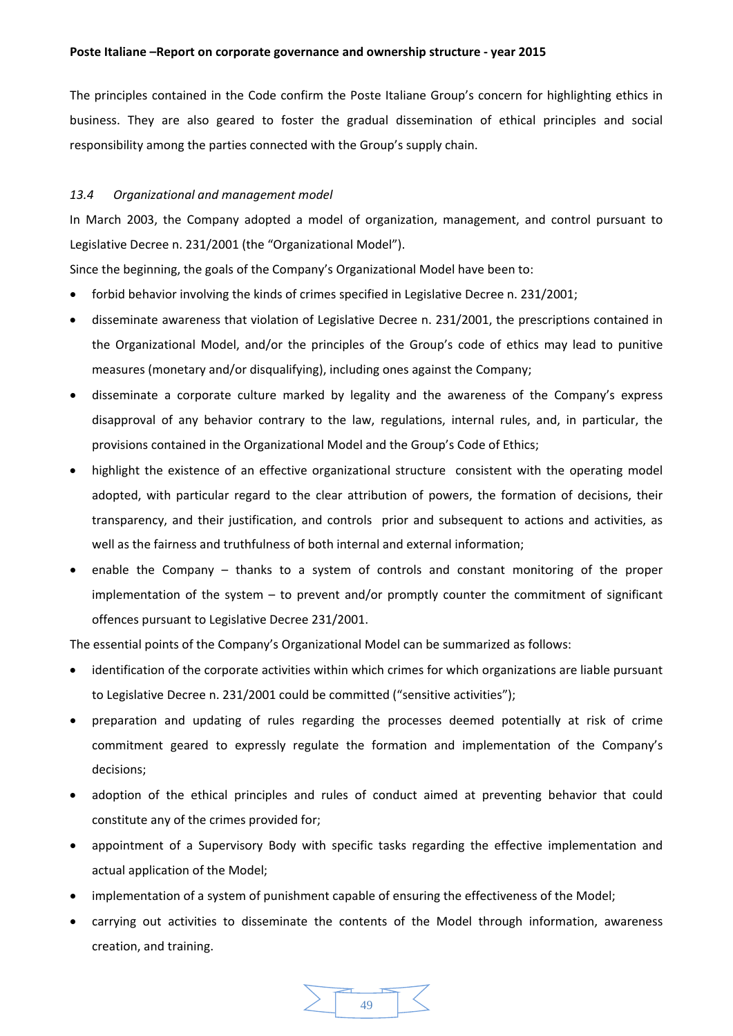The principles contained in the Code confirm the Poste Italiane Group's concern for highlighting ethics in business. They are also geared to foster the gradual dissemination of ethical principles and social responsibility among the parties connected with the Group's supply chain.

# *13.4 Organizational and management model*

In March 2003, the Company adopted a model of organization, management, and control pursuant to Legislative Decree n. 231/2001 (the "Organizational Model").

Since the beginning, the goals of the Company's Organizational Model have been to:

- forbid behavior involving the kinds of crimes specified in Legislative Decree n. 231/2001;
- disseminate awareness that violation of Legislative Decree n. 231/2001, the prescriptions contained in the Organizational Model, and/or the principles of the Group's code of ethics may lead to punitive measures (monetary and/or disqualifying), including ones against the Company;
- disseminate a corporate culture marked by legality and the awareness of the Company's express disapproval of any behavior contrary to the law, regulations, internal rules, and, in particular, the provisions contained in the Organizational Model and the Group's Code of Ethics;
- highlight the existence of an effective organizational structure consistent with the operating model adopted, with particular regard to the clear attribution of powers, the formation of decisions, their transparency, and their justification, and controls prior and subsequent to actions and activities, as well as the fairness and truthfulness of both internal and external information;
- enable the Company thanks to a system of controls and constant monitoring of the proper implementation of the system – to prevent and/or promptly counter the commitment of significant offences pursuant to Legislative Decree 231/2001.

The essential points of the Company's Organizational Model can be summarized as follows:

- identification of the corporate activities within which crimes for which organizations are liable pursuant to Legislative Decree n. 231/2001 could be committed ("sensitive activities");
- preparation and updating of rules regarding the processes deemed potentially at risk of crime commitment geared to expressly regulate the formation and implementation of the Company's decisions;
- adoption of the ethical principles and rules of conduct aimed at preventing behavior that could constitute any of the crimes provided for;
- appointment of a Supervisory Body with specific tasks regarding the effective implementation and actual application of the Model;
- implementation of a system of punishment capable of ensuring the effectiveness of the Model;
- carrying out activities to disseminate the contents of the Model through information, awareness creation, and training.

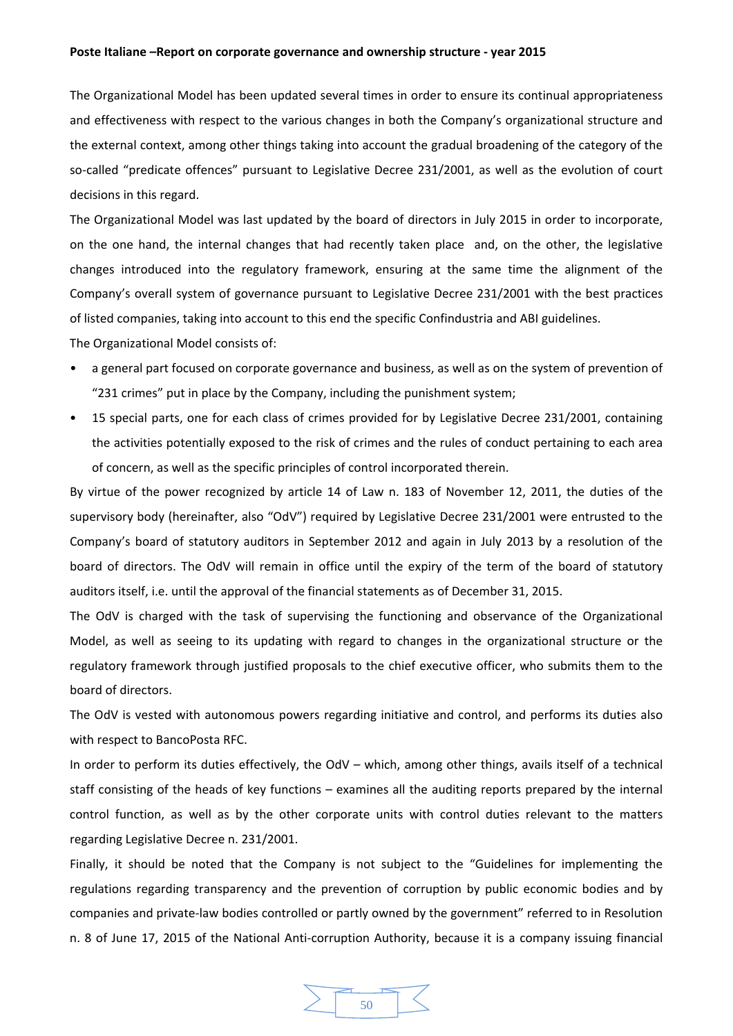The Organizational Model has been updated several times in order to ensure its continual appropriateness and effectiveness with respect to the various changes in both the Company's organizational structure and the external context, among other things taking into account the gradual broadening of the category of the so-called "predicate offences" pursuant to Legislative Decree 231/2001, as well as the evolution of court decisions in this regard.

The Organizational Model was last updated by the board of directors in July 2015 in order to incorporate, on the one hand, the internal changes that had recently taken place and, on the other, the legislative changes introduced into the regulatory framework, ensuring at the same time the alignment of the Company's overall system of governance pursuant to Legislative Decree 231/2001 with the best practices of listed companies, taking into account to this end the specific Confindustria and ABI guidelines.

The Organizational Model consists of:

- a general part focused on corporate governance and business, as well as on the system of prevention of "231 crimes" put in place by the Company, including the punishment system;
- 15 special parts, one for each class of crimes provided for by Legislative Decree 231/2001, containing the activities potentially exposed to the risk of crimes and the rules of conduct pertaining to each area of concern, as well as the specific principles of control incorporated therein.

By virtue of the power recognized by article 14 of Law n. 183 of November 12, 2011, the duties of the supervisory body (hereinafter, also "OdV") required by Legislative Decree 231/2001 were entrusted to the Company's board of statutory auditors in September 2012 and again in July 2013 by a resolution of the board of directors. The OdV will remain in office until the expiry of the term of the board of statutory auditors itself, i.e. until the approval of the financial statements as of December 31, 2015.

The OdV is charged with the task of supervising the functioning and observance of the Organizational Model, as well as seeing to its updating with regard to changes in the organizational structure or the regulatory framework through justified proposals to the chief executive officer, who submits them to the board of directors.

The OdV is vested with autonomous powers regarding initiative and control, and performs its duties also with respect to BancoPosta RFC.

In order to perform its duties effectively, the OdV – which, among other things, avails itself of a technical staff consisting of the heads of key functions – examines all the auditing reports prepared by the internal control function, as well as by the other corporate units with control duties relevant to the matters regarding Legislative Decree n. 231/2001.

Finally, it should be noted that the Company is not subject to the "Guidelines for implementing the regulations regarding transparency and the prevention of corruption by public economic bodies and by companies and private‐law bodies controlled or partly owned by the government" referred to in Resolution n. 8 of June 17, 2015 of the National Anti-corruption Authority, because it is a company issuing financial

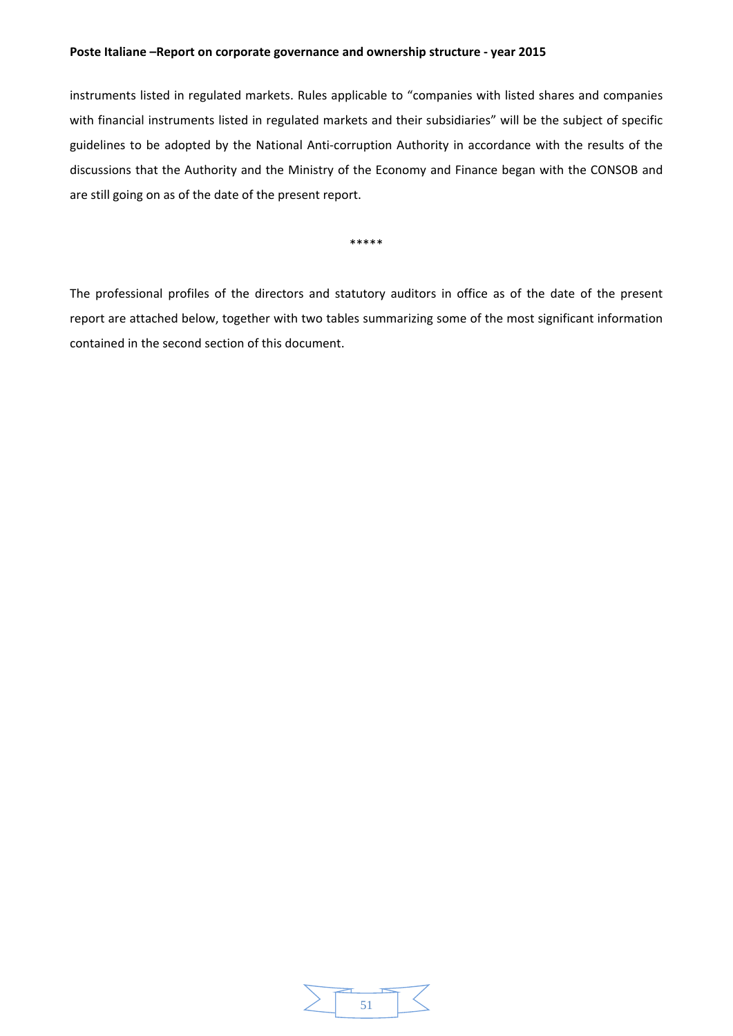instruments listed in regulated markets. Rules applicable to "companies with listed shares and companies with financial instruments listed in regulated markets and their subsidiaries" will be the subject of specific guidelines to be adopted by the National Anti‐corruption Authority in accordance with the results of the discussions that the Authority and the Ministry of the Economy and Finance began with the CONSOB and are still going on as of the date of the present report.

\*\*\*\*\*

The professional profiles of the directors and statutory auditors in office as of the date of the present report are attached below, together with two tables summarizing some of the most significant information contained in the second section of this document.

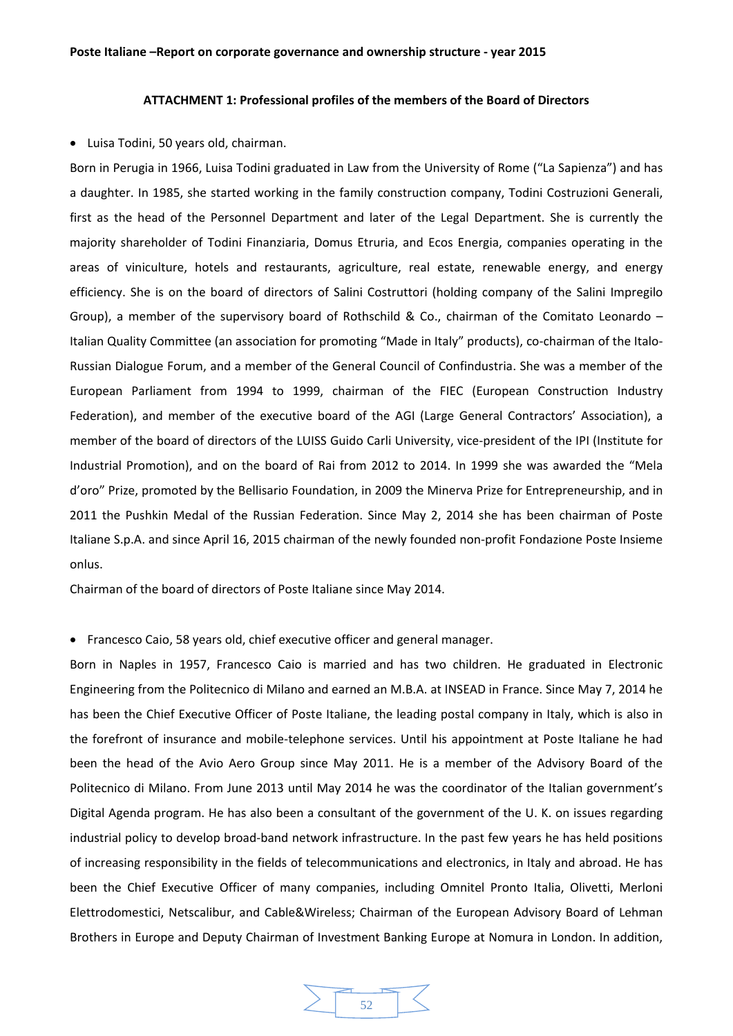## **ATTACHMENT 1: Professional profiles of the members of the Board of Directors**

Luisa Todini, 50 years old, chairman.

Born in Perugia in 1966, Luisa Todini graduated in Law from the University of Rome ("La Sapienza") and has a daughter. In 1985, she started working in the family construction company, Todini Costruzioni Generali, first as the head of the Personnel Department and later of the Legal Department. She is currently the majority shareholder of Todini Finanziaria, Domus Etruria, and Ecos Energia, companies operating in the areas of viniculture, hotels and restaurants, agriculture, real estate, renewable energy, and energy efficiency. She is on the board of directors of Salini Costruttori (holding company of the Salini Impregilo Group), a member of the supervisory board of Rothschild & Co., chairman of the Comitato Leonardo – Italian Quality Committee (an association for promoting "Made in Italy" products), co-chairman of the Italo-Russian Dialogue Forum, and a member of the General Council of Confindustria. She was a member of the European Parliament from 1994 to 1999, chairman of the FIEC (European Construction Industry Federation), and member of the executive board of the AGI (Large General Contractors' Association), a member of the board of directors of the LUISS Guido Carli University, vice-president of the IPI (Institute for Industrial Promotion), and on the board of Rai from 2012 to 2014. In 1999 she was awarded the "Mela d'oro" Prize, promoted by the Bellisario Foundation, in 2009 the Minerva Prize for Entrepreneurship, and in 2011 the Pushkin Medal of the Russian Federation. Since May 2, 2014 she has been chairman of Poste Italiane S.p.A. and since April 16, 2015 chairman of the newly founded non‐profit Fondazione Poste Insieme onlus.

Chairman of the board of directors of Poste Italiane since May 2014.

• Francesco Caio, 58 years old, chief executive officer and general manager.

Born in Naples in 1957, Francesco Caio is married and has two children. He graduated in Electronic Engineering from the Politecnico di Milano and earned an M.B.A. at INSEAD in France. Since May 7, 2014 he has been the Chief Executive Officer of Poste Italiane, the leading postal company in Italy, which is also in the forefront of insurance and mobile‐telephone services. Until his appointment at Poste Italiane he had been the head of the Avio Aero Group since May 2011. He is a member of the Advisory Board of the Politecnico di Milano. From June 2013 until May 2014 he was the coordinator of the Italian government's Digital Agenda program. He has also been a consultant of the government of the U. K. on issues regarding industrial policy to develop broad‐band network infrastructure. In the past few years he has held positions of increasing responsibility in the fields of telecommunications and electronics, in Italy and abroad. He has been the Chief Executive Officer of many companies, including Omnitel Pronto Italia, Olivetti, Merloni Elettrodomestici, Netscalibur, and Cable&Wireless; Chairman of the European Advisory Board of Lehman Brothers in Europe and Deputy Chairman of Investment Banking Europe at Nomura in London. In addition,

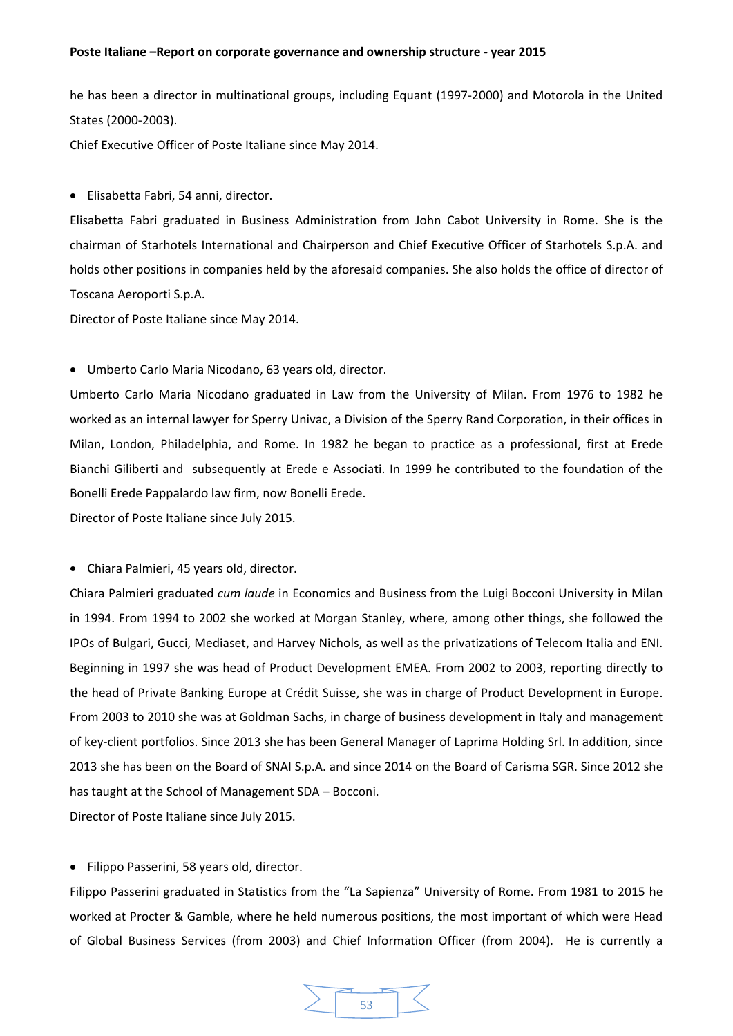he has been a director in multinational groups, including Equant (1997-2000) and Motorola in the United States (2000‐2003).

Chief Executive Officer of Poste Italiane since May 2014.

Elisabetta Fabri, 54 anni, director.

Elisabetta Fabri graduated in Business Administration from John Cabot University in Rome. She is the chairman of Starhotels International and Chairperson and Chief Executive Officer of Starhotels S.p.A. and holds other positions in companies held by the aforesaid companies. She also holds the office of director of Toscana Aeroporti S.p.A.

Director of Poste Italiane since May 2014.

Umberto Carlo Maria Nicodano, 63 years old, director.

Umberto Carlo Maria Nicodano graduated in Law from the University of Milan. From 1976 to 1982 he worked as an internal lawyer for Sperry Univac, a Division of the Sperry Rand Corporation, in their offices in Milan, London, Philadelphia, and Rome. In 1982 he began to practice as a professional, first at Erede Bianchi Giliberti and subsequently at Erede e Associati. In 1999 he contributed to the foundation of the Bonelli Erede Pappalardo law firm, now Bonelli Erede.

Director of Poste Italiane since July 2015.

Chiara Palmieri, 45 years old, director.

Chiara Palmieri graduated *cum laude* in Economics and Business from the Luigi Bocconi University in Milan in 1994. From 1994 to 2002 she worked at Morgan Stanley, where, among other things, she followed the IPOs of Bulgari, Gucci, Mediaset, and Harvey Nichols, as well as the privatizations of Telecom Italia and ENI. Beginning in 1997 she was head of Product Development EMEA. From 2002 to 2003, reporting directly to the head of Private Banking Europe at Crédit Suisse, she was in charge of Product Development in Europe. From 2003 to 2010 she was at Goldman Sachs, in charge of business development in Italy and management of key‐client portfolios. Since 2013 she has been General Manager of Laprima Holding Srl. In addition, since 2013 she has been on the Board of SNAI S.p.A. and since 2014 on the Board of Carisma SGR. Since 2012 she has taught at the School of Management SDA – Bocconi.

Director of Poste Italiane since July 2015.

Filippo Passerini, 58 years old, director.

Filippo Passerini graduated in Statistics from the "La Sapienza" University of Rome. From 1981 to 2015 he worked at Procter & Gamble, where he held numerous positions, the most important of which were Head of Global Business Services (from 2003) and Chief Information Officer (from 2004). He is currently a

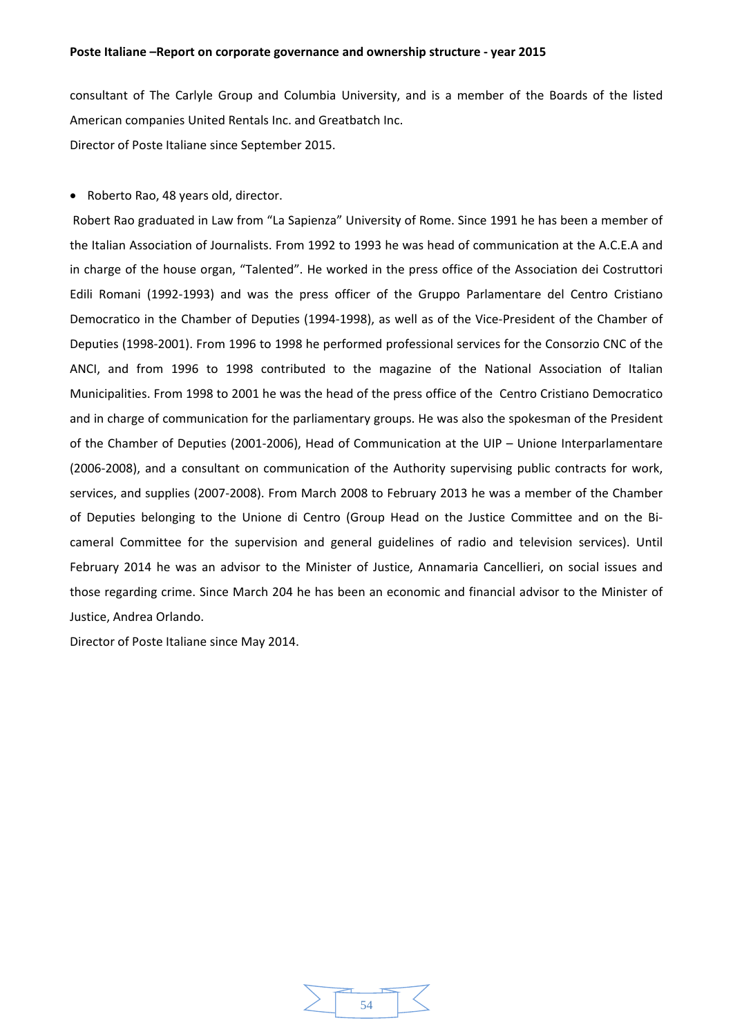consultant of The Carlyle Group and Columbia University, and is a member of the Boards of the listed American companies United Rentals Inc. and Greatbatch Inc. Director of Poste Italiane since September 2015.

• Roberto Rao, 48 years old, director.

Robert Rao graduated in Law from "La Sapienza" University of Rome. Since 1991 he has been a member of the Italian Association of Journalists. From 1992 to 1993 he was head of communication at the A.C.E.A and in charge of the house organ, "Talented". He worked in the press office of the Association dei Costruttori Edili Romani (1992‐1993) and was the press officer of the Gruppo Parlamentare del Centro Cristiano Democratico in the Chamber of Deputies (1994‐1998), as well as of the Vice‐President of the Chamber of Deputies (1998‐2001). From 1996 to 1998 he performed professional services for the Consorzio CNC of the ANCI, and from 1996 to 1998 contributed to the magazine of the National Association of Italian Municipalities. From 1998 to 2001 he was the head of the press office of the Centro Cristiano Democratico and in charge of communication for the parliamentary groups. He was also the spokesman of the President of the Chamber of Deputies (2001‐2006), Head of Communication at the UIP – Unione Interparlamentare (2006‐2008), and a consultant on communication of the Authority supervising public contracts for work, services, and supplies (2007‐2008). From March 2008 to February 2013 he was a member of the Chamber of Deputies belonging to the Unione di Centro (Group Head on the Justice Committee and on the Bi‐ cameral Committee for the supervision and general guidelines of radio and television services). Until February 2014 he was an advisor to the Minister of Justice, Annamaria Cancellieri, on social issues and those regarding crime. Since March 204 he has been an economic and financial advisor to the Minister of Justice, Andrea Orlando.

Director of Poste Italiane since May 2014.

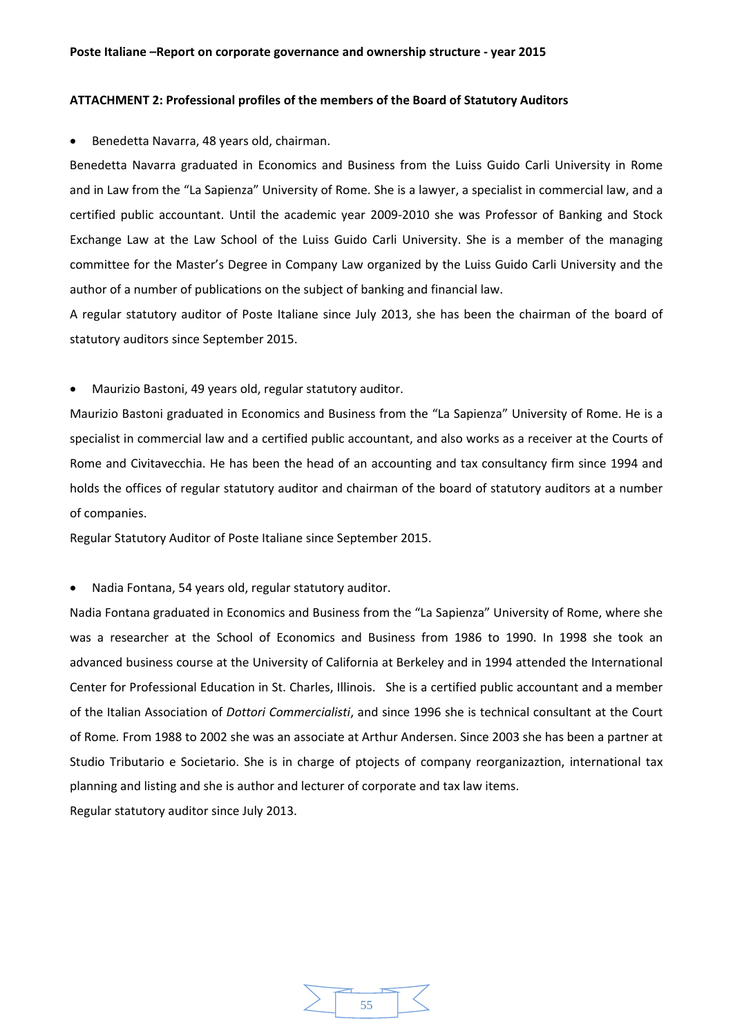### **ATTACHMENT 2: Professional profiles of the members of the Board of Statutory Auditors**

Benedetta Navarra, 48 years old, chairman.

Benedetta Navarra graduated in Economics and Business from the Luiss Guido Carli University in Rome and in Law from the "La Sapienza" University of Rome. She is a lawyer, a specialist in commercial law, and a certified public accountant. Until the academic year 2009‐2010 she was Professor of Banking and Stock Exchange Law at the Law School of the Luiss Guido Carli University. She is a member of the managing committee for the Master's Degree in Company Law organized by the Luiss Guido Carli University and the author of a number of publications on the subject of banking and financial law.

A regular statutory auditor of Poste Italiane since July 2013, she has been the chairman of the board of statutory auditors since September 2015.

Maurizio Bastoni, 49 years old, regular statutory auditor.

Maurizio Bastoni graduated in Economics and Business from the "La Sapienza" University of Rome. He is a specialist in commercial law and a certified public accountant, and also works as a receiver at the Courts of Rome and Civitavecchia. He has been the head of an accounting and tax consultancy firm since 1994 and holds the offices of regular statutory auditor and chairman of the board of statutory auditors at a number of companies.

Regular Statutory Auditor of Poste Italiane since September 2015.

Nadia Fontana, 54 years old, regular statutory auditor.

Nadia Fontana graduated in Economics and Business from the "La Sapienza" University of Rome, where she was a researcher at the School of Economics and Business from 1986 to 1990. In 1998 she took an advanced business course at the University of California at Berkeley and in 1994 attended the International Center for Professional Education in St. Charles, Illinois. She is a certified public accountant and a member of the Italian Association of *Dottori Commercialisti*, and since 1996 she is technical consultant at the Court of Rome*.* From 1988 to 2002 she was an associate at Arthur Andersen. Since 2003 she has been a partner at Studio Tributario e Societario. She is in charge of ptojects of company reorganizaztion, international tax planning and listing and she is author and lecturer of corporate and tax law items. Regular statutory auditor since July 2013.

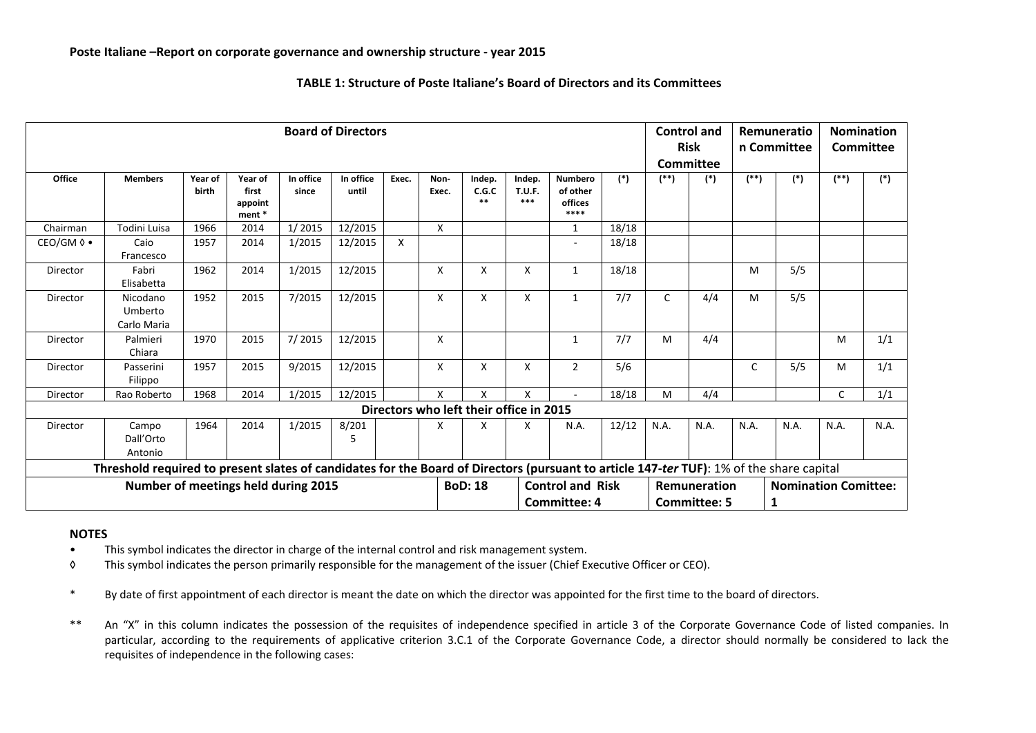| <b>Board of Directors</b>                                                                                                                                                       |                                    |                  |                                       |                    |                    |       |               |                                         |                                  |                                                |       |              | <b>Control and</b><br><b>Risk</b><br>Committee |       | Remuneratio<br>n Committee       | <b>Nomination</b><br>Committee |       |
|---------------------------------------------------------------------------------------------------------------------------------------------------------------------------------|------------------------------------|------------------|---------------------------------------|--------------------|--------------------|-------|---------------|-----------------------------------------|----------------------------------|------------------------------------------------|-------|--------------|------------------------------------------------|-------|----------------------------------|--------------------------------|-------|
| Office                                                                                                                                                                          | <b>Members</b>                     | Year of<br>birth | Year of<br>first<br>appoint<br>ment * | In office<br>since | In office<br>until | Exec. | Non-<br>Exec. | Indep.<br>C.G.C<br>$**$                 | Indep.<br><b>T.U.F.</b><br>$***$ | <b>Numbero</b><br>of other<br>offices<br>****  | $(*)$ | $($ **)      | $(*)$                                          | $(*)$ | $(*)$                            | $^{(*)}$                       | $(*)$ |
| Chairman                                                                                                                                                                        | Todini Luisa                       | 1966             | 2014                                  | 1/2015             | 12/2015            |       | X             |                                         |                                  | 1                                              | 18/18 |              |                                                |       |                                  |                                |       |
| $CEO/GM$ $\lozenge$ $\bullet$                                                                                                                                                   | Caio<br>Francesco                  | 1957             | 2014                                  | 1/2015             | 12/2015            | X     |               |                                         |                                  | $\overline{\phantom{a}}$                       | 18/18 |              |                                                |       |                                  |                                |       |
| Director                                                                                                                                                                        | Fabri<br>Elisabetta                | 1962             | 2014                                  | 1/2015             | 12/2015            |       | X             | X                                       | X                                | $\mathbf{1}$                                   | 18/18 |              |                                                | M     | 5/5                              |                                |       |
| Director                                                                                                                                                                        | Nicodano<br>Umberto<br>Carlo Maria | 1952             | 2015                                  | 7/2015             | 12/2015            |       | X             | X                                       | X                                | 1                                              | 7/7   | $\mathsf{C}$ | 4/4                                            | M     | 5/5                              |                                |       |
| Director                                                                                                                                                                        | Palmieri<br>Chiara                 | 1970             | 2015                                  | 7/2015             | 12/2015            |       | X             |                                         |                                  | 1                                              | 7/7   | M            | 4/4                                            |       |                                  | M                              | 1/1   |
| Director                                                                                                                                                                        | Passerini<br>Filippo               | 1957             | 2015                                  | 9/2015             | 12/2015            |       | X             | X                                       | X                                | $\overline{2}$                                 | 5/6   |              |                                                | C     | 5/5                              | M                              | 1/1   |
| Director                                                                                                                                                                        | Rao Roberto                        | 1968             | 2014                                  | 1/2015             | 12/2015            |       | X             | X                                       | X                                | ÷                                              | 18/18 | M            | 4/4                                            |       |                                  | $\mathsf{C}$                   | 1/1   |
|                                                                                                                                                                                 |                                    |                  |                                       |                    |                    |       |               | Directors who left their office in 2015 |                                  |                                                |       |              |                                                |       |                                  |                                |       |
| Director                                                                                                                                                                        | Campo<br>Dall'Orto<br>Antonio      | 1964             | 2014                                  | 1/2015             | 8/201<br>5         |       | X             | x                                       | X                                | N.A.                                           | 12/12 | N.A.         | N.A.                                           | N.A.  | N.A.                             | N.A.                           | N.A.  |
|                                                                                                                                                                                 |                                    |                  |                                       |                    |                    |       |               |                                         |                                  |                                                |       |              |                                                |       |                                  |                                |       |
| Threshold required to present slates of candidates for the Board of Directors (pursuant to article 147-ter TUF): 1% of the share capital<br>Number of meetings held during 2015 |                                    |                  |                                       |                    |                    |       |               | <b>BoD: 18</b>                          |                                  | <b>Control and Risk</b><br><b>Committee: 4</b> |       |              | Remuneration<br><b>Committee: 5</b>            |       | <b>Nomination Comittee:</b><br>1 |                                |       |

**TABLE 1: Structure of Poste Italiane's Board of Directors and its Committees**

#### **NOTES**

- •This symbol indicates the director in charge of the internal control and risk management system.
- ◊ This symbol indicates the person primarily responsible for the management of the issuer (Chief Executive Officer or CEO).
- \*By date of first appointment of each director is meant the date on which the director was appointed for the first time to the board of directors.
- \*\* An "X" in this column indicates the possession of the requisites of independence specified in article 3 of the Corporate Governance Code of listed companies. In particular, according to the requirements of applicative criterion 3.C.1 of the Corporate Governance Code, <sup>a</sup> director should normally be considered to lack the requisites of independence in the following cases: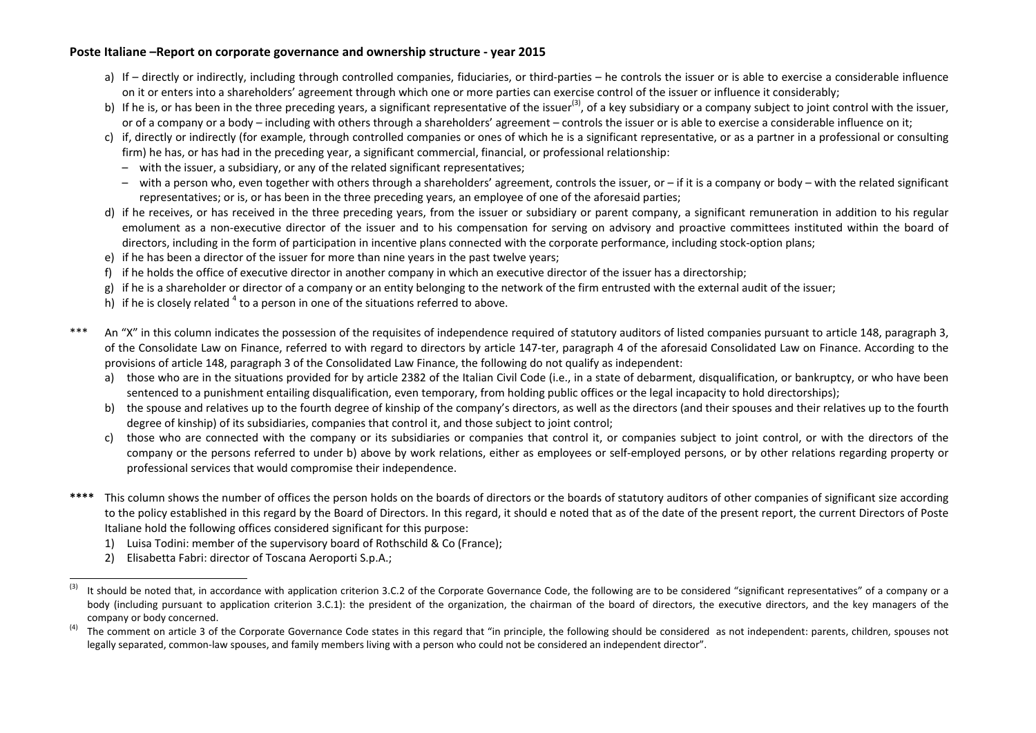- a) If directly or indirectly, including through controlled companies, fiduciaries, or third-parties he controls the issuer or is able to exercise a considerable influence on it or enters into <sup>a</sup> shareholders' agreement through which one or more parties can exercise control of the issuer or influence it considerably;
- b) If he is, or has been in the three preceding years, a significant representative of the issuer<sup>(3)</sup>, of a key subsidiary or a company subject to joint control with the issuer, or of <sup>a</sup> company or <sup>a</sup> body – including with others through <sup>a</sup> shareholders' agreement – controls the issuer or is able to exercise <sup>a</sup> considerable influence on it;
- c) if, directly or indirectly (for example, through controlled companies or ones of which he is <sup>a</sup> significant representative, or as <sup>a</sup> partner in <sup>a</sup> professional or consulting firm) he has, or has had in the preceding year, a significant commercial, financial, or professional relationship:
	- with the issuer, <sup>a</sup> subsidiary, or any of the related significant representatives;
	- with <sup>a</sup> person who, even together with others through <sup>a</sup> shareholders' agreement, controls the issuer, or if it is <sup>a</sup> company or body with the related significant representatives; or is, or has been in the three preceding years, an employee of one of the aforesaid parties;
- d) if he receives, or has received in the three preceding years, from the issuer or subsidiary or parent company, <sup>a</sup> significant remuneration in addition to his regular emolument as a non‐executive director of the issuer and to his compensation for serving on advisory and proactive committees instituted within the board of directors, including in the form of participation in incentive plans connected with the corporate performance, including stock‐option plans;
- e) if he has been <sup>a</sup> director of the issuer for more than nine years in the past twelve years;
- f) if he holds the office of executive director in another company in which an executive director of the issuer has <sup>a</sup> directorship;
- g) if he is a shareholder or director of a company or an entity belonging to the network of the firm entrusted with the external audit of the issuer;
- h) if he is closely related  $4$  to a person in one of the situations referred to above.
- \*\*\* An "X" in this column indicates the possession of the requisites of independence required of statutory auditors of listed companies pursuant to article 148, paragraph 3, of the Consolidate Law on Finance, referred to with regard to directors by article 147‐ter, paragraph 4 of the aforesaid Consolidated Law on Finance. According to the provisions of article 148, paragraph 3 of the Consolidated Law Finance, the following do not qualify as independent:
	- a) those who are in the situations provided for by article 2382 of the Italian Civil Code (i.e., in a state of debarment, disqualification, or bankruptcy, or who have been sentenced to <sup>a</sup> punishment entailing disqualification, even temporary, from holding public offices or the legal incapacity to hold directorships);
	- b) the spouse and relatives up to the fourth degree of kinship of the company's directors, as well as the directors (and their spouses and their relatives up to the fourth degree of kinship) of its subsidiaries, companies that control it, and those subject to joint control;
	- c) those who are connected with the company or its subsidiaries or companies that control it, or companies subject to joint control, or with the directors of the company or the persons referred to under b) above by work relations, either as employees or self‐employed persons, or by other relations regarding property or professional services that would compromise their independence.
- **\*\*\*\*** This column shows the number of offices the person holds on the boards of directors or the boards of statutory auditors of other companies of significant size according to the policy established in this regard by the Board of Directors. In this regard, it should e noted that as of the date of the present report, the current Directors of Poste Italiane hold the following offices considered significant for this purpose:
	- 1) Luisa Todini: member of the supervisory board of Rothschild & Co (France);
	- 2) Elisabetta Fabri: director of Toscana Aeroporti S.p.A.;

 $^{(3)}$  It should be noted that, in accordance with application criterion 3.C.2 of the Corporate Governance Code, the following are to be considered "significant representatives" of a company or a body (including pursuant to application criterion 3.C.1): the president of the organization, the chairman of the board of directors, the executive directors, and the key managers of the company or body concerned.

 $^{(4)}$  The comment on article 3 of the Corporate Governance Code states in this regard that "in principle, the following should be considered as not independent: parents, children, spouses not legally separated, common-law spouses, and family members living with a person who could not be considered an independent director".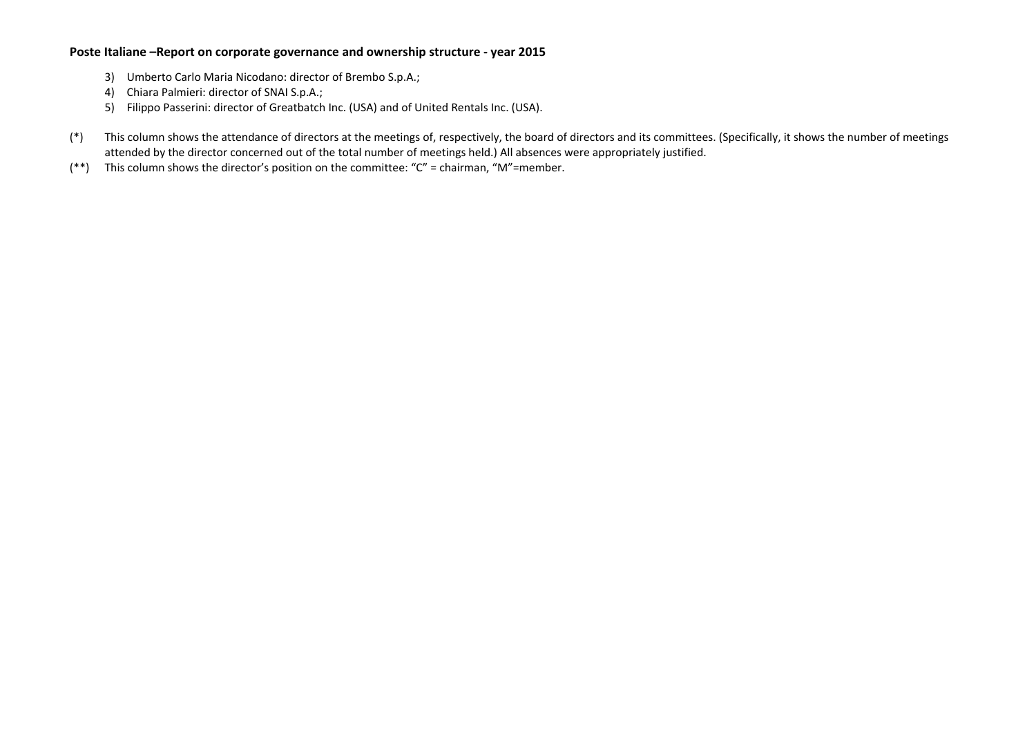- 3) Umberto Carlo Maria Nicodano: director of Brembo S.p.A.;
- 4) Chiara Palmieri: director of SNAI S.p.A.;
- 5) Filippo Passerini: director of Greatbatch Inc. (USA) and of United Rentals Inc. (USA).
- (\*) This column shows the attendance of directors at the meetings of, respectively, the board of directors and its committees. (Specifically, it shows the number of meetings attended by the director concerned out of the total number of meetings held.) All absences were appropriately justified.
- (\*\*) This column shows the director's position on the committee: "C" <sup>=</sup> chairman, "M"=member.